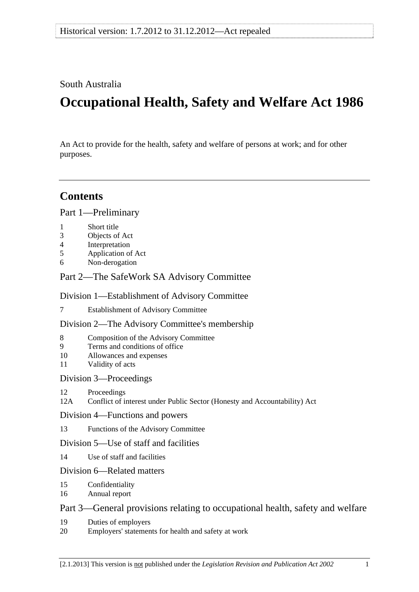### South Australia

# **Occupational Health, Safety and Welfare Act 1986**

An Act to provide for the health, safety and welfare of persons at work; and for other purposes.

## **Contents**

[Part 1—Preliminary](#page-4-0)

- [1 Short title](#page-4-0)
- [3 Objects of Act](#page-4-0)
- [4 Interpretation](#page-4-0)
- [5 Application of Act](#page-8-0)
- [6 Non-derogation](#page-8-0)

### [Part 2—The SafeWork SA Advisory Committee](#page-10-0)

#### [Division 1—Establishment of Advisory Committee](#page-10-0)

[7 Establishment of Advisory Committee](#page-10-0)

#### [Division 2—The Advisory Committee's membership](#page-10-0)

- [8 Composition of the Advisory Committee](#page-10-0)
- [9 Terms and conditions of office](#page-11-0)
- [10 Allowances and expenses](#page-11-0)
- [11 Validity of acts](#page-11-0)

#### [Division 3—Proceedings](#page-11-0)

[12 Proceedings](#page-11-0) 

[12A Conflict of interest under Public Sector \(Honesty and Accountability\) Act](#page-12-0) 

#### [Division 4—Functions and powers](#page-13-0)

[13 Functions of the Advisory Committee](#page-13-0)

#### [Division 5—Use of staff and facilities](#page-14-0)

[14 Use of staff and facilities](#page-14-0)

#### [Division 6—Related matters](#page-15-0)

- [15 Confidentiality](#page-15-0)
- [16 Annual report](#page-15-0)

### [Part 3—General provisions relating to occupational health, safety and welfare](#page-16-0)

- [19 Duties of employers](#page-16-0)
- [20 Employers' statements for health and safety at work](#page-17-0)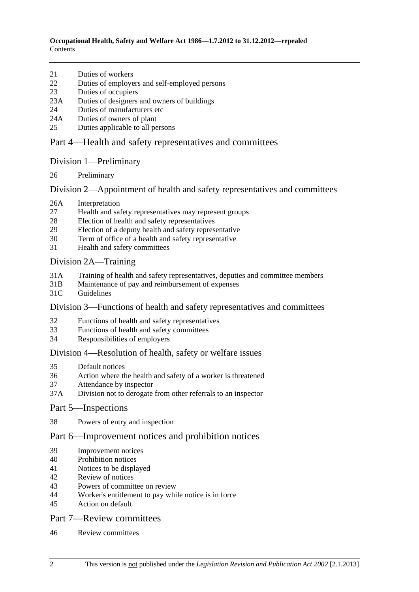- [21 Duties of workers](#page-18-0)
- [22 Duties of employers and self-employed persons](#page-18-0)
- [23 Duties of occupiers](#page-19-0)
- [23A Duties of designers and owners of buildings](#page-19-0)
- [24 Duties of manufacturers etc](#page-19-0)
- [24A Duties of owners of plant](#page-21-0)
- [25 Duties applicable to all persons](#page-22-0)

### [Part 4—Health and safety representatives and committees](#page-24-0)

#### [Division 1—Preliminary](#page-24-0)

[26 Preliminary](#page-24-0) 

#### [Division 2—Appointment of health and safety representatives and committees](#page-24-0)

- [26A Interpretation](#page-24-0)
- [27 Health and safety representatives may represent groups](#page-24-0)
- [28 Election of health and safety representatives](#page-26-0)
- [29 Election of a deputy health and safety representative](#page-27-0)
- [30 Term of office of a health and safety representative](#page-27-0)
- [31 Health and safety committees](#page-28-0)

#### [Division 2A—Training](#page-29-0)

- [31A Training of health and safety representatives, deputies and committee members](#page-29-0)
- [31B Maintenance of pay and reimbursement of expenses](#page-30-0)
- [31C Guidelines](#page-30-0)

#### [Division 3—Functions of health and safety representatives and committees](#page-31-0)

- [32 Functions of health and safety representatives](#page-31-0)
- [33 Functions of health and safety committees](#page-32-0)
- [34 Responsibilities of employers](#page-33-0)

#### [Division 4—Resolution of health, safety or welfare issues](#page-35-0)

- [35 Default notices](#page-35-0)
- [36 Action where the health and safety of a worker is threatened](#page-37-0)
- [37 Attendance by inspector](#page-37-0)
- [37A Division not to derogate from other referrals to an inspector](#page-38-0)

#### [Part 5—Inspections](#page-40-0)

[38 Powers of entry and inspection](#page-40-0) 

### [Part 6—Improvement notices and prohibition notices](#page-44-0)

- [39 Improvement notices](#page-44-0)
- [40 Prohibition notices](#page-45-0)
- [41 Notices to be displayed](#page-45-0)
- [42 Review of notices](#page-46-0)
- [43 Powers of committee on review](#page-46-0)
- [44 Worker's entitlement to pay while notice is in force](#page-47-0)
- [45 Action on default](#page-47-0)

#### [Part 7—Review committees](#page-48-0)

[46 Review committees](#page-48-0)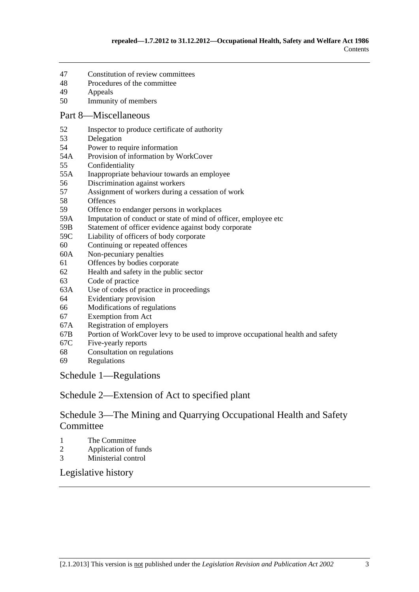- [47 Constitution of review committees](#page-48-0)
- [48 Procedures of the committee](#page-48-0)
- [49 Appeals](#page-50-0)
- [50 Immunity of members](#page-50-0)

#### [Part 8—Miscellaneous](#page-52-0)

- [52 Inspector to produce certificate of authority](#page-52-0)
- [53 Delegation](#page-52-0)
- [54 Power to require information](#page-52-0)
- [54A Provision of information by WorkCover](#page-52-0)
- [55 Confidentiality](#page-53-0)
- [55A Inappropriate behaviour towards an employee](#page-54-0)
- [56 Discrimination against workers](#page-56-0)
- [57 Assignment of workers during a cessation of work](#page-57-0)
- [58 Offences](#page-57-0)
- [59 Offence to endanger persons in workplaces](#page-59-0)
- [59A Imputation of conduct or state of mind of officer, employee etc](#page-59-0)
- [59B Statement of officer evidence against body corporate](#page-60-0)
- [59C Liability of officers of body corporate](#page-60-0)
- [60 Continuing or repeated offences](#page-61-0)
- [60A Non-pecuniary penalties](#page-61-0)
- [61 Offences by bodies corporate](#page-62-0)
- [62 Health and safety in the public sector](#page-63-0)
- [63 Code of practice](#page-63-0)
- [63A Use of codes of practice in proceedings](#page-64-0)
- [64 Evidentiary provision](#page-64-0)
- [66 Modifications of regulations](#page-64-0)
- [67 Exemption from Act](#page-65-0)
- [67A Registration of employers](#page-66-0)
- [67B Portion of WorkCover levy to be used to improve occupational health and safety](#page-67-0)
- [67C Five-yearly reports](#page-68-0)
- [68 Consultation on regulations](#page-68-0)
- [69 Regulations](#page-68-0)

[Schedule 1—Regulations](#page-72-0) 

[Schedule 2—Extension of Act to specified plant](#page-73-0) 

### [Schedule 3—The Mining and Quarrying Occupational Health and Safety](#page-74-0)  **[Committee](#page-74-0)**

- [1 The Committee](#page-74-0)
- [2 Application of funds](#page-75-0)
- [3 Ministerial control](#page-76-0)

[Legislative history](#page-78-0)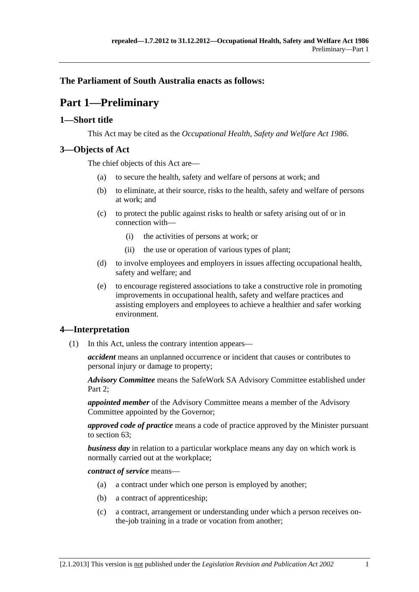### <span id="page-4-0"></span>**The Parliament of South Australia enacts as follows:**

# **Part 1—Preliminary**

#### **1—Short title**

This Act may be cited as the *Occupational Health, Safety and Welfare Act 1986*.

#### **3—Objects of Act**

The chief objects of this Act are—

- (a) to secure the health, safety and welfare of persons at work; and
- (b) to eliminate, at their source, risks to the health, safety and welfare of persons at work; and
- (c) to protect the public against risks to health or safety arising out of or in connection with—
	- (i) the activities of persons at work; or
	- (ii) the use or operation of various types of plant;
- (d) to involve employees and employers in issues affecting occupational health, safety and welfare; and
- (e) to encourage registered associations to take a constructive role in promoting improvements in occupational health, safety and welfare practices and assisting employers and employees to achieve a healthier and safer working environment.

#### **4—Interpretation**

(1) In this Act, unless the contrary intention appears—

*accident* means an unplanned occurrence or incident that causes or contributes to personal injury or damage to property;

*Advisory Committee* means the SafeWork SA Advisory Committee established under Part 2:

*appointed member* of the Advisory Committee means a member of the Advisory Committee appointed by the Governor;

*approved code of practice* means a code of practice approved by the Minister pursuant to [section 63;](#page-63-0)

*business day* in relation to a particular workplace means any day on which work is normally carried out at the workplace;

*contract of service* means—

- (a) a contract under which one person is employed by another;
- (b) a contract of apprenticeship;
- (c) a contract, arrangement or understanding under which a person receives onthe-job training in a trade or vocation from another;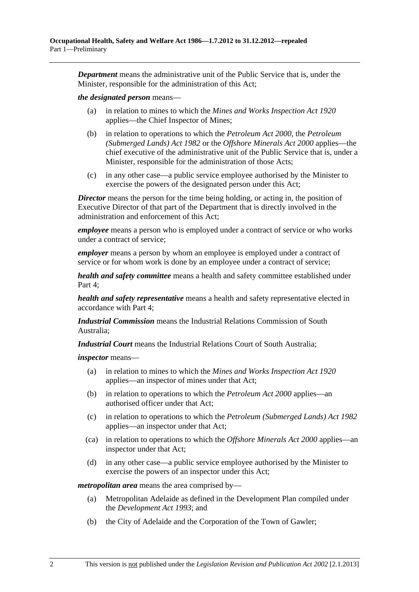*Department* means the administrative unit of the Public Service that is, under the Minister, responsible for the administration of this Act;

#### *the designated person* means—

- (a) in relation to mines to which the *[Mines and Works Inspection Act 1920](http://www.legislation.sa.gov.au/index.aspx?action=legref&type=act&legtitle=Mines%20and%20Works%20Inspection%20Act%201920)* applies—the Chief Inspector of Mines;
- (b) in relation to operations to which the *[Petroleum Act 2000](http://www.legislation.sa.gov.au/index.aspx?action=legref&type=act&legtitle=Petroleum%20Act%202000)*, the *[Petroleum](http://www.legislation.sa.gov.au/index.aspx?action=legref&type=act&legtitle=Petroleum%20(Submerged%20Lands)%20Act%201982)  [\(Submerged Lands\) Act 1982](http://www.legislation.sa.gov.au/index.aspx?action=legref&type=act&legtitle=Petroleum%20(Submerged%20Lands)%20Act%201982)* or the *[Offshore Minerals Act 2000](http://www.legislation.sa.gov.au/index.aspx?action=legref&type=act&legtitle=Offshore%20Minerals%20Act%202000)* applies—the chief executive of the administrative unit of the Public Service that is, under a Minister, responsible for the administration of those Acts;
- (c) in any other case—a public service employee authorised by the Minister to exercise the powers of the designated person under this Act;

*Director* means the person for the time being holding, or acting in, the position of Executive Director of that part of the Department that is directly involved in the administration and enforcement of this Act;

*employee* means a person who is employed under a contract of service or who works under a contract of service;

*employer* means a person by whom an employee is employed under a contract of service or for whom work is done by an employee under a contract of service;

*health and safety committee* means a health and safety committee established under [Part 4;](#page-24-0)

*health and safety representative* means a health and safety representative elected in accordance with [Part 4;](#page-24-0)

*Industrial Commission* means the Industrial Relations Commission of South Australia;

*Industrial Court* means the Industrial Relations Court of South Australia;

*inspector* means—

- (a) in relation to mines to which the *[Mines and Works Inspection Act 1920](http://www.legislation.sa.gov.au/index.aspx?action=legref&type=act&legtitle=Mines%20and%20Works%20Inspection%20Act%201920)* applies—an inspector of mines under that Act;
- (b) in relation to operations to which the *[Petroleum Act 2000](http://www.legislation.sa.gov.au/index.aspx?action=legref&type=act&legtitle=Petroleum%20Act%202000)* applies—an authorised officer under that Act;
- (c) in relation to operations to which the *[Petroleum \(Submerged Lands\) Act 1982](http://www.legislation.sa.gov.au/index.aspx?action=legref&type=act&legtitle=Petroleum%20(Submerged%20Lands)%20Act%201982)* applies—an inspector under that Act;
- (ca) in relation to operations to which the *[Offshore Minerals Act 2000](http://www.legislation.sa.gov.au/index.aspx?action=legref&type=act&legtitle=Offshore%20Minerals%20Act%202000)* applies—an inspector under that Act;
- (d) in any other case—a public service employee authorised by the Minister to exercise the powers of an inspector under this Act;

*metropolitan area* means the area comprised by—

- (a) Metropolitan Adelaide as defined in the Development Plan compiled under the *[Development Act 1993](http://www.legislation.sa.gov.au/index.aspx?action=legref&type=act&legtitle=Development%20Act%201993)*; and
- (b) the City of Adelaide and the Corporation of the Town of Gawler;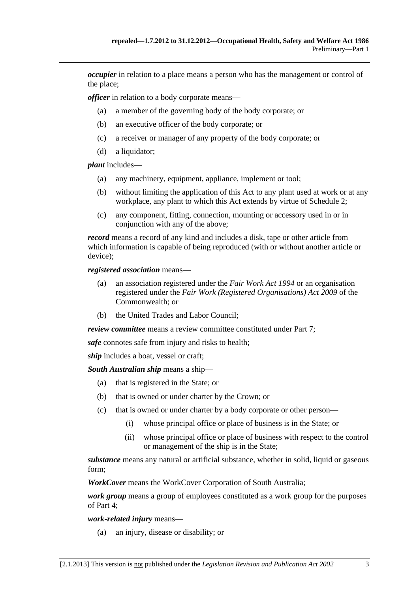*occupier* in relation to a place means a person who has the management or control of the place;

*officer* in relation to a body corporate means—

- (a) a member of the governing body of the body corporate; or
- (b) an executive officer of the body corporate; or
- (c) a receiver or manager of any property of the body corporate; or
- (d) a liquidator;

*plant* includes—

- (a) any machinery, equipment, appliance, implement or tool;
- (b) without limiting the application of this Act to any plant used at work or at any workplace, any plant to which this Act extends by virtue of [Schedule 2](#page-73-0);
- (c) any component, fitting, connection, mounting or accessory used in or in conjunction with any of the above;

*record* means a record of any kind and includes a disk, tape or other article from which information is capable of being reproduced (with or without another article or device);

*registered association* means—

- (a) an association registered under the *[Fair Work Act 1994](http://www.legislation.sa.gov.au/index.aspx?action=legref&type=act&legtitle=Fair%20Work%20Act%201994)* or an organisation registered under the *Fair Work (Registered Organisations) Act 2009* of the Commonwealth; or
- (b) the United Trades and Labor Council;

*review committee* means a review committee constituted under [Part 7](#page-48-0);

*safe* connotes safe from injury and risks to health;

*ship* includes a boat, vessel or craft;

*South Australian ship* means a ship—

- (a) that is registered in the State; or
- (b) that is owned or under charter by the Crown; or
- (c) that is owned or under charter by a body corporate or other person—
	- (i) whose principal office or place of business is in the State; or
	- (ii) whose principal office or place of business with respect to the control or management of the ship is in the State;

*substance* means any natural or artificial substance, whether in solid, liquid or gaseous form;

*WorkCover* means the WorkCover Corporation of South Australia;

*work group* means a group of employees constituted as a work group for the purposes of [Part 4](#page-24-0);

*work-related injury* means—

(a) an injury, disease or disability; or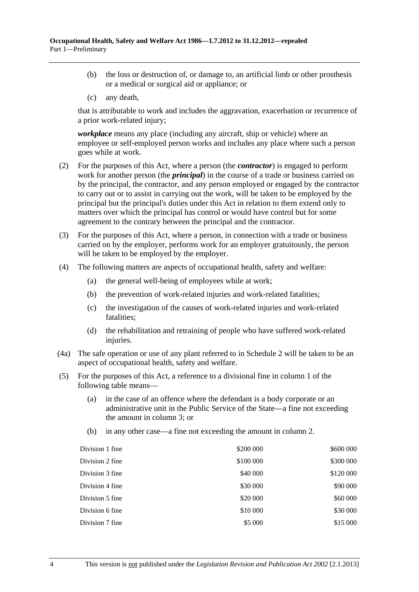- (b) the loss or destruction of, or damage to, an artificial limb or other prosthesis or a medical or surgical aid or appliance; or
- (c) any death,

that is attributable to work and includes the aggravation, exacerbation or recurrence of a prior work-related injury;

*workplace* means any place (including any aircraft, ship or vehicle) where an employee or self-employed person works and includes any place where such a person goes while at work.

- (2) For the purposes of this Act, where a person (the *contractor*) is engaged to perform work for another person (the *principal*) in the course of a trade or business carried on by the principal, the contractor, and any person employed or engaged by the contractor to carry out or to assist in carrying out the work, will be taken to be employed by the principal but the principal's duties under this Act in relation to them extend only to matters over which the principal has control or would have control but for some agreement to the contrary between the principal and the contractor.
- (3) For the purposes of this Act, where a person, in connection with a trade or business carried on by the employer, performs work for an employer gratuitously, the person will be taken to be employed by the employer.
- (4) The following matters are aspects of occupational health, safety and welfare:
	- (a) the general well-being of employees while at work;
	- (b) the prevention of work-related injuries and work-related fatalities;
	- (c) the investigation of the causes of work-related injuries and work-related fatalities;
	- (d) the rehabilitation and retraining of people who have suffered work-related injuries.
- (4a) The safe operation or use of any plant referred to in [Schedule 2](#page-73-0) will be taken to be an aspect of occupational health, safety and welfare.
- (5) For the purposes of this Act, a reference to a divisional fine in column 1 of the following table means—
	- (a) in the case of an offence where the defendant is a body corporate or an administrative unit in the Public Service of the State—a fine not exceeding the amount in column 3; or
	- (b) in any other case—a fine not exceeding the amount in column 2.

| Division 1 fine | \$200 000 | \$600 000 |
|-----------------|-----------|-----------|
| Division 2 fine | \$100 000 | \$300 000 |
| Division 3 fine | \$40 000  | \$120 000 |
| Division 4 fine | \$30 000  | \$90 000  |
| Division 5 fine | \$20 000  | \$60 000  |
| Division 6 fine | \$10 000  | \$30 000  |
| Division 7 fine | \$5 000   | \$15 000  |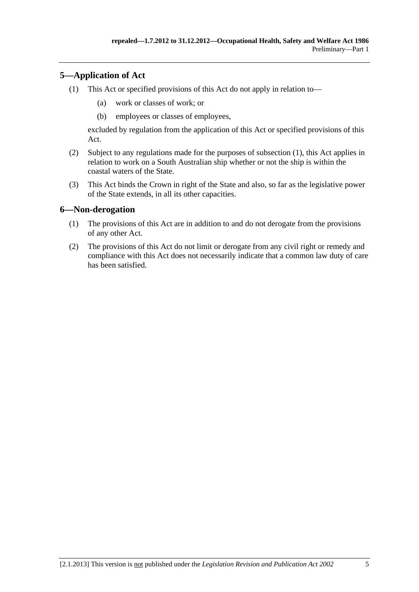### <span id="page-8-0"></span>**5—Application of Act**

- (1) This Act or specified provisions of this Act do not apply in relation to—
	- (a) work or classes of work; or
	- (b) employees or classes of employees,

excluded by regulation from the application of this Act or specified provisions of this Act.

- (2) Subject to any regulations made for the purposes of [subsection \(1\)](#page-8-0), this Act applies in relation to work on a South Australian ship whether or not the ship is within the coastal waters of the State.
- (3) This Act binds the Crown in right of the State and also, so far as the legislative power of the State extends, in all its other capacities.

#### **6—Non-derogation**

- (1) The provisions of this Act are in addition to and do not derogate from the provisions of any other Act.
- (2) The provisions of this Act do not limit or derogate from any civil right or remedy and compliance with this Act does not necessarily indicate that a common law duty of care has been satisfied.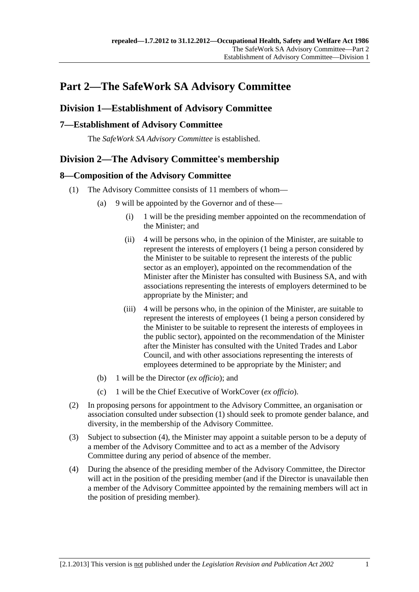# <span id="page-10-0"></span>**Part 2—The SafeWork SA Advisory Committee**

### **Division 1—Establishment of Advisory Committee**

### **7—Establishment of Advisory Committee**

The *SafeWork SA Advisory Committee* is established.

### **Division 2—The Advisory Committee's membership**

### **8—Composition of the Advisory Committee**

- (1) The Advisory Committee consists of 11 members of whom—
	- (a) 9 will be appointed by the Governor and of these—
		- (i) 1 will be the presiding member appointed on the recommendation of the Minister; and
		- (ii) 4 will be persons who, in the opinion of the Minister, are suitable to represent the interests of employers (1 being a person considered by the Minister to be suitable to represent the interests of the public sector as an employer), appointed on the recommendation of the Minister after the Minister has consulted with Business SA, and with associations representing the interests of employers determined to be appropriate by the Minister; and
		- (iii) 4 will be persons who, in the opinion of the Minister, are suitable to represent the interests of employees (1 being a person considered by the Minister to be suitable to represent the interests of employees in the public sector), appointed on the recommendation of the Minister after the Minister has consulted with the United Trades and Labor Council, and with other associations representing the interests of employees determined to be appropriate by the Minister; and
	- (b) 1 will be the Director (*ex officio*); and
	- (c) 1 will be the Chief Executive of WorkCover (*ex officio*).
- (2) In proposing persons for appointment to the Advisory Committee, an organisation or association consulted under [subsection \(1\)](#page-10-0) should seek to promote gender balance, and diversity, in the membership of the Advisory Committee.
- (3) Subject to [subsection \(4\),](#page-10-0) the Minister may appoint a suitable person to be a deputy of a member of the Advisory Committee and to act as a member of the Advisory Committee during any period of absence of the member.
- (4) During the absence of the presiding member of the Advisory Committee, the Director will act in the position of the presiding member (and if the Director is unavailable then a member of the Advisory Committee appointed by the remaining members will act in the position of presiding member).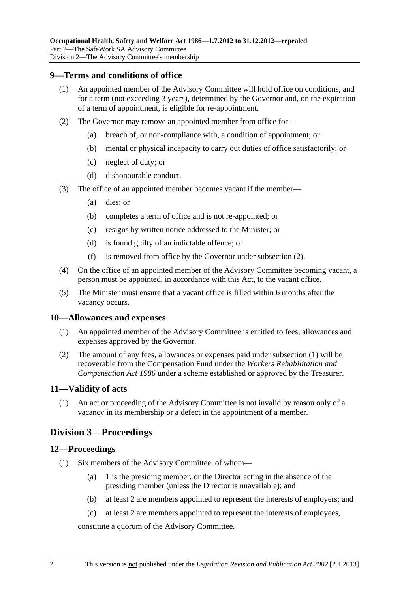#### <span id="page-11-0"></span>**9—Terms and conditions of office**

- (1) An appointed member of the Advisory Committee will hold office on conditions, and for a term (not exceeding 3 years), determined by the Governor and, on the expiration of a term of appointment, is eligible for re-appointment.
- (2) The Governor may remove an appointed member from office for—
	- (a) breach of, or non-compliance with, a condition of appointment; or
	- (b) mental or physical incapacity to carry out duties of office satisfactorily; or
	- (c) neglect of duty; or
	- (d) dishonourable conduct.
- (3) The office of an appointed member becomes vacant if the member—
	- (a) dies; or
	- (b) completes a term of office and is not re-appointed; or
	- (c) resigns by written notice addressed to the Minister; or
	- (d) is found guilty of an indictable offence; or
	- (f) is removed from office by the Governor under [subsection \(2\)](#page-11-0).
- (4) On the office of an appointed member of the Advisory Committee becoming vacant, a person must be appointed, in accordance with this Act, to the vacant office.
- (5) The Minister must ensure that a vacant office is filled within 6 months after the vacancy occurs.

#### **10—Allowances and expenses**

- (1) An appointed member of the Advisory Committee is entitled to fees, allowances and expenses approved by the Governor.
- (2) The amount of any fees, allowances or expenses paid under [subsection \(1\)](#page-11-0) will be recoverable from the Compensation Fund under the *[Workers Rehabilitation and](http://www.legislation.sa.gov.au/index.aspx?action=legref&type=act&legtitle=Workers%20Rehabilitation%20and%20Compensation%20Act%201986)  [Compensation Act 1986](http://www.legislation.sa.gov.au/index.aspx?action=legref&type=act&legtitle=Workers%20Rehabilitation%20and%20Compensation%20Act%201986)* under a scheme established or approved by the Treasurer.

#### **11—Validity of acts**

 (1) An act or proceeding of the Advisory Committee is not invalid by reason only of a vacancy in its membership or a defect in the appointment of a member.

#### **Division 3—Proceedings**

#### **12—Proceedings**

- (1) Six members of the Advisory Committee, of whom—
	- (a) 1 is the presiding member, or the Director acting in the absence of the presiding member (unless the Director is unavailable); and
	- (b) at least 2 are members appointed to represent the interests of employers; and
	- (c) at least 2 are members appointed to represent the interests of employees,

constitute a quorum of the Advisory Committee.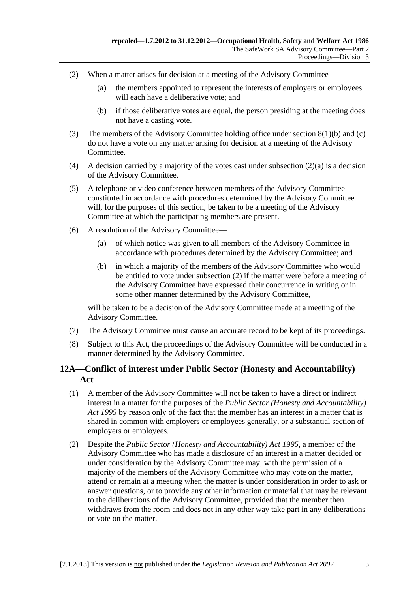- <span id="page-12-0"></span> (2) When a matter arises for decision at a meeting of the Advisory Committee—
	- (a) the members appointed to represent the interests of employers or employees will each have a deliberative vote; and
	- (b) if those deliberative votes are equal, the person presiding at the meeting does not have a casting vote.
- (3) The members of the Advisory Committee holding office under [section 8\(1\)\(b\)](#page-10-0) and [\(c\)](#page-10-0) do not have a vote on any matter arising for decision at a meeting of the Advisory Committee.
- (4) A decision carried by a majority of the votes cast under subsection  $(2)(a)$  is a decision of the Advisory Committee.
- (5) A telephone or video conference between members of the Advisory Committee constituted in accordance with procedures determined by the Advisory Committee will, for the purposes of this section, be taken to be a meeting of the Advisory Committee at which the participating members are present.
- (6) A resolution of the Advisory Committee—
	- (a) of which notice was given to all members of the Advisory Committee in accordance with procedures determined by the Advisory Committee; and
	- (b) in which a majority of the members of the Advisory Committee who would be entitled to vote under [subsection \(2\)](#page-12-0) if the matter were before a meeting of the Advisory Committee have expressed their concurrence in writing or in some other manner determined by the Advisory Committee,

will be taken to be a decision of the Advisory Committee made at a meeting of the Advisory Committee.

- (7) The Advisory Committee must cause an accurate record to be kept of its proceedings.
- (8) Subject to this Act, the proceedings of the Advisory Committee will be conducted in a manner determined by the Advisory Committee.

### **12A—Conflict of interest under Public Sector (Honesty and Accountability) Act**

- (1) A member of the Advisory Committee will not be taken to have a direct or indirect interest in a matter for the purposes of the *[Public Sector \(Honesty and Accountability\)](http://www.legislation.sa.gov.au/index.aspx?action=legref&type=act&legtitle=Public%20Sector%20(Honesty%20and%20Accountability)%20Act%201995)  [Act 1995](http://www.legislation.sa.gov.au/index.aspx?action=legref&type=act&legtitle=Public%20Sector%20(Honesty%20and%20Accountability)%20Act%201995)* by reason only of the fact that the member has an interest in a matter that is shared in common with employers or employees generally, or a substantial section of employers or employees.
- (2) Despite the *[Public Sector \(Honesty and Accountability\) Act 1995](http://www.legislation.sa.gov.au/index.aspx?action=legref&type=act&legtitle=Public%20Sector%20(Honesty%20and%20Accountability)%20Act%201995)*, a member of the Advisory Committee who has made a disclosure of an interest in a matter decided or under consideration by the Advisory Committee may, with the permission of a majority of the members of the Advisory Committee who may vote on the matter, attend or remain at a meeting when the matter is under consideration in order to ask or answer questions, or to provide any other information or material that may be relevant to the deliberations of the Advisory Committee, provided that the member then withdraws from the room and does not in any other way take part in any deliberations or vote on the matter.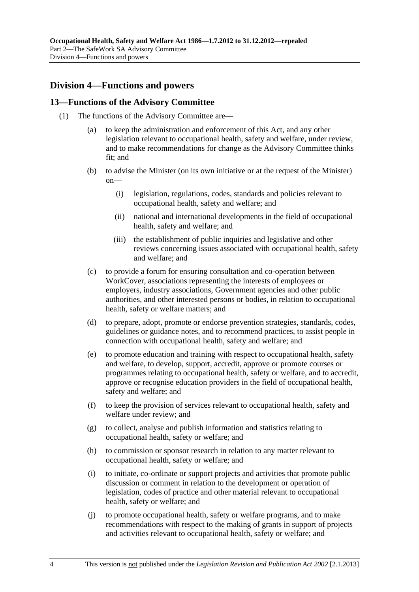### <span id="page-13-0"></span>**Division 4—Functions and powers**

#### **13—Functions of the Advisory Committee**

- (1) The functions of the Advisory Committee are—
	- (a) to keep the administration and enforcement of this Act, and any other legislation relevant to occupational health, safety and welfare, under review, and to make recommendations for change as the Advisory Committee thinks fit; and
	- (b) to advise the Minister (on its own initiative or at the request of the Minister) on—
		- (i) legislation, regulations, codes, standards and policies relevant to occupational health, safety and welfare; and
		- (ii) national and international developments in the field of occupational health, safety and welfare; and
		- (iii) the establishment of public inquiries and legislative and other reviews concerning issues associated with occupational health, safety and welfare; and
	- (c) to provide a forum for ensuring consultation and co-operation between WorkCover, associations representing the interests of employees or employers, industry associations, Government agencies and other public authorities, and other interested persons or bodies, in relation to occupational health, safety or welfare matters; and
	- (d) to prepare, adopt, promote or endorse prevention strategies, standards, codes, guidelines or guidance notes, and to recommend practices, to assist people in connection with occupational health, safety and welfare; and
	- (e) to promote education and training with respect to occupational health, safety and welfare, to develop, support, accredit, approve or promote courses or programmes relating to occupational health, safety or welfare, and to accredit, approve or recognise education providers in the field of occupational health, safety and welfare; and
	- (f) to keep the provision of services relevant to occupational health, safety and welfare under review; and
	- (g) to collect, analyse and publish information and statistics relating to occupational health, safety or welfare; and
	- (h) to commission or sponsor research in relation to any matter relevant to occupational health, safety or welfare; and
	- (i) to initiate, co-ordinate or support projects and activities that promote public discussion or comment in relation to the development or operation of legislation, codes of practice and other material relevant to occupational health, safety or welfare; and
	- (j) to promote occupational health, safety or welfare programs, and to make recommendations with respect to the making of grants in support of projects and activities relevant to occupational health, safety or welfare; and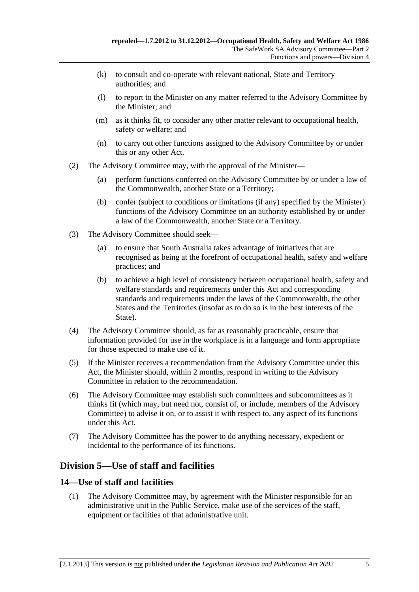- <span id="page-14-0"></span> (k) to consult and co-operate with relevant national, State and Territory authorities; and
- (l) to report to the Minister on any matter referred to the Advisory Committee by the Minister; and
- (m) as it thinks fit, to consider any other matter relevant to occupational health, safety or welfare; and
- (n) to carry out other functions assigned to the Advisory Committee by or under this or any other Act.
- (2) The Advisory Committee may, with the approval of the Minister—
	- (a) perform functions conferred on the Advisory Committee by or under a law of the Commonwealth, another State or a Territory;
	- (b) confer (subject to conditions or limitations (if any) specified by the Minister) functions of the Advisory Committee on an authority established by or under a law of the Commonwealth, another State or a Territory.
- (3) The Advisory Committee should seek—
	- (a) to ensure that South Australia takes advantage of initiatives that are recognised as being at the forefront of occupational health, safety and welfare practices; and
	- (b) to achieve a high level of consistency between occupational health, safety and welfare standards and requirements under this Act and corresponding standards and requirements under the laws of the Commonwealth, the other States and the Territories (insofar as to do so is in the best interests of the State).
- (4) The Advisory Committee should, as far as reasonably practicable, ensure that information provided for use in the workplace is in a language and form appropriate for those expected to make use of it.
- (5) If the Minister receives a recommendation from the Advisory Committee under this Act, the Minister should, within 2 months, respond in writing to the Advisory Committee in relation to the recommendation.
- (6) The Advisory Committee may establish such committees and subcommittees as it thinks fit (which may, but need not, consist of, or include, members of the Advisory Committee) to advise it on, or to assist it with respect to, any aspect of its functions under this Act.
- (7) The Advisory Committee has the power to do anything necessary, expedient or incidental to the performance of its functions.

### **Division 5—Use of staff and facilities**

#### **14—Use of staff and facilities**

 (1) The Advisory Committee may, by agreement with the Minister responsible for an administrative unit in the Public Service, make use of the services of the staff, equipment or facilities of that administrative unit.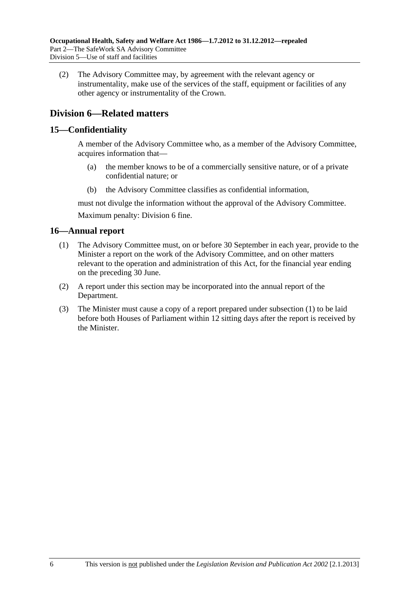<span id="page-15-0"></span> (2) The Advisory Committee may, by agreement with the relevant agency or instrumentality, make use of the services of the staff, equipment or facilities of any other agency or instrumentality of the Crown.

### **Division 6—Related matters**

#### **15—Confidentiality**

A member of the Advisory Committee who, as a member of the Advisory Committee, acquires information that—

- (a) the member knows to be of a commercially sensitive nature, or of a private confidential nature; or
- (b) the Advisory Committee classifies as confidential information,

must not divulge the information without the approval of the Advisory Committee. Maximum penalty: Division 6 fine.

#### **16—Annual report**

- (1) The Advisory Committee must, on or before 30 September in each year, provide to the Minister a report on the work of the Advisory Committee, and on other matters relevant to the operation and administration of this Act, for the financial year ending on the preceding 30 June.
- (2) A report under this section may be incorporated into the annual report of the Department.
- (3) The Minister must cause a copy of a report prepared under [subsection \(1\)](#page-15-0) to be laid before both Houses of Parliament within 12 sitting days after the report is received by the Minister.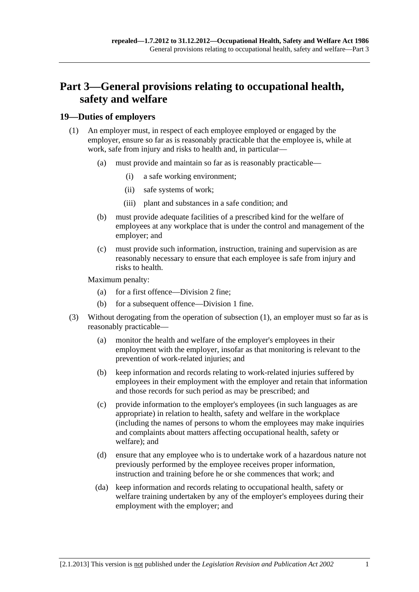# <span id="page-16-0"></span>**Part 3—General provisions relating to occupational health, safety and welfare**

#### **19—Duties of employers**

- (1) An employer must, in respect of each employee employed or engaged by the employer, ensure so far as is reasonably practicable that the employee is, while at work, safe from injury and risks to health and, in particular—
	- (a) must provide and maintain so far as is reasonably practicable—
		- (i) a safe working environment;
		- (ii) safe systems of work;
		- (iii) plant and substances in a safe condition; and
	- (b) must provide adequate facilities of a prescribed kind for the welfare of employees at any workplace that is under the control and management of the employer; and
	- (c) must provide such information, instruction, training and supervision as are reasonably necessary to ensure that each employee is safe from injury and risks to health.

Maximum penalty:

- (a) for a first offence—Division 2 fine;
- (b) for a subsequent offence—Division 1 fine.
- (3) Without derogating from the operation of [subsection \(1\)](#page-16-0), an employer must so far as is reasonably practicable—
	- (a) monitor the health and welfare of the employer's employees in their employment with the employer, insofar as that monitoring is relevant to the prevention of work-related injuries; and
	- (b) keep information and records relating to work-related injuries suffered by employees in their employment with the employer and retain that information and those records for such period as may be prescribed; and
	- (c) provide information to the employer's employees (in such languages as are appropriate) in relation to health, safety and welfare in the workplace (including the names of persons to whom the employees may make inquiries and complaints about matters affecting occupational health, safety or welfare); and
	- (d) ensure that any employee who is to undertake work of a hazardous nature not previously performed by the employee receives proper information, instruction and training before he or she commences that work; and
	- (da) keep information and records relating to occupational health, safety or welfare training undertaken by any of the employer's employees during their employment with the employer; and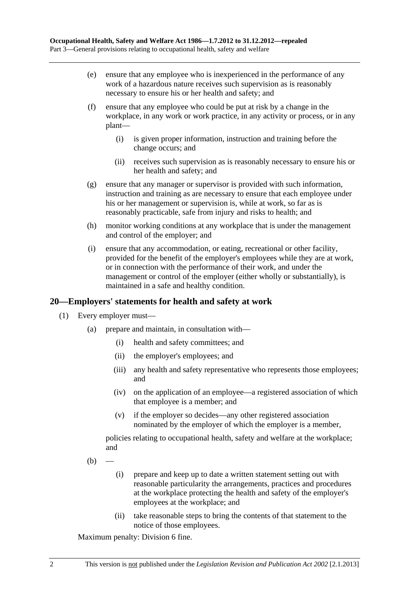- <span id="page-17-0"></span> (e) ensure that any employee who is inexperienced in the performance of any work of a hazardous nature receives such supervision as is reasonably necessary to ensure his or her health and safety; and
- (f) ensure that any employee who could be put at risk by a change in the workplace, in any work or work practice, in any activity or process, or in any plant—
	- (i) is given proper information, instruction and training before the change occurs; and
	- (ii) receives such supervision as is reasonably necessary to ensure his or her health and safety; and
- (g) ensure that any manager or supervisor is provided with such information, instruction and training as are necessary to ensure that each employee under his or her management or supervision is, while at work, so far as is reasonably practicable, safe from injury and risks to health; and
- (h) monitor working conditions at any workplace that is under the management and control of the employer; and
- (i) ensure that any accommodation, or eating, recreational or other facility, provided for the benefit of the employer's employees while they are at work, or in connection with the performance of their work, and under the management or control of the employer (either wholly or substantially), is maintained in a safe and healthy condition.

#### **20—Employers' statements for health and safety at work**

- (1) Every employer must—
	- (a) prepare and maintain, in consultation with—
		- (i) health and safety committees; and
		- (ii) the employer's employees; and
		- (iii) any health and safety representative who represents those employees; and
		- (iv) on the application of an employee—a registered association of which that employee is a member; and
		- (v) if the employer so decides—any other registered association nominated by the employer of which the employer is a member,

policies relating to occupational health, safety and welfare at the workplace; and

- $(b)$ 
	- (i) prepare and keep up to date a written statement setting out with reasonable particularity the arrangements, practices and procedures at the workplace protecting the health and safety of the employer's employees at the workplace; and
	- (ii) take reasonable steps to bring the contents of that statement to the notice of those employees.

Maximum penalty: Division 6 fine.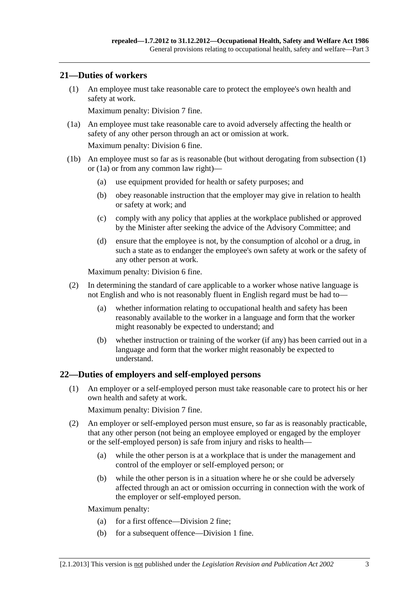#### <span id="page-18-0"></span>**21—Duties of workers**

 (1) An employee must take reasonable care to protect the employee's own health and safety at work.

Maximum penalty: Division 7 fine.

 (1a) An employee must take reasonable care to avoid adversely affecting the health or safety of any other person through an act or omission at work.

Maximum penalty: Division 6 fine.

- (1b) An employee must so far as is reasonable (but without derogating from [subsection \(1\)](#page-18-0)  or [\(1a\)](#page-18-0) or from any common law right)—
	- (a) use equipment provided for health or safety purposes; and
	- (b) obey reasonable instruction that the employer may give in relation to health or safety at work; and
	- (c) comply with any policy that applies at the workplace published or approved by the Minister after seeking the advice of the Advisory Committee; and
	- (d) ensure that the employee is not, by the consumption of alcohol or a drug, in such a state as to endanger the employee's own safety at work or the safety of any other person at work.

Maximum penalty: Division 6 fine.

- (2) In determining the standard of care applicable to a worker whose native language is not English and who is not reasonably fluent in English regard must be had to—
	- (a) whether information relating to occupational health and safety has been reasonably available to the worker in a language and form that the worker might reasonably be expected to understand; and
	- (b) whether instruction or training of the worker (if any) has been carried out in a language and form that the worker might reasonably be expected to understand.

#### **22—Duties of employers and self-employed persons**

 (1) An employer or a self-employed person must take reasonable care to protect his or her own health and safety at work.

Maximum penalty: Division 7 fine.

- (2) An employer or self-employed person must ensure, so far as is reasonably practicable, that any other person (not being an employee employed or engaged by the employer or the self-employed person) is safe from injury and risks to health—
	- (a) while the other person is at a workplace that is under the management and control of the employer or self-employed person; or
	- (b) while the other person is in a situation where he or she could be adversely affected through an act or omission occurring in connection with the work of the employer or self-employed person.

Maximum penalty:

- (a) for a first offence—Division 2 fine;
- (b) for a subsequent offence—Division 1 fine.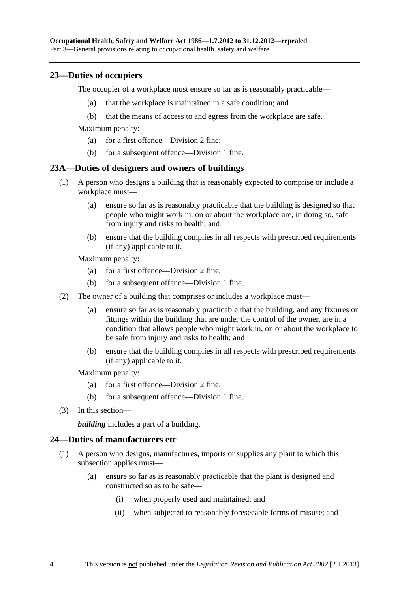#### <span id="page-19-0"></span>**23—Duties of occupiers**

The occupier of a workplace must ensure so far as is reasonably practicable—

- (a) that the workplace is maintained in a safe condition; and
- (b) that the means of access to and egress from the workplace are safe.

Maximum penalty:

- (a) for a first offence—Division 2 fine;
- (b) for a subsequent offence—Division 1 fine.

#### **23A—Duties of designers and owners of buildings**

- (1) A person who designs a building that is reasonably expected to comprise or include a workplace must—
	- (a) ensure so far as is reasonably practicable that the building is designed so that people who might work in, on or about the workplace are, in doing so, safe from injury and risks to health; and
	- (b) ensure that the building complies in all respects with prescribed requirements (if any) applicable to it.

Maximum penalty:

- (a) for a first offence—Division 2 fine;
- (b) for a subsequent offence—Division 1 fine.
- (2) The owner of a building that comprises or includes a workplace must—
	- (a) ensure so far as is reasonably practicable that the building, and any fixtures or fittings within the building that are under the control of the owner, are in a condition that allows people who might work in, on or about the workplace to be safe from injury and risks to health; and
	- (b) ensure that the building complies in all respects with prescribed requirements (if any) applicable to it.

Maximum penalty:

- (a) for a first offence—Division 2 fine;
- (b) for a subsequent offence—Division 1 fine.
- (3) In this section—

*building* includes a part of a building.

#### **24—Duties of manufacturers etc**

- (1) A person who designs, manufactures, imports or supplies any plant to which this subsection applies must—
	- (a) ensure so far as is reasonably practicable that the plant is designed and constructed so as to be safe—
		- (i) when properly used and maintained; and
		- (ii) when subjected to reasonably foreseeable forms of misuse; and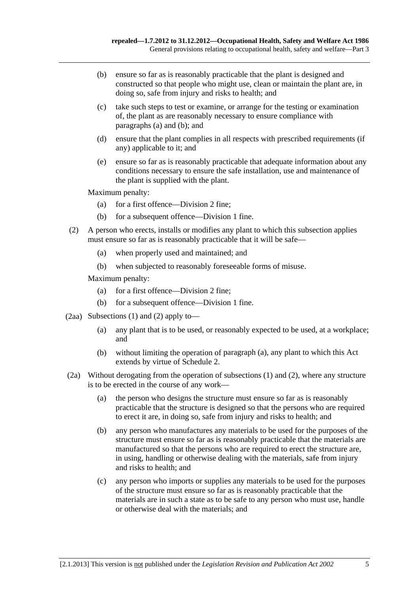- <span id="page-20-0"></span> (b) ensure so far as is reasonably practicable that the plant is designed and constructed so that people who might use, clean or maintain the plant are, in doing so, safe from injury and risks to health; and
- (c) take such steps to test or examine, or arrange for the testing or examination of, the plant as are reasonably necessary to ensure compliance with [paragraphs \(a\)](#page-19-0) and [\(b\)](#page-20-0); and
- (d) ensure that the plant complies in all respects with prescribed requirements (if any) applicable to it; and
- (e) ensure so far as is reasonably practicable that adequate information about any conditions necessary to ensure the safe installation, use and maintenance of the plant is supplied with the plant.

Maximum penalty:

- (a) for a first offence—Division 2 fine;
- (b) for a subsequent offence—Division 1 fine.
- (2) A person who erects, installs or modifies any plant to which this subsection applies must ensure so far as is reasonably practicable that it will be safe—
	- (a) when properly used and maintained; and
	- (b) when subjected to reasonably foreseeable forms of misuse.

Maximum penalty:

- (a) for a first offence—Division 2 fine;
- (b) for a subsequent offence—Division 1 fine.
- (2aa) [Subsections \(1\)](#page-19-0) and [\(2\)](#page-20-0) apply to—
	- (a) any plant that is to be used, or reasonably expected to be used, at a workplace; and
	- (b) without limiting the operation of [paragraph \(a\)](#page-20-0), any plant to which this Act extends by virtue of [Schedule 2.](#page-73-0)
- (2a) Without derogating from the operation of [subsections \(1\)](#page-19-0) and [\(2\),](#page-20-0) where any structure is to be erected in the course of any work—
	- (a) the person who designs the structure must ensure so far as is reasonably practicable that the structure is designed so that the persons who are required to erect it are, in doing so, safe from injury and risks to health; and
	- (b) any person who manufactures any materials to be used for the purposes of the structure must ensure so far as is reasonably practicable that the materials are manufactured so that the persons who are required to erect the structure are, in using, handling or otherwise dealing with the materials, safe from injury and risks to health; and
	- (c) any person who imports or supplies any materials to be used for the purposes of the structure must ensure so far as is reasonably practicable that the materials are in such a state as to be safe to any person who must use, handle or otherwise deal with the materials; and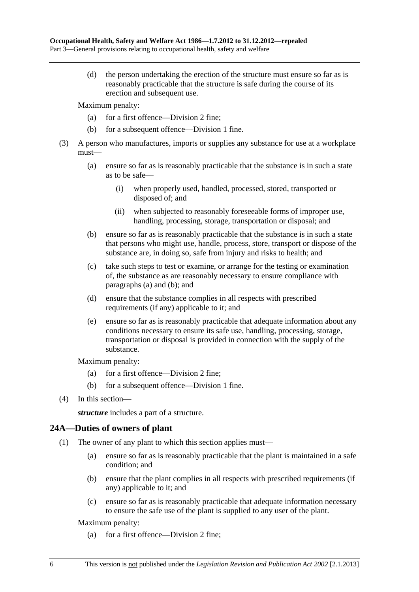<span id="page-21-0"></span> (d) the person undertaking the erection of the structure must ensure so far as is reasonably practicable that the structure is safe during the course of its erection and subsequent use.

Maximum penalty:

- (a) for a first offence—Division 2 fine;
- (b) for a subsequent offence—Division 1 fine.
- (3) A person who manufactures, imports or supplies any substance for use at a workplace must—
	- (a) ensure so far as is reasonably practicable that the substance is in such a state as to be safe—
		- (i) when properly used, handled, processed, stored, transported or disposed of; and
		- (ii) when subjected to reasonably foreseeable forms of improper use, handling, processing, storage, transportation or disposal; and
	- (b) ensure so far as is reasonably practicable that the substance is in such a state that persons who might use, handle, process, store, transport or dispose of the substance are, in doing so, safe from injury and risks to health; and
	- (c) take such steps to test or examine, or arrange for the testing or examination of, the substance as are reasonably necessary to ensure compliance with [paragraphs \(a\)](#page-21-0) and [\(b\)](#page-21-0); and
	- (d) ensure that the substance complies in all respects with prescribed requirements (if any) applicable to it; and
	- (e) ensure so far as is reasonably practicable that adequate information about any conditions necessary to ensure its safe use, handling, processing, storage, transportation or disposal is provided in connection with the supply of the substance.

Maximum penalty:

- (a) for a first offence—Division 2 fine;
- (b) for a subsequent offence—Division 1 fine.
- (4) In this section—

*structure* includes a part of a structure.

#### **24A—Duties of owners of plant**

- (1) The owner of any plant to which this section applies must—
	- (a) ensure so far as is reasonably practicable that the plant is maintained in a safe condition; and
	- (b) ensure that the plant complies in all respects with prescribed requirements (if any) applicable to it; and
	- (c) ensure so far as is reasonably practicable that adequate information necessary to ensure the safe use of the plant is supplied to any user of the plant.

Maximum penalty:

(a) for a first offence—Division 2 fine;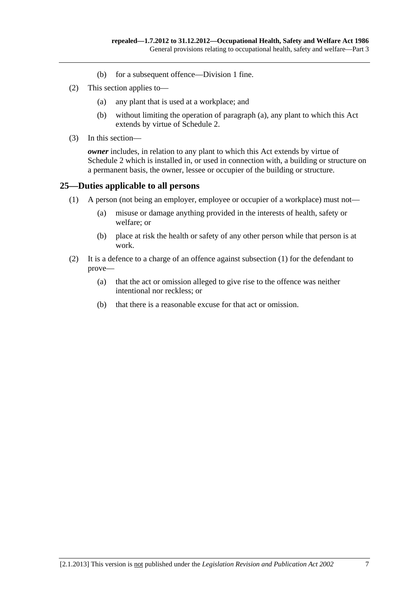- (b) for a subsequent offence—Division 1 fine.
- <span id="page-22-0"></span> (2) This section applies to—
	- (a) any plant that is used at a workplace; and
	- (b) without limiting the operation of [paragraph \(a\)](#page-22-0), any plant to which this Act extends by virtue of [Schedule 2.](#page-73-0)
- (3) In this section—

*owner* includes, in relation to any plant to which this Act extends by virtue of [Schedule 2](#page-73-0) which is installed in, or used in connection with, a building or structure on a permanent basis, the owner, lessee or occupier of the building or structure.

#### **25—Duties applicable to all persons**

- (1) A person (not being an employer, employee or occupier of a workplace) must not—
	- (a) misuse or damage anything provided in the interests of health, safety or welfare; or
	- (b) place at risk the health or safety of any other person while that person is at work.
- (2) It is a defence to a charge of an offence against [subsection \(1\)](#page-22-0) for the defendant to prove—
	- (a) that the act or omission alleged to give rise to the offence was neither intentional nor reckless; or
	- (b) that there is a reasonable excuse for that act or omission.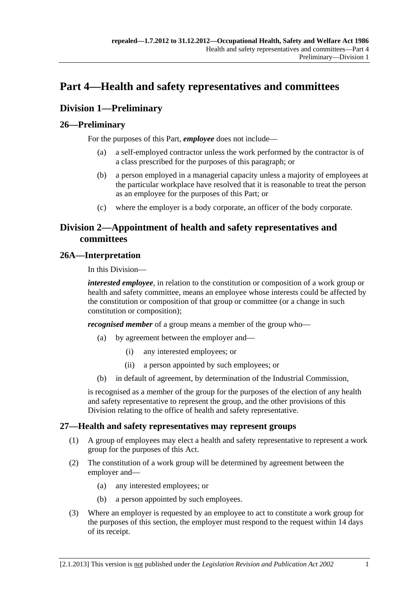# <span id="page-24-0"></span>**Part 4—Health and safety representatives and committees**

### **Division 1—Preliminary**

### **26—Preliminary**

For the purposes of this Part, *employee* does not include—

- (a) a self-employed contractor unless the work performed by the contractor is of a class prescribed for the purposes of this paragraph; or
- (b) a person employed in a managerial capacity unless a majority of employees at the particular workplace have resolved that it is reasonable to treat the person as an employee for the purposes of this Part; or
- (c) where the employer is a body corporate, an officer of the body corporate.

### **Division 2—Appointment of health and safety representatives and committees**

#### **26A—Interpretation**

In this Division—

*interested employee*, in relation to the constitution or composition of a work group or health and safety committee, means an employee whose interests could be affected by the constitution or composition of that group or committee (or a change in such constitution or composition);

*recognised member* of a group means a member of the group who—

- (a) by agreement between the employer and—
	- (i) any interested employees; or
	- (ii) a person appointed by such employees; or
- (b) in default of agreement, by determination of the Industrial Commission,

is recognised as a member of the group for the purposes of the election of any health and safety representative to represent the group, and the other provisions of this Division relating to the office of health and safety representative.

### **27—Health and safety representatives may represent groups**

- (1) A group of employees may elect a health and safety representative to represent a work group for the purposes of this Act.
- (2) The constitution of a work group will be determined by agreement between the employer and—
	- (a) any interested employees; or
	- (b) a person appointed by such employees.
- (3) Where an employer is requested by an employee to act to constitute a work group for the purposes of this section, the employer must respond to the request within 14 days of its receipt.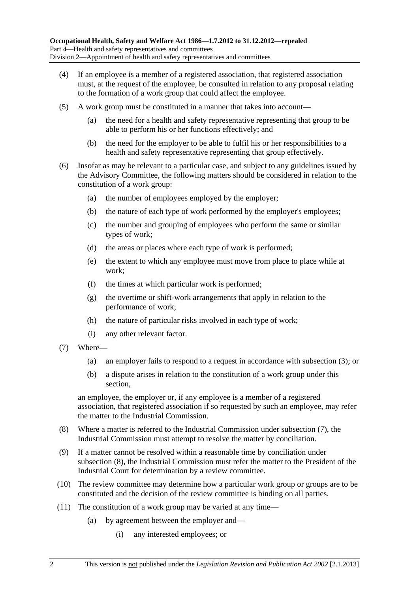- <span id="page-25-0"></span> (4) If an employee is a member of a registered association, that registered association must, at the request of the employee, be consulted in relation to any proposal relating to the formation of a work group that could affect the employee.
- (5) A work group must be constituted in a manner that takes into account—
	- (a) the need for a health and safety representative representing that group to be able to perform his or her functions effectively; and
	- (b) the need for the employer to be able to fulfil his or her responsibilities to a health and safety representative representing that group effectively.
- (6) Insofar as may be relevant to a particular case, and subject to any guidelines issued by the Advisory Committee, the following matters should be considered in relation to the constitution of a work group:
	- (a) the number of employees employed by the employer;
	- (b) the nature of each type of work performed by the employer's employees;
	- (c) the number and grouping of employees who perform the same or similar types of work;
	- (d) the areas or places where each type of work is performed;
	- (e) the extent to which any employee must move from place to place while at work;
	- (f) the times at which particular work is performed;
	- (g) the overtime or shift-work arrangements that apply in relation to the performance of work;
	- (h) the nature of particular risks involved in each type of work;
	- (i) any other relevant factor.
- (7) Where—
	- (a) an employer fails to respond to a request in accordance with [subsection \(3\);](#page-24-0) or
	- (b) a dispute arises in relation to the constitution of a work group under this section,

an employee, the employer or, if any employee is a member of a registered association, that registered association if so requested by such an employee, may refer the matter to the Industrial Commission.

- (8) Where a matter is referred to the Industrial Commission under [subsection \(7\),](#page-25-0) the Industrial Commission must attempt to resolve the matter by conciliation.
- (9) If a matter cannot be resolved within a reasonable time by conciliation under [subsection \(8\),](#page-25-0) the Industrial Commission must refer the matter to the President of the Industrial Court for determination by a review committee.
- (10) The review committee may determine how a particular work group or groups are to be constituted and the decision of the review committee is binding on all parties.
- (11) The constitution of a work group may be varied at any time—
	- (a) by agreement between the employer and—
		- (i) any interested employees; or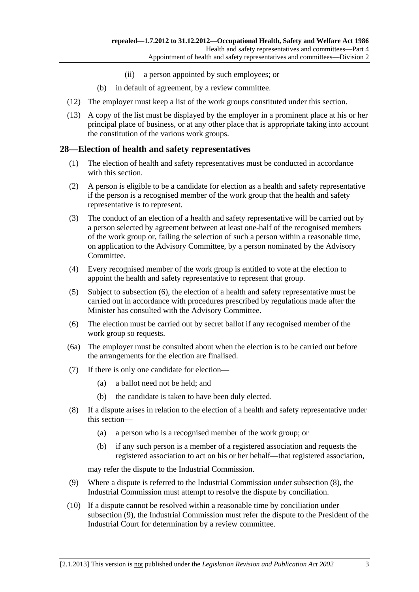- (ii) a person appointed by such employees; or
- (b) in default of agreement, by a review committee.
- <span id="page-26-0"></span>(12) The employer must keep a list of the work groups constituted under this section.
- (13) A copy of the list must be displayed by the employer in a prominent place at his or her principal place of business, or at any other place that is appropriate taking into account the constitution of the various work groups.

#### **28—Election of health and safety representatives**

- (1) The election of health and safety representatives must be conducted in accordance with this section.
- (2) A person is eligible to be a candidate for election as a health and safety representative if the person is a recognised member of the work group that the health and safety representative is to represent.
- (3) The conduct of an election of a health and safety representative will be carried out by a person selected by agreement between at least one-half of the recognised members of the work group or, failing the selection of such a person within a reasonable time, on application to the Advisory Committee, by a person nominated by the Advisory Committee.
- (4) Every recognised member of the work group is entitled to vote at the election to appoint the health and safety representative to represent that group.
- (5) Subject to [subsection \(6\),](#page-26-0) the election of a health and safety representative must be carried out in accordance with procedures prescribed by regulations made after the Minister has consulted with the Advisory Committee.
- (6) The election must be carried out by secret ballot if any recognised member of the work group so requests.
- (6a) The employer must be consulted about when the election is to be carried out before the arrangements for the election are finalised.
- (7) If there is only one candidate for election—
	- (a) a ballot need not be held; and
	- (b) the candidate is taken to have been duly elected.
- (8) If a dispute arises in relation to the election of a health and safety representative under this section—
	- (a) a person who is a recognised member of the work group; or
	- (b) if any such person is a member of a registered association and requests the registered association to act on his or her behalf—that registered association,

may refer the dispute to the Industrial Commission.

- (9) Where a dispute is referred to the Industrial Commission under [subsection \(8\),](#page-26-0) the Industrial Commission must attempt to resolve the dispute by conciliation.
- (10) If a dispute cannot be resolved within a reasonable time by conciliation under [subsection \(9\),](#page-26-0) the Industrial Commission must refer the dispute to the President of the Industrial Court for determination by a review committee.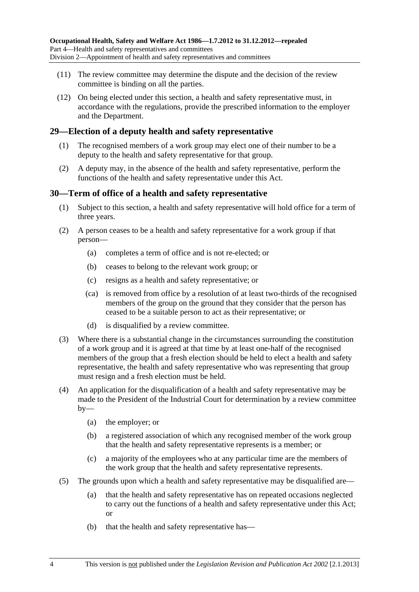- <span id="page-27-0"></span> (11) The review committee may determine the dispute and the decision of the review committee is binding on all the parties.
- (12) On being elected under this section, a health and safety representative must, in accordance with the regulations, provide the prescribed information to the employer and the Department.

#### **29—Election of a deputy health and safety representative**

- (1) The recognised members of a work group may elect one of their number to be a deputy to the health and safety representative for that group.
- (2) A deputy may, in the absence of the health and safety representative, perform the functions of the health and safety representative under this Act.

#### **30—Term of office of a health and safety representative**

- (1) Subject to this section, a health and safety representative will hold office for a term of three years.
- (2) A person ceases to be a health and safety representative for a work group if that person—
	- (a) completes a term of office and is not re-elected; or
	- (b) ceases to belong to the relevant work group; or
	- (c) resigns as a health and safety representative; or
	- (ca) is removed from office by a resolution of at least two-thirds of the recognised members of the group on the ground that they consider that the person has ceased to be a suitable person to act as their representative; or
	- (d) is disqualified by a review committee.
- (3) Where there is a substantial change in the circumstances surrounding the constitution of a work group and it is agreed at that time by at least one-half of the recognised members of the group that a fresh election should be held to elect a health and safety representative, the health and safety representative who was representing that group must resign and a fresh election must be held.
- (4) An application for the disqualification of a health and safety representative may be made to the President of the Industrial Court for determination by a review committee  $by-$ 
	- (a) the employer; or
	- (b) a registered association of which any recognised member of the work group that the health and safety representative represents is a member; or
	- (c) a majority of the employees who at any particular time are the members of the work group that the health and safety representative represents.
- (5) The grounds upon which a health and safety representative may be disqualified are—
	- (a) that the health and safety representative has on repeated occasions neglected to carry out the functions of a health and safety representative under this Act; or
	- (b) that the health and safety representative has—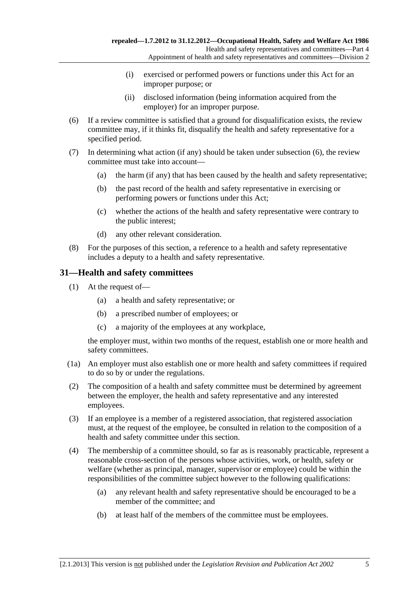- (i) exercised or performed powers or functions under this Act for an improper purpose; or
- (ii) disclosed information (being information acquired from the employer) for an improper purpose.
- <span id="page-28-0"></span> (6) If a review committee is satisfied that a ground for disqualification exists, the review committee may, if it thinks fit, disqualify the health and safety representative for a specified period.
- (7) In determining what action (if any) should be taken under [subsection \(6\),](#page-28-0) the review committee must take into account—
	- (a) the harm (if any) that has been caused by the health and safety representative;
	- (b) the past record of the health and safety representative in exercising or performing powers or functions under this Act;
	- (c) whether the actions of the health and safety representative were contrary to the public interest;
	- (d) any other relevant consideration.
- (8) For the purposes of this section, a reference to a health and safety representative includes a deputy to a health and safety representative.

#### **31—Health and safety committees**

- (1) At the request of—
	- (a) a health and safety representative; or
	- (b) a prescribed number of employees; or
	- (c) a majority of the employees at any workplace,

the employer must, within two months of the request, establish one or more health and safety committees.

- (1a) An employer must also establish one or more health and safety committees if required to do so by or under the regulations.
- (2) The composition of a health and safety committee must be determined by agreement between the employer, the health and safety representative and any interested employees.
- (3) If an employee is a member of a registered association, that registered association must, at the request of the employee, be consulted in relation to the composition of a health and safety committee under this section.
- (4) The membership of a committee should, so far as is reasonably practicable, represent a reasonable cross-section of the persons whose activities, work, or health, safety or welfare (whether as principal, manager, supervisor or employee) could be within the responsibilities of the committee subject however to the following qualifications:
	- (a) any relevant health and safety representative should be encouraged to be a member of the committee; and
	- (b) at least half of the members of the committee must be employees.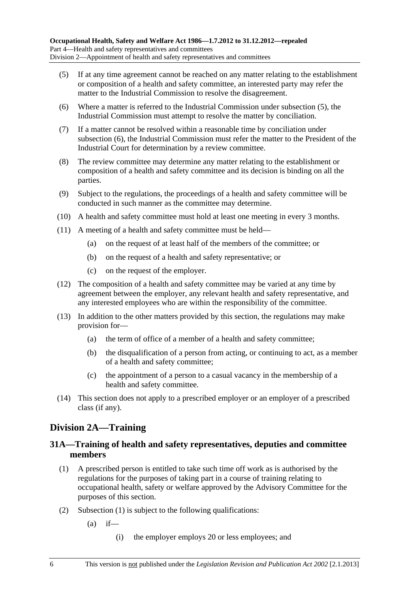- <span id="page-29-0"></span> (5) If at any time agreement cannot be reached on any matter relating to the establishment or composition of a health and safety committee, an interested party may refer the matter to the Industrial Commission to resolve the disagreement.
- (6) Where a matter is referred to the Industrial Commission under [subsection \(5\),](#page-29-0) the Industrial Commission must attempt to resolve the matter by conciliation.
- (7) If a matter cannot be resolved within a reasonable time by conciliation under [subsection \(6\),](#page-29-0) the Industrial Commission must refer the matter to the President of the Industrial Court for determination by a review committee.
- (8) The review committee may determine any matter relating to the establishment or composition of a health and safety committee and its decision is binding on all the parties.
- (9) Subject to the regulations, the proceedings of a health and safety committee will be conducted in such manner as the committee may determine.
- (10) A health and safety committee must hold at least one meeting in every 3 months.
- (11) A meeting of a health and safety committee must be held—
	- (a) on the request of at least half of the members of the committee; or
	- (b) on the request of a health and safety representative; or
	- (c) on the request of the employer.
- (12) The composition of a health and safety committee may be varied at any time by agreement between the employer, any relevant health and safety representative, and any interested employees who are within the responsibility of the committee.
- (13) In addition to the other matters provided by this section, the regulations may make provision for—
	- (a) the term of office of a member of a health and safety committee;
	- (b) the disqualification of a person from acting, or continuing to act, as a member of a health and safety committee;
	- (c) the appointment of a person to a casual vacancy in the membership of a health and safety committee.
- (14) This section does not apply to a prescribed employer or an employer of a prescribed class (if any).

### **Division 2A—Training**

#### **31A—Training of health and safety representatives, deputies and committee members**

- (1) A prescribed person is entitled to take such time off work as is authorised by the regulations for the purposes of taking part in a course of training relating to occupational health, safety or welfare approved by the Advisory Committee for the purposes of this section.
- (2) [Subsection \(1\)](#page-29-0) is subject to the following qualifications:
	- $(a)$  if—
		- (i) the employer employs 20 or less employees; and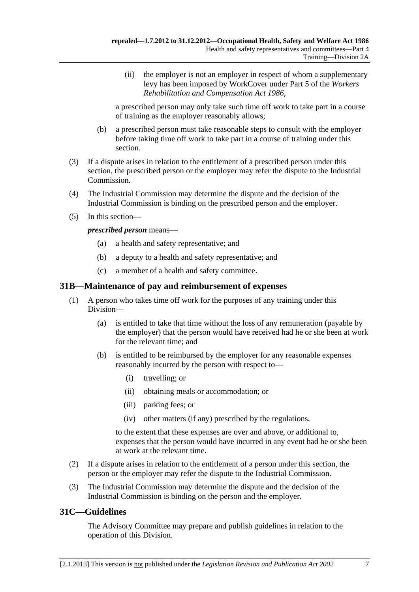<span id="page-30-0"></span> (ii) the employer is not an employer in respect of whom a supplementary levy has been imposed by WorkCover under Part 5 of the *[Workers](http://www.legislation.sa.gov.au/index.aspx?action=legref&type=act&legtitle=Workers%20Rehabilitation%20and%20Compensation%20Act%201986)  [Rehabilitation and Compensation Act 1986](http://www.legislation.sa.gov.au/index.aspx?action=legref&type=act&legtitle=Workers%20Rehabilitation%20and%20Compensation%20Act%201986)*,

a prescribed person may only take such time off work to take part in a course of training as the employer reasonably allows;

- (b) a prescribed person must take reasonable steps to consult with the employer before taking time off work to take part in a course of training under this section.
- (3) If a dispute arises in relation to the entitlement of a prescribed person under this section, the prescribed person or the employer may refer the dispute to the Industrial Commission.
- (4) The Industrial Commission may determine the dispute and the decision of the Industrial Commission is binding on the prescribed person and the employer.
- (5) In this section—

*prescribed person* means—

- (a) a health and safety representative; and
- (b) a deputy to a health and safety representative; and
- (c) a member of a health and safety committee.

#### **31B—Maintenance of pay and reimbursement of expenses**

- (1) A person who takes time off work for the purposes of any training under this Division—
	- (a) is entitled to take that time without the loss of any remuneration (payable by the employer) that the person would have received had he or she been at work for the relevant time; and
	- (b) is entitled to be reimbursed by the employer for any reasonable expenses reasonably incurred by the person with respect to—
		- (i) travelling; or
		- (ii) obtaining meals or accommodation; or
		- (iii) parking fees; or
		- (iv) other matters (if any) prescribed by the regulations,

to the extent that these expenses are over and above, or additional to, expenses that the person would have incurred in any event had he or she been at work at the relevant time.

- (2) If a dispute arises in relation to the entitlement of a person under this section, the person or the employer may refer the dispute to the Industrial Commission.
- (3) The Industrial Commission may determine the dispute and the decision of the Industrial Commission is binding on the person and the employer.

### **31C—Guidelines**

The Advisory Committee may prepare and publish guidelines in relation to the operation of this Division.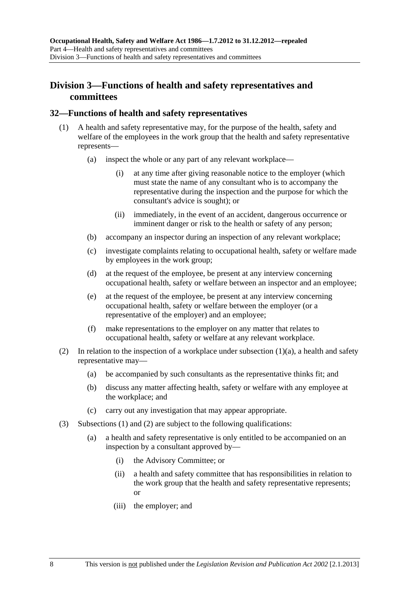### <span id="page-31-0"></span>**Division 3—Functions of health and safety representatives and committees**

#### **32—Functions of health and safety representatives**

- (1) A health and safety representative may, for the purpose of the health, safety and welfare of the employees in the work group that the health and safety representative represents—
	- (a) inspect the whole or any part of any relevant workplace—
		- (i) at any time after giving reasonable notice to the employer (which must state the name of any consultant who is to accompany the representative during the inspection and the purpose for which the consultant's advice is sought); or
		- (ii) immediately, in the event of an accident, dangerous occurrence or imminent danger or risk to the health or safety of any person;
	- (b) accompany an inspector during an inspection of any relevant workplace;
	- (c) investigate complaints relating to occupational health, safety or welfare made by employees in the work group;
	- (d) at the request of the employee, be present at any interview concerning occupational health, safety or welfare between an inspector and an employee;
	- (e) at the request of the employee, be present at any interview concerning occupational health, safety or welfare between the employer (or a representative of the employer) and an employee;
	- (f) make representations to the employer on any matter that relates to occupational health, safety or welfare at any relevant workplace.
- (2) In relation to the inspection of a workplace under subsection  $(1)(a)$ , a health and safety representative may—
	- (a) be accompanied by such consultants as the representative thinks fit; and
	- (b) discuss any matter affecting health, safety or welfare with any employee at the workplace; and
	- (c) carry out any investigation that may appear appropriate.
- (3) [Subsections \(1\)](#page-31-0) and [\(2\)](#page-31-0) are subject to the following qualifications:
	- (a) a health and safety representative is only entitled to be accompanied on an inspection by a consultant approved by—
		- (i) the Advisory Committee; or
		- (ii) a health and safety committee that has responsibilities in relation to the work group that the health and safety representative represents; or
		- (iii) the employer; and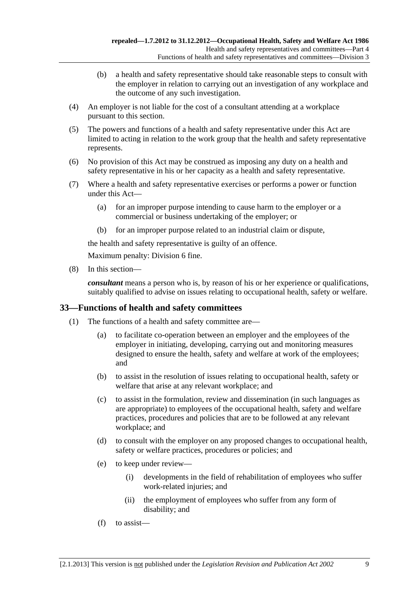- <span id="page-32-0"></span> (b) a health and safety representative should take reasonable steps to consult with the employer in relation to carrying out an investigation of any workplace and the outcome of any such investigation.
- (4) An employer is not liable for the cost of a consultant attending at a workplace pursuant to this section.
- (5) The powers and functions of a health and safety representative under this Act are limited to acting in relation to the work group that the health and safety representative represents.
- (6) No provision of this Act may be construed as imposing any duty on a health and safety representative in his or her capacity as a health and safety representative.
- (7) Where a health and safety representative exercises or performs a power or function under this Act—
	- (a) for an improper purpose intending to cause harm to the employer or a commercial or business undertaking of the employer; or
	- (b) for an improper purpose related to an industrial claim or dispute,

the health and safety representative is guilty of an offence.

Maximum penalty: Division 6 fine.

(8) In this section—

*consultant* means a person who is, by reason of his or her experience or qualifications, suitably qualified to advise on issues relating to occupational health, safety or welfare.

#### **33—Functions of health and safety committees**

- (1) The functions of a health and safety committee are—
	- (a) to facilitate co-operation between an employer and the employees of the employer in initiating, developing, carrying out and monitoring measures designed to ensure the health, safety and welfare at work of the employees; and
	- (b) to assist in the resolution of issues relating to occupational health, safety or welfare that arise at any relevant workplace; and
	- (c) to assist in the formulation, review and dissemination (in such languages as are appropriate) to employees of the occupational health, safety and welfare practices, procedures and policies that are to be followed at any relevant workplace; and
	- (d) to consult with the employer on any proposed changes to occupational health, safety or welfare practices, procedures or policies; and
	- (e) to keep under review—
		- (i) developments in the field of rehabilitation of employees who suffer work-related injuries; and
		- (ii) the employment of employees who suffer from any form of disability; and
	- (f) to assist—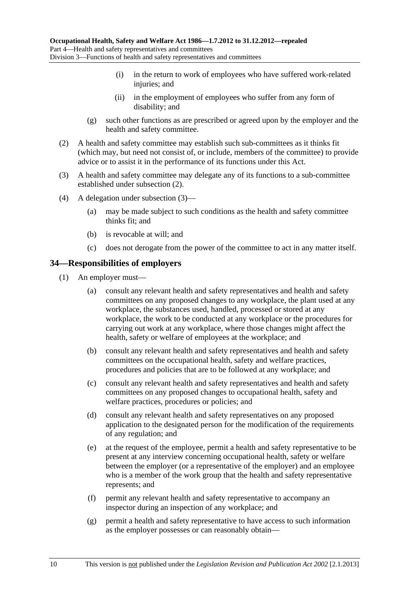- <span id="page-33-0"></span> (i) in the return to work of employees who have suffered work-related injuries; and
- (ii) in the employment of employees who suffer from any form of disability; and
- (g) such other functions as are prescribed or agreed upon by the employer and the health and safety committee.
- (2) A health and safety committee may establish such sub-committees as it thinks fit (which may, but need not consist of, or include, members of the committee) to provide advice or to assist it in the performance of its functions under this Act.
- (3) A health and safety committee may delegate any of its functions to a sub-committee established under [subsection \(2\).](#page-33-0)
- (4) A delegation under [subsection \(3\)—](#page-33-0)
	- (a) may be made subject to such conditions as the health and safety committee thinks fit; and
	- (b) is revocable at will; and
	- (c) does not derogate from the power of the committee to act in any matter itself.

#### **34—Responsibilities of employers**

- (1) An employer must—
	- (a) consult any relevant health and safety representatives and health and safety committees on any proposed changes to any workplace, the plant used at any workplace, the substances used, handled, processed or stored at any workplace, the work to be conducted at any workplace or the procedures for carrying out work at any workplace, where those changes might affect the health, safety or welfare of employees at the workplace; and
	- (b) consult any relevant health and safety representatives and health and safety committees on the occupational health, safety and welfare practices, procedures and policies that are to be followed at any workplace; and
	- (c) consult any relevant health and safety representatives and health and safety committees on any proposed changes to occupational health, safety and welfare practices, procedures or policies; and
	- (d) consult any relevant health and safety representatives on any proposed application to the designated person for the modification of the requirements of any regulation; and
	- (e) at the request of the employee, permit a health and safety representative to be present at any interview concerning occupational health, safety or welfare between the employer (or a representative of the employer) and an employee who is a member of the work group that the health and safety representative represents; and
	- (f) permit any relevant health and safety representative to accompany an inspector during an inspection of any workplace; and
	- (g) permit a health and safety representative to have access to such information as the employer possesses or can reasonably obtain—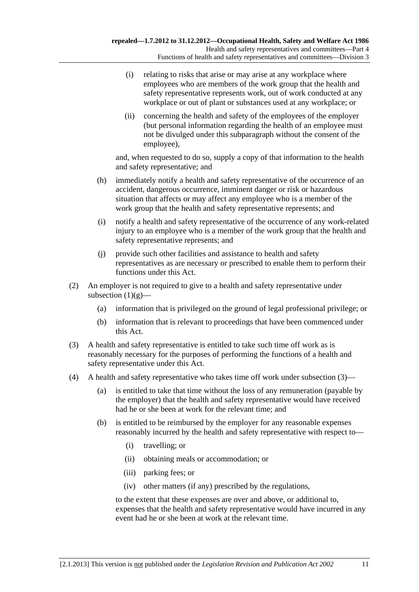- <span id="page-34-0"></span> (i) relating to risks that arise or may arise at any workplace where employees who are members of the work group that the health and safety representative represents work, out of work conducted at any workplace or out of plant or substances used at any workplace; or
- (ii) concerning the health and safety of the employees of the employer (but personal information regarding the health of an employee must not be divulged under this subparagraph without the consent of the employee),

and, when requested to do so, supply a copy of that information to the health and safety representative; and

- (h) immediately notify a health and safety representative of the occurrence of an accident, dangerous occurrence, imminent danger or risk or hazardous situation that affects or may affect any employee who is a member of the work group that the health and safety representative represents; and
- (i) notify a health and safety representative of the occurrence of any work-related injury to an employee who is a member of the work group that the health and safety representative represents; and
- (j) provide such other facilities and assistance to health and safety representatives as are necessary or prescribed to enable them to perform their functions under this Act.
- (2) An employer is not required to give to a health and safety representative under subsection  $(1)(g)$ —
	- (a) information that is privileged on the ground of legal professional privilege; or
	- (b) information that is relevant to proceedings that have been commenced under this Act.
- (3) A health and safety representative is entitled to take such time off work as is reasonably necessary for the purposes of performing the functions of a health and safety representative under this Act.
- (4) A health and safety representative who takes time off work under [subsection \(3\)](#page-34-0)
	- (a) is entitled to take that time without the loss of any remuneration (payable by the employer) that the health and safety representative would have received had he or she been at work for the relevant time; and
	- (b) is entitled to be reimbursed by the employer for any reasonable expenses reasonably incurred by the health and safety representative with respect to—
		- (i) travelling; or
		- (ii) obtaining meals or accommodation; or
		- (iii) parking fees; or
		- (iv) other matters (if any) prescribed by the regulations,

to the extent that these expenses are over and above, or additional to, expenses that the health and safety representative would have incurred in any event had he or she been at work at the relevant time.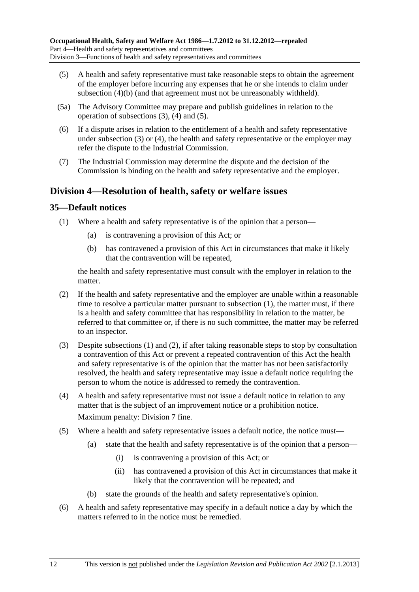- <span id="page-35-0"></span> (5) A health and safety representative must take reasonable steps to obtain the agreement of the employer before incurring any expenses that he or she intends to claim under [subsection \(4\)\(b\)](#page-34-0) (and that agreement must not be unreasonably withheld).
- (5a) The Advisory Committee may prepare and publish guidelines in relation to the operation of [subsections \(3\), \(4\)](#page-34-0) and [\(5\).](#page-35-0)
- (6) If a dispute arises in relation to the entitlement of a health and safety representative under [subsection \(3\)](#page-34-0) or [\(4\)](#page-34-0), the health and safety representative or the employer may refer the dispute to the Industrial Commission.
- (7) The Industrial Commission may determine the dispute and the decision of the Commission is binding on the health and safety representative and the employer.

### **Division 4—Resolution of health, safety or welfare issues**

### **35—Default notices**

- (1) Where a health and safety representative is of the opinion that a person—
	- (a) is contravening a provision of this Act; or
	- (b) has contravened a provision of this Act in circumstances that make it likely that the contravention will be repeated,

the health and safety representative must consult with the employer in relation to the matter.

- (2) If the health and safety representative and the employer are unable within a reasonable time to resolve a particular matter pursuant to [subsection \(1\)](#page-35-0), the matter must, if there is a health and safety committee that has responsibility in relation to the matter, be referred to that committee or, if there is no such committee, the matter may be referred to an inspector.
- (3) Despite [subsections \(1\)](#page-35-0) and [\(2\),](#page-35-0) if after taking reasonable steps to stop by consultation a contravention of this Act or prevent a repeated contravention of this Act the health and safety representative is of the opinion that the matter has not been satisfactorily resolved, the health and safety representative may issue a default notice requiring the person to whom the notice is addressed to remedy the contravention.
- (4) A health and safety representative must not issue a default notice in relation to any matter that is the subject of an improvement notice or a prohibition notice. Maximum penalty: Division 7 fine.
- (5) Where a health and safety representative issues a default notice, the notice must—
	- (a) state that the health and safety representative is of the opinion that a person—
		- (i) is contravening a provision of this Act; or
		- (ii) has contravened a provision of this Act in circumstances that make it likely that the contravention will be repeated; and
	- (b) state the grounds of the health and safety representative's opinion.
- (6) A health and safety representative may specify in a default notice a day by which the matters referred to in the notice must be remedied.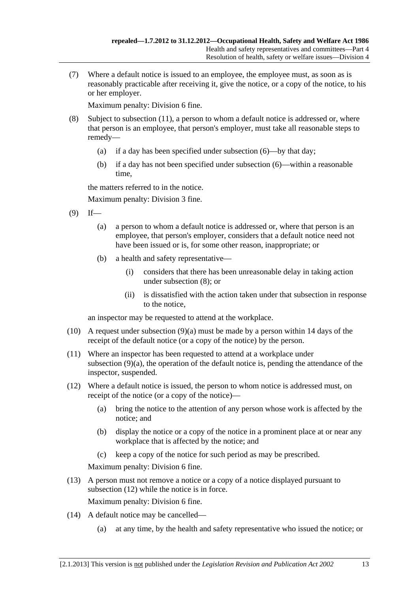<span id="page-36-0"></span> (7) Where a default notice is issued to an employee, the employee must, as soon as is reasonably practicable after receiving it, give the notice, or a copy of the notice, to his or her employer.

Maximum penalty: Division 6 fine.

- (8) Subject to [subsection \(11\),](#page-36-0) a person to whom a default notice is addressed or, where that person is an employee, that person's employer, must take all reasonable steps to remedy—
	- (a) if a day has been specified under [subsection \(6\)—](#page-35-0)by that day;
	- (b) if a day has not been specified under [subsection \(6\)—](#page-35-0)within a reasonable time,

the matters referred to in the notice.

Maximum penalty: Division 3 fine.

- $(9)$  If—
	- (a) a person to whom a default notice is addressed or, where that person is an employee, that person's employer, considers that a default notice need not have been issued or is, for some other reason, inappropriate; or
	- (b) a health and safety representative—
		- (i) considers that there has been unreasonable delay in taking action under [subsection \(8\)](#page-36-0); or
		- (ii) is dissatisfied with the action taken under that subsection in response to the notice,

an inspector may be requested to attend at the workplace.

- (10) A request under [subsection \(9\)\(a\)](#page-36-0) must be made by a person within 14 days of the receipt of the default notice (or a copy of the notice) by the person.
- (11) Where an inspector has been requested to attend at a workplace under [subsection \(9\)\(a\)](#page-36-0), the operation of the default notice is, pending the attendance of the inspector, suspended.
- (12) Where a default notice is issued, the person to whom notice is addressed must, on receipt of the notice (or a copy of the notice)—
	- (a) bring the notice to the attention of any person whose work is affected by the notice; and
	- (b) display the notice or a copy of the notice in a prominent place at or near any workplace that is affected by the notice; and
	- (c) keep a copy of the notice for such period as may be prescribed.

Maximum penalty: Division 6 fine.

 (13) A person must not remove a notice or a copy of a notice displayed pursuant to [subsection \(12\)](#page-36-0) while the notice is in force.

Maximum penalty: Division 6 fine.

- (14) A default notice may be cancelled—
	- (a) at any time, by the health and safety representative who issued the notice; or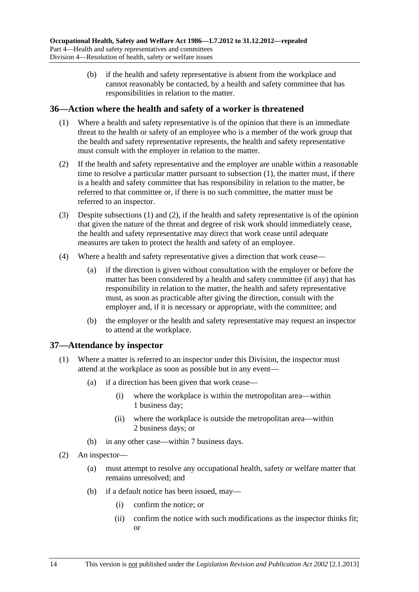<span id="page-37-0"></span> (b) if the health and safety representative is absent from the workplace and cannot reasonably be contacted, by a health and safety committee that has responsibilities in relation to the matter.

#### **36—Action where the health and safety of a worker is threatened**

- (1) Where a health and safety representative is of the opinion that there is an immediate threat to the health or safety of an employee who is a member of the work group that the health and safety representative represents, the health and safety representative must consult with the employer in relation to the matter.
- (2) If the health and safety representative and the employer are unable within a reasonable time to resolve a particular matter pursuant to [subsection \(1\)](#page-37-0), the matter must, if there is a health and safety committee that has responsibility in relation to the matter, be referred to that committee or, if there is no such committee, the matter must be referred to an inspector.
- (3) Despite [subsections \(1\)](#page-37-0) and [\(2\),](#page-37-0) if the health and safety representative is of the opinion that given the nature of the threat and degree of risk work should immediately cease, the health and safety representative may direct that work cease until adequate measures are taken to protect the health and safety of an employee.
- (4) Where a health and safety representative gives a direction that work cease—
	- (a) if the direction is given without consultation with the employer or before the matter has been considered by a health and safety committee (if any) that has responsibility in relation to the matter, the health and safety representative must, as soon as practicable after giving the direction, consult with the employer and, if it is necessary or appropriate, with the committee; and
	- (b) the employer or the health and safety representative may request an inspector to attend at the workplace.

#### **37—Attendance by inspector**

- (1) Where a matter is referred to an inspector under this Division, the inspector must attend at the workplace as soon as possible but in any event—
	- (a) if a direction has been given that work cease—
		- (i) where the workplace is within the metropolitan area—within 1 business day;
		- (ii) where the workplace is outside the metropolitan area—within 2 business days; or
	- (b) in any other case—within 7 business days.
- (2) An inspector—
	- (a) must attempt to resolve any occupational health, safety or welfare matter that remains unresolved; and
	- (b) if a default notice has been issued, may—
		- (i) confirm the notice; or
		- (ii) confirm the notice with such modifications as the inspector thinks fit; or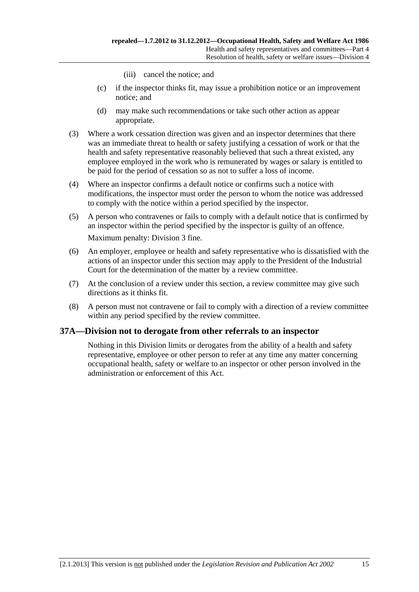- (iii) cancel the notice; and
- (c) if the inspector thinks fit, may issue a prohibition notice or an improvement notice; and
- (d) may make such recommendations or take such other action as appear appropriate.
- (3) Where a work cessation direction was given and an inspector determines that there was an immediate threat to health or safety justifying a cessation of work or that the health and safety representative reasonably believed that such a threat existed, any employee employed in the work who is remunerated by wages or salary is entitled to be paid for the period of cessation so as not to suffer a loss of income.
- (4) Where an inspector confirms a default notice or confirms such a notice with modifications, the inspector must order the person to whom the notice was addressed to comply with the notice within a period specified by the inspector.
- (5) A person who contravenes or fails to comply with a default notice that is confirmed by an inspector within the period specified by the inspector is guilty of an offence. Maximum penalty: Division 3 fine.
- (6) An employer, employee or health and safety representative who is dissatisfied with the actions of an inspector under this section may apply to the President of the Industrial Court for the determination of the matter by a review committee.
- (7) At the conclusion of a review under this section, a review committee may give such directions as it thinks fit.
- (8) A person must not contravene or fail to comply with a direction of a review committee within any period specified by the review committee.

# **37A—Division not to derogate from other referrals to an inspector**

Nothing in this Division limits or derogates from the ability of a health and safety representative, employee or other person to refer at any time any matter concerning occupational health, safety or welfare to an inspector or other person involved in the administration or enforcement of this Act.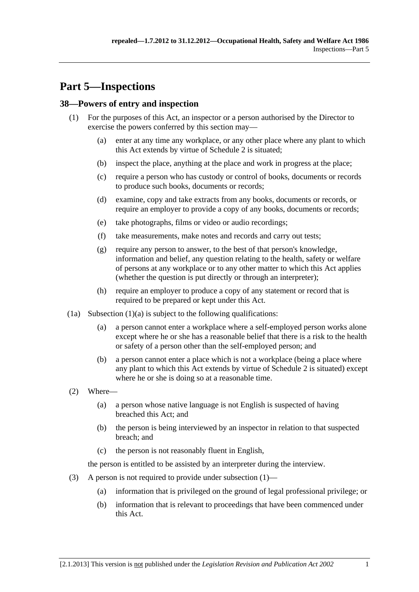# <span id="page-40-0"></span>**Part 5—Inspections**

# **38—Powers of entry and inspection**

- (1) For the purposes of this Act, an inspector or a person authorised by the Director to exercise the powers conferred by this section may—
	- (a) enter at any time any workplace, or any other place where any plant to which this Act extends by virtue of [Schedule 2](#page-73-0) is situated;
	- (b) inspect the place, anything at the place and work in progress at the place;
	- (c) require a person who has custody or control of books, documents or records to produce such books, documents or records;
	- (d) examine, copy and take extracts from any books, documents or records, or require an employer to provide a copy of any books, documents or records;
	- (e) take photographs, films or video or audio recordings;
	- (f) take measurements, make notes and records and carry out tests;
	- (g) require any person to answer, to the best of that person's knowledge, information and belief, any question relating to the health, safety or welfare of persons at any workplace or to any other matter to which this Act applies (whether the question is put directly or through an interpreter);
	- (h) require an employer to produce a copy of any statement or record that is required to be prepared or kept under this Act.
- $(1a)$  Subsection  $(1)(a)$  is subject to the following qualifications:
	- (a) a person cannot enter a workplace where a self-employed person works alone except where he or she has a reasonable belief that there is a risk to the health or safety of a person other than the self-employed person; and
	- (b) a person cannot enter a place which is not a workplace (being a place where any plant to which this Act extends by virtue of [Schedule 2](#page-73-0) is situated) except where he or she is doing so at a reasonable time.
- (2) Where—
	- (a) a person whose native language is not English is suspected of having breached this Act; and
	- (b) the person is being interviewed by an inspector in relation to that suspected breach; and
	- (c) the person is not reasonably fluent in English,

the person is entitled to be assisted by an interpreter during the interview.

- (3) A person is not required to provide under [subsection \(1\)—](#page-40-0)
	- (a) information that is privileged on the ground of legal professional privilege; or
	- (b) information that is relevant to proceedings that have been commenced under this Act.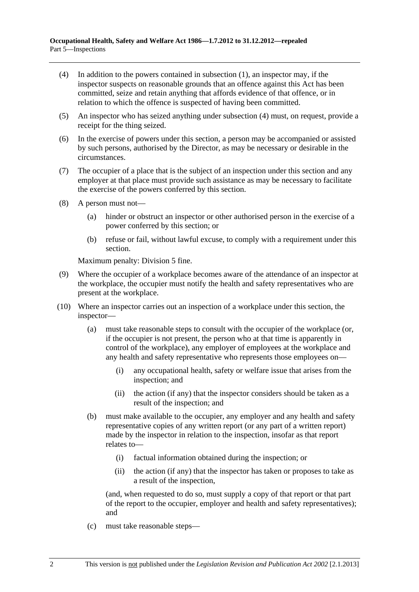- <span id="page-41-0"></span> (4) In addition to the powers contained in [subsection \(1\),](#page-40-0) an inspector may, if the inspector suspects on reasonable grounds that an offence against this Act has been committed, seize and retain anything that affords evidence of that offence, or in relation to which the offence is suspected of having been committed.
- (5) An inspector who has seized anything under [subsection \(4\)](#page-41-0) must, on request, provide a receipt for the thing seized.
- (6) In the exercise of powers under this section, a person may be accompanied or assisted by such persons, authorised by the Director, as may be necessary or desirable in the circumstances.
- (7) The occupier of a place that is the subject of an inspection under this section and any employer at that place must provide such assistance as may be necessary to facilitate the exercise of the powers conferred by this section.
- (8) A person must not—
	- (a) hinder or obstruct an inspector or other authorised person in the exercise of a power conferred by this section; or
	- (b) refuse or fail, without lawful excuse, to comply with a requirement under this section.

Maximum penalty: Division 5 fine.

- (9) Where the occupier of a workplace becomes aware of the attendance of an inspector at the workplace, the occupier must notify the health and safety representatives who are present at the workplace.
- (10) Where an inspector carries out an inspection of a workplace under this section, the inspector—
	- (a) must take reasonable steps to consult with the occupier of the workplace (or, if the occupier is not present, the person who at that time is apparently in control of the workplace), any employer of employees at the workplace and any health and safety representative who represents those employees on—
		- (i) any occupational health, safety or welfare issue that arises from the inspection; and
		- (ii) the action (if any) that the inspector considers should be taken as a result of the inspection; and
	- (b) must make available to the occupier, any employer and any health and safety representative copies of any written report (or any part of a written report) made by the inspector in relation to the inspection, insofar as that report relates to—
		- (i) factual information obtained during the inspection; or
		- (ii) the action (if any) that the inspector has taken or proposes to take as a result of the inspection,

(and, when requested to do so, must supply a copy of that report or that part of the report to the occupier, employer and health and safety representatives); and

(c) must take reasonable steps—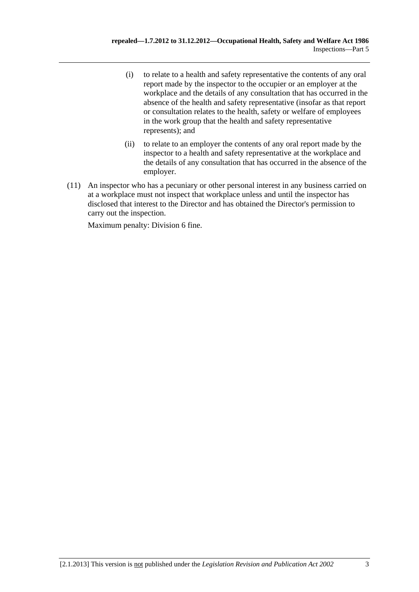- (i) to relate to a health and safety representative the contents of any oral report made by the inspector to the occupier or an employer at the workplace and the details of any consultation that has occurred in the absence of the health and safety representative (insofar as that report or consultation relates to the health, safety or welfare of employees in the work group that the health and safety representative represents); and
- (ii) to relate to an employer the contents of any oral report made by the inspector to a health and safety representative at the workplace and the details of any consultation that has occurred in the absence of the employer.
- (11) An inspector who has a pecuniary or other personal interest in any business carried on at a workplace must not inspect that workplace unless and until the inspector has disclosed that interest to the Director and has obtained the Director's permission to carry out the inspection.

Maximum penalty: Division 6 fine.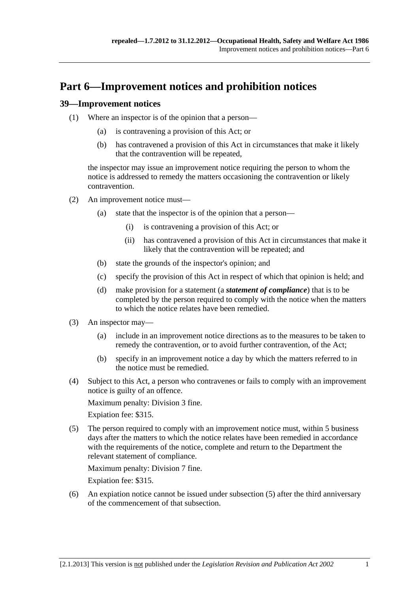# <span id="page-44-0"></span>**Part 6—Improvement notices and prohibition notices**

#### **39—Improvement notices**

- (1) Where an inspector is of the opinion that a person—
	- (a) is contravening a provision of this Act; or
	- (b) has contravened a provision of this Act in circumstances that make it likely that the contravention will be repeated,

the inspector may issue an improvement notice requiring the person to whom the notice is addressed to remedy the matters occasioning the contravention or likely contravention.

- (2) An improvement notice must—
	- (a) state that the inspector is of the opinion that a person—
		- (i) is contravening a provision of this Act; or
		- (ii) has contravened a provision of this Act in circumstances that make it likely that the contravention will be repeated; and
	- (b) state the grounds of the inspector's opinion; and
	- (c) specify the provision of this Act in respect of which that opinion is held; and
	- (d) make provision for a statement (a *statement of compliance*) that is to be completed by the person required to comply with the notice when the matters to which the notice relates have been remedied.
- (3) An inspector may—
	- (a) include in an improvement notice directions as to the measures to be taken to remedy the contravention, or to avoid further contravention, of the Act;
	- (b) specify in an improvement notice a day by which the matters referred to in the notice must be remedied.
- (4) Subject to this Act, a person who contravenes or fails to comply with an improvement notice is guilty of an offence.

Maximum penalty: Division 3 fine.

Expiation fee: \$315.

 (5) The person required to comply with an improvement notice must, within 5 business days after the matters to which the notice relates have been remedied in accordance with the requirements of the notice, complete and return to the Department the relevant statement of compliance.

Maximum penalty: Division 7 fine.

Expiation fee: \$315.

 (6) An expiation notice cannot be issued under [subsection \(5\)](#page-44-0) after the third anniversary of the commencement of that subsection.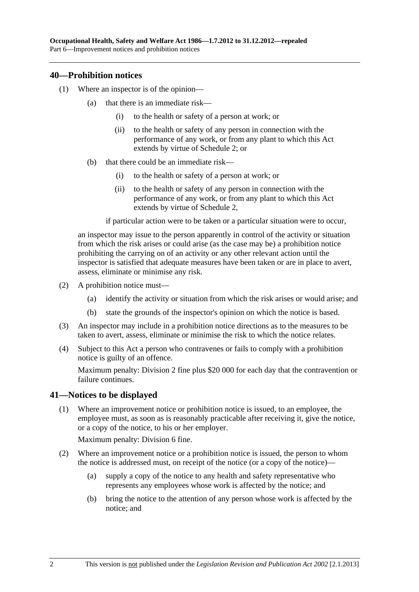#### <span id="page-45-0"></span>**40—Prohibition notices**

- (1) Where an inspector is of the opinion—
	- (a) that there is an immediate risk—
		- (i) to the health or safety of a person at work; or
		- (ii) to the health or safety of any person in connection with the performance of any work, or from any plant to which this Act extends by virtue of [Schedule 2](#page-73-0); or
	- (b) that there could be an immediate risk—
		- (i) to the health or safety of a person at work; or
		- (ii) to the health or safety of any person in connection with the performance of any work, or from any plant to which this Act extends by virtue of [Schedule 2](#page-73-0),

if particular action were to be taken or a particular situation were to occur,

an inspector may issue to the person apparently in control of the activity or situation from which the risk arises or could arise (as the case may be) a prohibition notice prohibiting the carrying on of an activity or any other relevant action until the inspector is satisfied that adequate measures have been taken or are in place to avert, assess, eliminate or minimise any risk.

- (2) A prohibition notice must—
	- (a) identify the activity or situation from which the risk arises or would arise; and
	- (b) state the grounds of the inspector's opinion on which the notice is based.
- (3) An inspector may include in a prohibition notice directions as to the measures to be taken to avert, assess, eliminate or minimise the risk to which the notice relates.
- (4) Subject to this Act a person who contravenes or fails to comply with a prohibition notice is guilty of an offence.

Maximum penalty: Division 2 fine plus \$20 000 for each day that the contravention or failure continues.

# **41—Notices to be displayed**

 (1) Where an improvement notice or prohibition notice is issued, to an employee, the employee must, as soon as is reasonably practicable after receiving it, give the notice, or a copy of the notice, to his or her employer.

Maximum penalty: Division 6 fine.

- (2) Where an improvement notice or a prohibition notice is issued, the person to whom the notice is addressed must, on receipt of the notice (or a copy of the notice)—
	- (a) supply a copy of the notice to any health and safety representative who represents any employees whose work is affected by the notice; and
	- (b) bring the notice to the attention of any person whose work is affected by the notice; and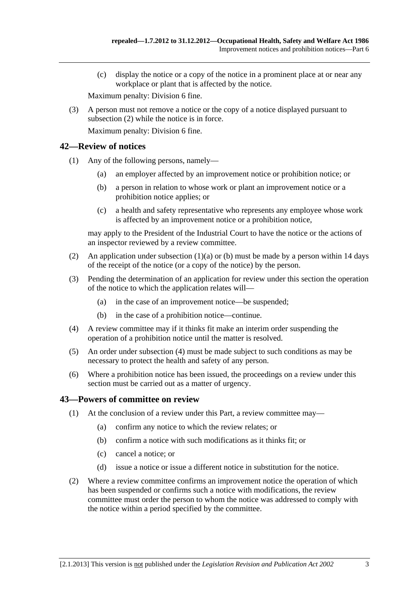<span id="page-46-0"></span> (c) display the notice or a copy of the notice in a prominent place at or near any workplace or plant that is affected by the notice.

Maximum penalty: Division 6 fine.

 (3) A person must not remove a notice or the copy of a notice displayed pursuant to [subsection \(2\)](#page-45-0) while the notice is in force.

Maximum penalty: Division 6 fine.

#### **42—Review of notices**

- (1) Any of the following persons, namely—
	- (a) an employer affected by an improvement notice or prohibition notice; or
	- (b) a person in relation to whose work or plant an improvement notice or a prohibition notice applies; or
	- (c) a health and safety representative who represents any employee whose work is affected by an improvement notice or a prohibition notice,

may apply to the President of the Industrial Court to have the notice or the actions of an inspector reviewed by a review committee.

- (2) An application under subsection  $(1)(a)$  or [\(b\)](#page-46-0) must be made by a person within 14 days of the receipt of the notice (or a copy of the notice) by the person.
- (3) Pending the determination of an application for review under this section the operation of the notice to which the application relates will—
	- (a) in the case of an improvement notice—be suspended;
	- (b) in the case of a prohibition notice—continue.
- (4) A review committee may if it thinks fit make an interim order suspending the operation of a prohibition notice until the matter is resolved.
- (5) An order under [subsection \(4\)](#page-46-0) must be made subject to such conditions as may be necessary to protect the health and safety of any person.
- (6) Where a prohibition notice has been issued, the proceedings on a review under this section must be carried out as a matter of urgency.

#### **43—Powers of committee on review**

- (1) At the conclusion of a review under this Part, a review committee may—
	- (a) confirm any notice to which the review relates; or
	- (b) confirm a notice with such modifications as it thinks fit; or
	- (c) cancel a notice; or
	- (d) issue a notice or issue a different notice in substitution for the notice.
- (2) Where a review committee confirms an improvement notice the operation of which has been suspended or confirms such a notice with modifications, the review committee must order the person to whom the notice was addressed to comply with the notice within a period specified by the committee.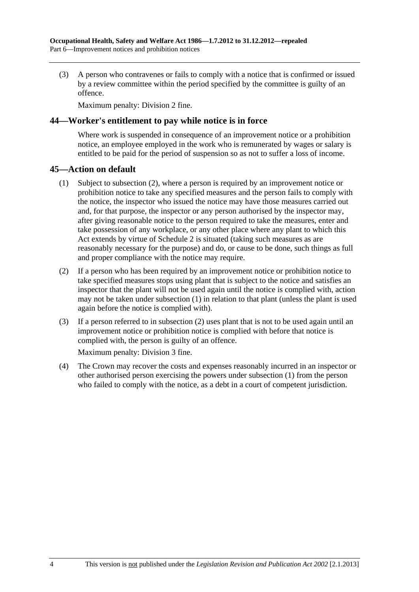<span id="page-47-0"></span> (3) A person who contravenes or fails to comply with a notice that is confirmed or issued by a review committee within the period specified by the committee is guilty of an offence.

Maximum penalty: Division 2 fine.

#### **44—Worker's entitlement to pay while notice is in force**

Where work is suspended in consequence of an improvement notice or a prohibition notice, an employee employed in the work who is remunerated by wages or salary is entitled to be paid for the period of suspension so as not to suffer a loss of income.

#### **45—Action on default**

- (1) Subject to [subsection \(2\),](#page-47-0) where a person is required by an improvement notice or prohibition notice to take any specified measures and the person fails to comply with the notice, the inspector who issued the notice may have those measures carried out and, for that purpose, the inspector or any person authorised by the inspector may, after giving reasonable notice to the person required to take the measures, enter and take possession of any workplace, or any other place where any plant to which this Act extends by virtue of [Schedule 2](#page-73-0) is situated (taking such measures as are reasonably necessary for the purpose) and do, or cause to be done, such things as full and proper compliance with the notice may require.
- (2) If a person who has been required by an improvement notice or prohibition notice to take specified measures stops using plant that is subject to the notice and satisfies an inspector that the plant will not be used again until the notice is complied with, action may not be taken under [subsection \(1\)](#page-47-0) in relation to that plant (unless the plant is used again before the notice is complied with).
- (3) If a person referred to in [subsection \(2\)](#page-47-0) uses plant that is not to be used again until an improvement notice or prohibition notice is complied with before that notice is complied with, the person is guilty of an offence.

Maximum penalty: Division 3 fine.

 (4) The Crown may recover the costs and expenses reasonably incurred in an inspector or other authorised person exercising the powers under [subsection \(1\)](#page-47-0) from the person who failed to comply with the notice, as a debt in a court of competent jurisdiction.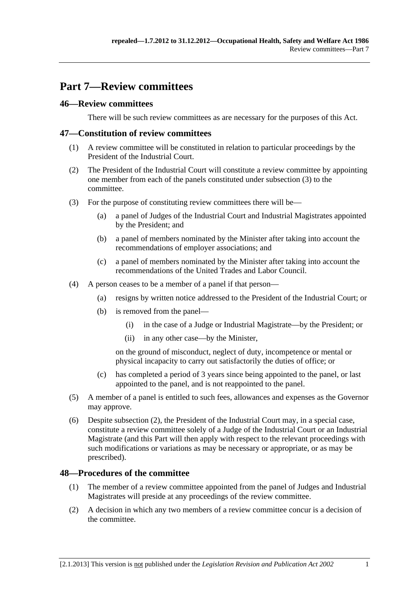# <span id="page-48-0"></span>**Part 7—Review committees**

# **46—Review committees**

There will be such review committees as are necessary for the purposes of this Act.

### **47—Constitution of review committees**

- (1) A review committee will be constituted in relation to particular proceedings by the President of the Industrial Court.
- (2) The President of the Industrial Court will constitute a review committee by appointing one member from each of the panels constituted under [subsection \(3\)](#page-48-0) to the committee.
- (3) For the purpose of constituting review committees there will be—
	- (a) a panel of Judges of the Industrial Court and Industrial Magistrates appointed by the President; and
	- (b) a panel of members nominated by the Minister after taking into account the recommendations of employer associations; and
	- (c) a panel of members nominated by the Minister after taking into account the recommendations of the United Trades and Labor Council.
- (4) A person ceases to be a member of a panel if that person—
	- (a) resigns by written notice addressed to the President of the Industrial Court; or
	- (b) is removed from the panel—
		- (i) in the case of a Judge or Industrial Magistrate—by the President; or
		- (ii) in any other case—by the Minister,

on the ground of misconduct, neglect of duty, incompetence or mental or physical incapacity to carry out satisfactorily the duties of office; or

- (c) has completed a period of 3 years since being appointed to the panel, or last appointed to the panel, and is not reappointed to the panel.
- (5) A member of a panel is entitled to such fees, allowances and expenses as the Governor may approve.
- (6) Despite [subsection \(2\),](#page-48-0) the President of the Industrial Court may, in a special case, constitute a review committee solely of a Judge of the Industrial Court or an Industrial Magistrate (and this Part will then apply with respect to the relevant proceedings with such modifications or variations as may be necessary or appropriate, or as may be prescribed).

# **48—Procedures of the committee**

- (1) The member of a review committee appointed from the panel of Judges and Industrial Magistrates will preside at any proceedings of the review committee.
- (2) A decision in which any two members of a review committee concur is a decision of the committee.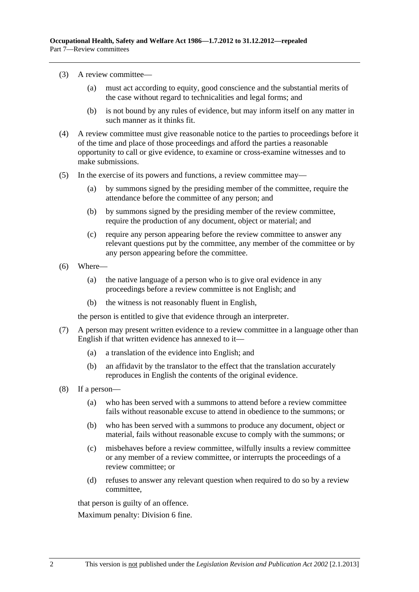- (3) A review committee—
	- (a) must act according to equity, good conscience and the substantial merits of the case without regard to technicalities and legal forms; and
	- (b) is not bound by any rules of evidence, but may inform itself on any matter in such manner as it thinks fit.
- (4) A review committee must give reasonable notice to the parties to proceedings before it of the time and place of those proceedings and afford the parties a reasonable opportunity to call or give evidence, to examine or cross-examine witnesses and to make submissions.
- (5) In the exercise of its powers and functions, a review committee may—
	- (a) by summons signed by the presiding member of the committee, require the attendance before the committee of any person; and
	- (b) by summons signed by the presiding member of the review committee, require the production of any document, object or material; and
	- (c) require any person appearing before the review committee to answer any relevant questions put by the committee, any member of the committee or by any person appearing before the committee.
- (6) Where—
	- (a) the native language of a person who is to give oral evidence in any proceedings before a review committee is not English; and
	- (b) the witness is not reasonably fluent in English,

the person is entitled to give that evidence through an interpreter.

- (7) A person may present written evidence to a review committee in a language other than English if that written evidence has annexed to it—
	- (a) a translation of the evidence into English; and
	- (b) an affidavit by the translator to the effect that the translation accurately reproduces in English the contents of the original evidence.
- (8) If a person—
	- (a) who has been served with a summons to attend before a review committee fails without reasonable excuse to attend in obedience to the summons; or
	- (b) who has been served with a summons to produce any document, object or material, fails without reasonable excuse to comply with the summons; or
	- (c) misbehaves before a review committee, wilfully insults a review committee or any member of a review committee, or interrupts the proceedings of a review committee; or
	- (d) refuses to answer any relevant question when required to do so by a review committee,

that person is guilty of an offence.

Maximum penalty: Division 6 fine.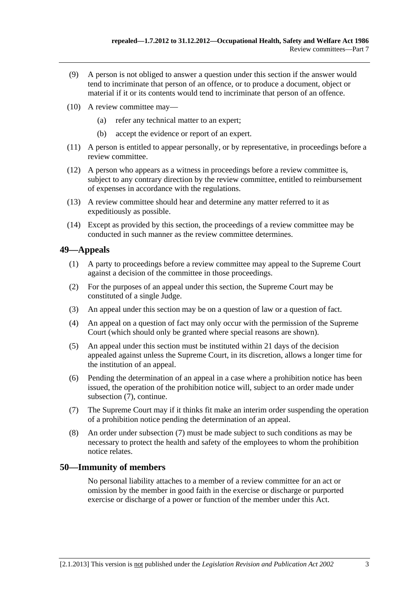- <span id="page-50-0"></span> (9) A person is not obliged to answer a question under this section if the answer would tend to incriminate that person of an offence, or to produce a document, object or material if it or its contents would tend to incriminate that person of an offence.
- (10) A review committee may—
	- (a) refer any technical matter to an expert;
	- (b) accept the evidence or report of an expert.
- (11) A person is entitled to appear personally, or by representative, in proceedings before a review committee.
- (12) A person who appears as a witness in proceedings before a review committee is, subject to any contrary direction by the review committee, entitled to reimbursement of expenses in accordance with the regulations.
- (13) A review committee should hear and determine any matter referred to it as expeditiously as possible.
- (14) Except as provided by this section, the proceedings of a review committee may be conducted in such manner as the review committee determines.

# **49—Appeals**

- (1) A party to proceedings before a review committee may appeal to the Supreme Court against a decision of the committee in those proceedings.
- (2) For the purposes of an appeal under this section, the Supreme Court may be constituted of a single Judge.
- (3) An appeal under this section may be on a question of law or a question of fact.
- (4) An appeal on a question of fact may only occur with the permission of the Supreme Court (which should only be granted where special reasons are shown).
- (5) An appeal under this section must be instituted within 21 days of the decision appealed against unless the Supreme Court, in its discretion, allows a longer time for the institution of an appeal.
- (6) Pending the determination of an appeal in a case where a prohibition notice has been issued, the operation of the prohibition notice will, subject to an order made under [subsection \(7\),](#page-50-0) continue.
- (7) The Supreme Court may if it thinks fit make an interim order suspending the operation of a prohibition notice pending the determination of an appeal.
- (8) An order under [subsection \(7\)](#page-50-0) must be made subject to such conditions as may be necessary to protect the health and safety of the employees to whom the prohibition notice relates.

# **50—Immunity of members**

No personal liability attaches to a member of a review committee for an act or omission by the member in good faith in the exercise or discharge or purported exercise or discharge of a power or function of the member under this Act.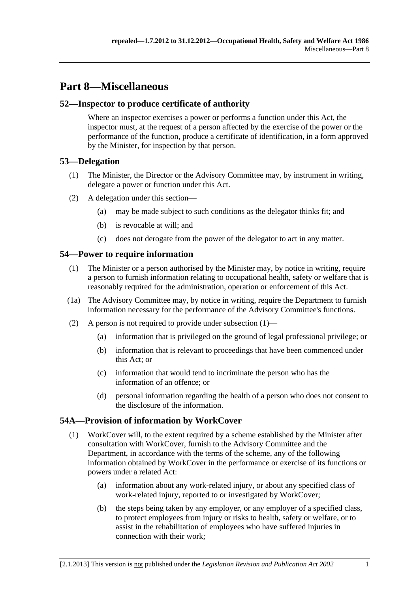# <span id="page-52-0"></span>**Part 8—Miscellaneous**

# **52—Inspector to produce certificate of authority**

Where an inspector exercises a power or performs a function under this Act, the inspector must, at the request of a person affected by the exercise of the power or the performance of the function, produce a certificate of identification, in a form approved by the Minister, for inspection by that person.

# **53—Delegation**

- (1) The Minister, the Director or the Advisory Committee may, by instrument in writing, delegate a power or function under this Act.
- (2) A delegation under this section—
	- (a) may be made subject to such conditions as the delegator thinks fit; and
	- (b) is revocable at will; and
	- (c) does not derogate from the power of the delegator to act in any matter.

# **54—Power to require information**

- (1) The Minister or a person authorised by the Minister may, by notice in writing, require a person to furnish information relating to occupational health, safety or welfare that is reasonably required for the administration, operation or enforcement of this Act.
- (1a) The Advisory Committee may, by notice in writing, require the Department to furnish information necessary for the performance of the Advisory Committee's functions.
- (2) A person is not required to provide under [subsection \(1\)—](#page-52-0)
	- (a) information that is privileged on the ground of legal professional privilege; or
	- (b) information that is relevant to proceedings that have been commenced under this Act; or
	- (c) information that would tend to incriminate the person who has the information of an offence; or
	- (d) personal information regarding the health of a person who does not consent to the disclosure of the information.

# **54A—Provision of information by WorkCover**

- (1) WorkCover will, to the extent required by a scheme established by the Minister after consultation with WorkCover, furnish to the Advisory Committee and the Department, in accordance with the terms of the scheme, any of the following information obtained by WorkCover in the performance or exercise of its functions or powers under a related Act:
	- (a) information about any work-related injury, or about any specified class of work-related injury, reported to or investigated by WorkCover;
	- (b) the steps being taken by any employer, or any employer of a specified class, to protect employees from injury or risks to health, safety or welfare, or to assist in the rehabilitation of employees who have suffered injuries in connection with their work;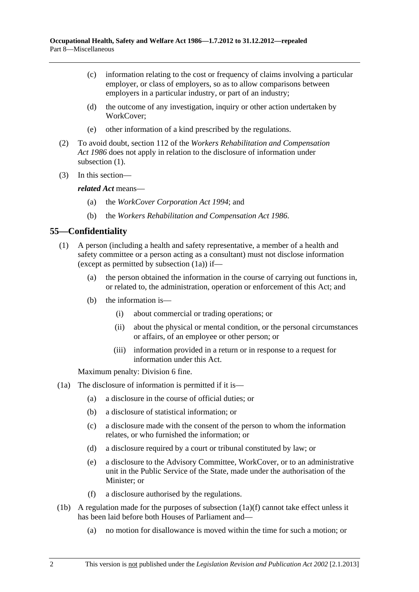- <span id="page-53-0"></span> (c) information relating to the cost or frequency of claims involving a particular employer, or class of employers, so as to allow comparisons between employers in a particular industry, or part of an industry;
- (d) the outcome of any investigation, inquiry or other action undertaken by WorkCover;
- (e) other information of a kind prescribed by the regulations.
- (2) To avoid doubt, section 112 of the *[Workers Rehabilitation and Compensation](http://www.legislation.sa.gov.au/index.aspx?action=legref&type=act&legtitle=Workers%20Rehabilitation%20and%20Compensation%20Act%201986)  [Act 1986](http://www.legislation.sa.gov.au/index.aspx?action=legref&type=act&legtitle=Workers%20Rehabilitation%20and%20Compensation%20Act%201986)* does not apply in relation to the disclosure of information under subsection  $(1)$ .
- (3) In this section—

*related Act* means—

- (a) the *[WorkCover Corporation Act 1994](http://www.legislation.sa.gov.au/index.aspx?action=legref&type=act&legtitle=WorkCover%20Corporation%20Act%201994)*; and
- (b) the *[Workers Rehabilitation and Compensation Act 1986](http://www.legislation.sa.gov.au/index.aspx?action=legref&type=act&legtitle=Workers%20Rehabilitation%20and%20Compensation%20Act%201986)*.

# **55—Confidentiality**

- (1) A person (including a health and safety representative, a member of a health and safety committee or a person acting as a consultant) must not disclose information (except as permitted by [subsection \(1a\)](#page-53-0)) if—
	- (a) the person obtained the information in the course of carrying out functions in, or related to, the administration, operation or enforcement of this Act; and
	- (b) the information is—
		- (i) about commercial or trading operations; or
		- (ii) about the physical or mental condition, or the personal circumstances or affairs, of an employee or other person; or
		- (iii) information provided in a return or in response to a request for information under this Act.

Maximum penalty: Division 6 fine.

- (1a) The disclosure of information is permitted if it is—
	- (a) a disclosure in the course of official duties; or
	- (b) a disclosure of statistical information; or
	- (c) a disclosure made with the consent of the person to whom the information relates, or who furnished the information; or
	- (d) a disclosure required by a court or tribunal constituted by law; or
	- (e) a disclosure to the Advisory Committee, WorkCover, or to an administrative unit in the Public Service of the State, made under the authorisation of the Minister; or
	- (f) a disclosure authorised by the regulations.
- (1b) A regulation made for the purposes of [subsection \(1a\)\(f\)](#page-53-0) cannot take effect unless it has been laid before both Houses of Parliament and—
	- (a) no motion for disallowance is moved within the time for such a motion; or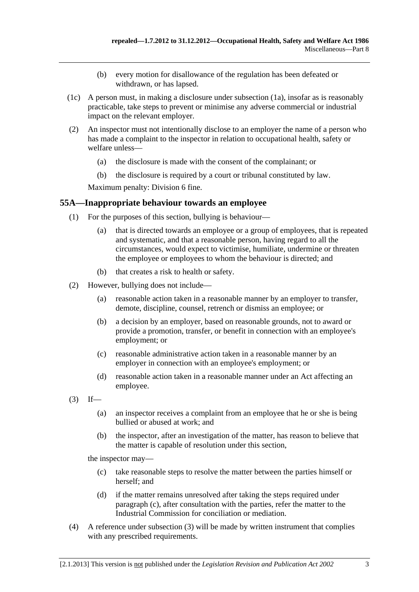- (b) every motion for disallowance of the regulation has been defeated or withdrawn, or has lapsed.
- <span id="page-54-0"></span> (1c) A person must, in making a disclosure under [subsection \(1a\)](#page-53-0), insofar as is reasonably practicable, take steps to prevent or minimise any adverse commercial or industrial impact on the relevant employer.
- (2) An inspector must not intentionally disclose to an employer the name of a person who has made a complaint to the inspector in relation to occupational health, safety or welfare unless—
	- (a) the disclosure is made with the consent of the complainant; or
	- (b) the disclosure is required by a court or tribunal constituted by law.

Maximum penalty: Division 6 fine.

#### **55A—Inappropriate behaviour towards an employee**

- (1) For the purposes of this section, bullying is behaviour—
	- (a) that is directed towards an employee or a group of employees, that is repeated and systematic, and that a reasonable person, having regard to all the circumstances, would expect to victimise, humiliate, undermine or threaten the employee or employees to whom the behaviour is directed; and
	- (b) that creates a risk to health or safety.
- (2) However, bullying does not include—
	- (a) reasonable action taken in a reasonable manner by an employer to transfer, demote, discipline, counsel, retrench or dismiss an employee; or
	- (b) a decision by an employer, based on reasonable grounds, not to award or provide a promotion, transfer, or benefit in connection with an employee's employment; or
	- (c) reasonable administrative action taken in a reasonable manner by an employer in connection with an employee's employment; or
	- (d) reasonable action taken in a reasonable manner under an Act affecting an employee.
- $(3)$  If—
	- (a) an inspector receives a complaint from an employee that he or she is being bullied or abused at work; and
	- (b) the inspector, after an investigation of the matter, has reason to believe that the matter is capable of resolution under this section,

the inspector may—

- (c) take reasonable steps to resolve the matter between the parties himself or herself; and
- (d) if the matter remains unresolved after taking the steps required under [paragraph \(c\)](#page-54-0), after consultation with the parties, refer the matter to the Industrial Commission for conciliation or mediation.
- (4) A reference under [subsection \(3\)](#page-54-0) will be made by written instrument that complies with any prescribed requirements.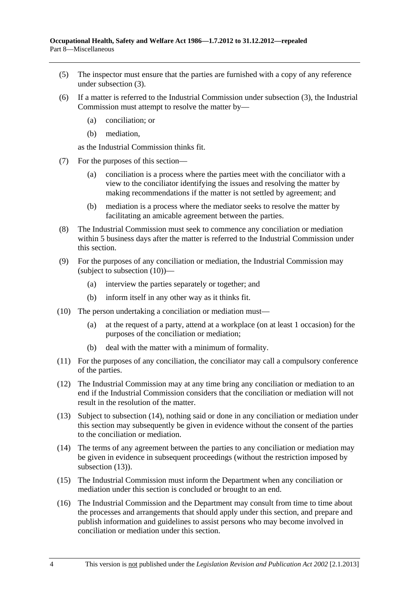- <span id="page-55-0"></span> (5) The inspector must ensure that the parties are furnished with a copy of any reference under [subsection \(3\).](#page-54-0)
- (6) If a matter is referred to the Industrial Commission under [subsection \(3\),](#page-54-0) the Industrial Commission must attempt to resolve the matter by—
	- (a) conciliation; or
	- (b) mediation,

as the Industrial Commission thinks fit.

- (7) For the purposes of this section—
	- (a) conciliation is a process where the parties meet with the conciliator with a view to the conciliator identifying the issues and resolving the matter by making recommendations if the matter is not settled by agreement; and
	- (b) mediation is a process where the mediator seeks to resolve the matter by facilitating an amicable agreement between the parties.
- (8) The Industrial Commission must seek to commence any conciliation or mediation within 5 business days after the matter is referred to the Industrial Commission under this section.
- (9) For the purposes of any conciliation or mediation, the Industrial Commission may (subject to [subsection \(10\)](#page-55-0))—
	- (a) interview the parties separately or together; and
	- (b) inform itself in any other way as it thinks fit.
- (10) The person undertaking a conciliation or mediation must—
	- (a) at the request of a party, attend at a workplace (on at least 1 occasion) for the purposes of the conciliation or mediation;
	- (b) deal with the matter with a minimum of formality.
- (11) For the purposes of any conciliation, the conciliator may call a compulsory conference of the parties.
- (12) The Industrial Commission may at any time bring any conciliation or mediation to an end if the Industrial Commission considers that the conciliation or mediation will not result in the resolution of the matter.
- (13) Subject to [subsection \(14\)](#page-55-0), nothing said or done in any conciliation or mediation under this section may subsequently be given in evidence without the consent of the parties to the conciliation or mediation.
- (14) The terms of any agreement between the parties to any conciliation or mediation may be given in evidence in subsequent proceedings (without the restriction imposed by subsection  $(13)$ ).
- (15) The Industrial Commission must inform the Department when any conciliation or mediation under this section is concluded or brought to an end.
- (16) The Industrial Commission and the Department may consult from time to time about the processes and arrangements that should apply under this section, and prepare and publish information and guidelines to assist persons who may become involved in conciliation or mediation under this section.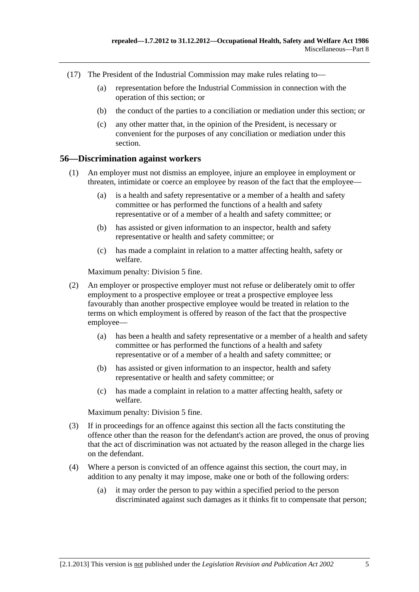- (17) The President of the Industrial Commission may make rules relating to—
	- (a) representation before the Industrial Commission in connection with the operation of this section; or
	- (b) the conduct of the parties to a conciliation or mediation under this section; or
	- (c) any other matter that, in the opinion of the President, is necessary or convenient for the purposes of any conciliation or mediation under this section.

#### **56—Discrimination against workers**

- (1) An employer must not dismiss an employee, injure an employee in employment or threaten, intimidate or coerce an employee by reason of the fact that the employee—
	- (a) is a health and safety representative or a member of a health and safety committee or has performed the functions of a health and safety representative or of a member of a health and safety committee; or
	- (b) has assisted or given information to an inspector, health and safety representative or health and safety committee; or
	- (c) has made a complaint in relation to a matter affecting health, safety or welfare.

Maximum penalty: Division 5 fine.

- (2) An employer or prospective employer must not refuse or deliberately omit to offer employment to a prospective employee or treat a prospective employee less favourably than another prospective employee would be treated in relation to the terms on which employment is offered by reason of the fact that the prospective employee—
	- (a) has been a health and safety representative or a member of a health and safety committee or has performed the functions of a health and safety representative or of a member of a health and safety committee; or
	- (b) has assisted or given information to an inspector, health and safety representative or health and safety committee; or
	- (c) has made a complaint in relation to a matter affecting health, safety or welfare.

Maximum penalty: Division 5 fine.

- (3) If in proceedings for an offence against this section all the facts constituting the offence other than the reason for the defendant's action are proved, the onus of proving that the act of discrimination was not actuated by the reason alleged in the charge lies on the defendant.
- (4) Where a person is convicted of an offence against this section, the court may, in addition to any penalty it may impose, make one or both of the following orders:
	- (a) it may order the person to pay within a specified period to the person discriminated against such damages as it thinks fit to compensate that person;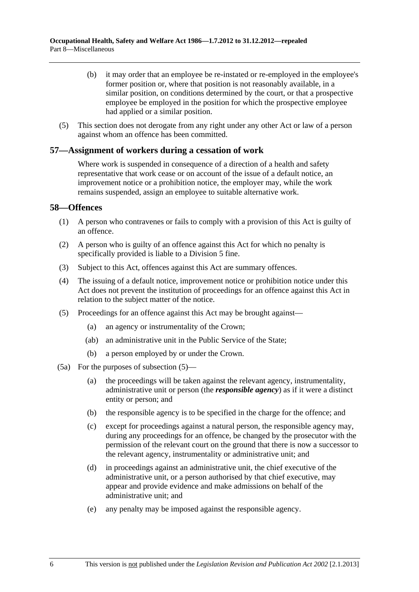- <span id="page-57-0"></span> (b) it may order that an employee be re-instated or re-employed in the employee's former position or, where that position is not reasonably available, in a similar position, on conditions determined by the court, or that a prospective employee be employed in the position for which the prospective employee had applied or a similar position.
- (5) This section does not derogate from any right under any other Act or law of a person against whom an offence has been committed.

#### **57—Assignment of workers during a cessation of work**

Where work is suspended in consequence of a direction of a health and safety representative that work cease or on account of the issue of a default notice, an improvement notice or a prohibition notice, the employer may, while the work remains suspended, assign an employee to suitable alternative work.

#### **58—Offences**

- (1) A person who contravenes or fails to comply with a provision of this Act is guilty of an offence.
- (2) A person who is guilty of an offence against this Act for which no penalty is specifically provided is liable to a Division 5 fine.
- (3) Subject to this Act, offences against this Act are summary offences.
- (4) The issuing of a default notice, improvement notice or prohibition notice under this Act does not prevent the institution of proceedings for an offence against this Act in relation to the subject matter of the notice.
- (5) Proceedings for an offence against this Act may be brought against—
	- (a) an agency or instrumentality of the Crown;
	- (ab) an administrative unit in the Public Service of the State;
	- (b) a person employed by or under the Crown.
- (5a) For the purposes of [subsection \(5\)](#page-57-0)
	- (a) the proceedings will be taken against the relevant agency, instrumentality, administrative unit or person (the *responsible agency*) as if it were a distinct entity or person; and
	- (b) the responsible agency is to be specified in the charge for the offence; and
	- (c) except for proceedings against a natural person, the responsible agency may, during any proceedings for an offence, be changed by the prosecutor with the permission of the relevant court on the ground that there is now a successor to the relevant agency, instrumentality or administrative unit; and
	- (d) in proceedings against an administrative unit, the chief executive of the administrative unit, or a person authorised by that chief executive, may appear and provide evidence and make admissions on behalf of the administrative unit; and
	- (e) any penalty may be imposed against the responsible agency.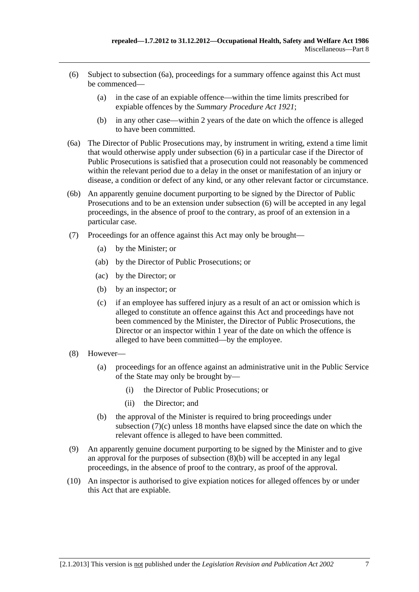- <span id="page-58-0"></span> (6) Subject to [subsection \(6a\),](#page-58-0) proceedings for a summary offence against this Act must be commenced—
	- (a) in the case of an expiable offence—within the time limits prescribed for expiable offences by the *[Summary Procedure Act 1921](http://www.legislation.sa.gov.au/index.aspx?action=legref&type=act&legtitle=Summary%20Procedure%20Act%201921)*;
	- (b) in any other case—within 2 years of the date on which the offence is alleged to have been committed.
- (6a) The Director of Public Prosecutions may, by instrument in writing, extend a time limit that would otherwise apply under [subsection \(6\)](#page-58-0) in a particular case if the Director of Public Prosecutions is satisfied that a prosecution could not reasonably be commenced within the relevant period due to a delay in the onset or manifestation of an injury or disease, a condition or defect of any kind, or any other relevant factor or circumstance.
- (6b) An apparently genuine document purporting to be signed by the Director of Public Prosecutions and to be an extension under [subsection \(6\)](#page-58-0) will be accepted in any legal proceedings, in the absence of proof to the contrary, as proof of an extension in a particular case.
- (7) Proceedings for an offence against this Act may only be brought—
	- (a) by the Minister; or
	- (ab) by the Director of Public Prosecutions; or
	- (ac) by the Director; or
	- (b) by an inspector; or
	- (c) if an employee has suffered injury as a result of an act or omission which is alleged to constitute an offence against this Act and proceedings have not been commenced by the Minister, the Director of Public Prosecutions, the Director or an inspector within 1 year of the date on which the offence is alleged to have been committed—by the employee.
- (8) However—
	- (a) proceedings for an offence against an administrative unit in the Public Service of the State may only be brought by—
		- (i) the Director of Public Prosecutions; or
		- (ii) the Director; and
	- (b) the approval of the Minister is required to bring proceedings under [subsection \(7\)\(c\)](#page-58-0) unless 18 months have elapsed since the date on which the relevant offence is alleged to have been committed.
- (9) An apparently genuine document purporting to be signed by the Minister and to give an approval for the purposes of [subsection \(8\)\(b\)](#page-58-0) will be accepted in any legal proceedings, in the absence of proof to the contrary, as proof of the approval.
- (10) An inspector is authorised to give expiation notices for alleged offences by or under this Act that are expiable.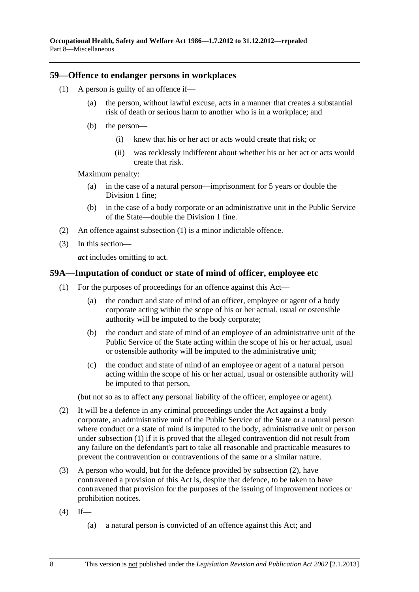#### <span id="page-59-0"></span>**59—Offence to endanger persons in workplaces**

- (1) A person is guilty of an offence if—
	- (a) the person, without lawful excuse, acts in a manner that creates a substantial risk of death or serious harm to another who is in a workplace; and
	- (b) the person—
		- (i) knew that his or her act or acts would create that risk; or
		- (ii) was recklessly indifferent about whether his or her act or acts would create that risk.

Maximum penalty:

- (a) in the case of a natural person—imprisonment for 5 years or double the Division 1 fine;
- (b) in the case of a body corporate or an administrative unit in the Public Service of the State—double the Division 1 fine.
- (2) An offence against [subsection \(1\)](#page-59-0) is a minor indictable offence.
- (3) In this section—

*act* includes omitting to act.

#### **59A—Imputation of conduct or state of mind of officer, employee etc**

- (1) For the purposes of proceedings for an offence against this Act—
	- (a) the conduct and state of mind of an officer, employee or agent of a body corporate acting within the scope of his or her actual, usual or ostensible authority will be imputed to the body corporate;
	- (b) the conduct and state of mind of an employee of an administrative unit of the Public Service of the State acting within the scope of his or her actual, usual or ostensible authority will be imputed to the administrative unit;
	- (c) the conduct and state of mind of an employee or agent of a natural person acting within the scope of his or her actual, usual or ostensible authority will be imputed to that person,

(but not so as to affect any personal liability of the officer, employee or agent).

- (2) It will be a defence in any criminal proceedings under the Act against a body corporate, an administrative unit of the Public Service of the State or a natural person where conduct or a state of mind is imputed to the body, administrative unit or person under [subsection \(1\)](#page-59-0) if it is proved that the alleged contravention did not result from any failure on the defendant's part to take all reasonable and practicable measures to prevent the contravention or contraventions of the same or a similar nature.
- (3) A person who would, but for the defence provided by [subsection \(2\),](#page-59-0) have contravened a provision of this Act is, despite that defence, to be taken to have contravened that provision for the purposes of the issuing of improvement notices or prohibition notices.
- $(4)$  If—
	- (a) a natural person is convicted of an offence against this Act; and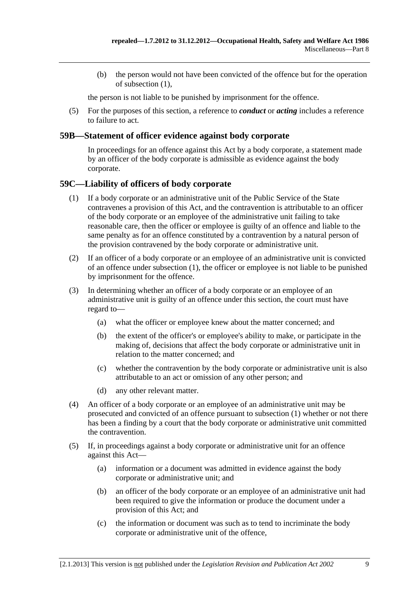<span id="page-60-0"></span> (b) the person would not have been convicted of the offence but for the operation of [subsection \(1\),](#page-59-0)

the person is not liable to be punished by imprisonment for the offence.

 (5) For the purposes of this section, a reference to *conduct* or *acting* includes a reference to failure to act.

#### **59B—Statement of officer evidence against body corporate**

In proceedings for an offence against this Act by a body corporate, a statement made by an officer of the body corporate is admissible as evidence against the body corporate.

# **59C—Liability of officers of body corporate**

- (1) If a body corporate or an administrative unit of the Public Service of the State contravenes a provision of this Act, and the contravention is attributable to an officer of the body corporate or an employee of the administrative unit failing to take reasonable care, then the officer or employee is guilty of an offence and liable to the same penalty as for an offence constituted by a contravention by a natural person of the provision contravened by the body corporate or administrative unit.
- (2) If an officer of a body corporate or an employee of an administrative unit is convicted of an offence under [subsection \(1\)](#page-60-0), the officer or employee is not liable to be punished by imprisonment for the offence.
- (3) In determining whether an officer of a body corporate or an employee of an administrative unit is guilty of an offence under this section, the court must have regard to—
	- (a) what the officer or employee knew about the matter concerned; and
	- (b) the extent of the officer's or employee's ability to make, or participate in the making of, decisions that affect the body corporate or administrative unit in relation to the matter concerned; and
	- (c) whether the contravention by the body corporate or administrative unit is also attributable to an act or omission of any other person; and
	- (d) any other relevant matter.
- (4) An officer of a body corporate or an employee of an administrative unit may be prosecuted and convicted of an offence pursuant to [subsection \(1\)](#page-60-0) whether or not there has been a finding by a court that the body corporate or administrative unit committed the contravention.
- (5) If, in proceedings against a body corporate or administrative unit for an offence against this Act—
	- (a) information or a document was admitted in evidence against the body corporate or administrative unit; and
	- (b) an officer of the body corporate or an employee of an administrative unit had been required to give the information or produce the document under a provision of this Act; and
	- (c) the information or document was such as to tend to incriminate the body corporate or administrative unit of the offence,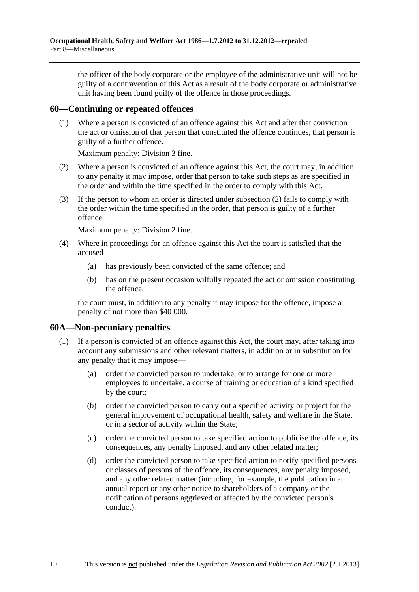<span id="page-61-0"></span>the officer of the body corporate or the employee of the administrative unit will not be guilty of a contravention of this Act as a result of the body corporate or administrative unit having been found guilty of the offence in those proceedings.

#### **60—Continuing or repeated offences**

 (1) Where a person is convicted of an offence against this Act and after that conviction the act or omission of that person that constituted the offence continues, that person is guilty of a further offence.

Maximum penalty: Division 3 fine.

- (2) Where a person is convicted of an offence against this Act, the court may, in addition to any penalty it may impose, order that person to take such steps as are specified in the order and within the time specified in the order to comply with this Act.
- (3) If the person to whom an order is directed under [subsection \(2\)](#page-61-0) fails to comply with the order within the time specified in the order, that person is guilty of a further offence.

Maximum penalty: Division 2 fine.

- (4) Where in proceedings for an offence against this Act the court is satisfied that the accused—
	- (a) has previously been convicted of the same offence; and
	- (b) has on the present occasion wilfully repeated the act or omission constituting the offence,

the court must, in addition to any penalty it may impose for the offence, impose a penalty of not more than \$40 000.

# **60A—Non-pecuniary penalties**

- (1) If a person is convicted of an offence against this Act, the court may, after taking into account any submissions and other relevant matters, in addition or in substitution for any penalty that it may impose—
	- (a) order the convicted person to undertake, or to arrange for one or more employees to undertake, a course of training or education of a kind specified by the court;
	- (b) order the convicted person to carry out a specified activity or project for the general improvement of occupational health, safety and welfare in the State, or in a sector of activity within the State;
	- (c) order the convicted person to take specified action to publicise the offence, its consequences, any penalty imposed, and any other related matter;
	- (d) order the convicted person to take specified action to notify specified persons or classes of persons of the offence, its consequences, any penalty imposed, and any other related matter (including, for example, the publication in an annual report or any other notice to shareholders of a company or the notification of persons aggrieved or affected by the convicted person's conduct).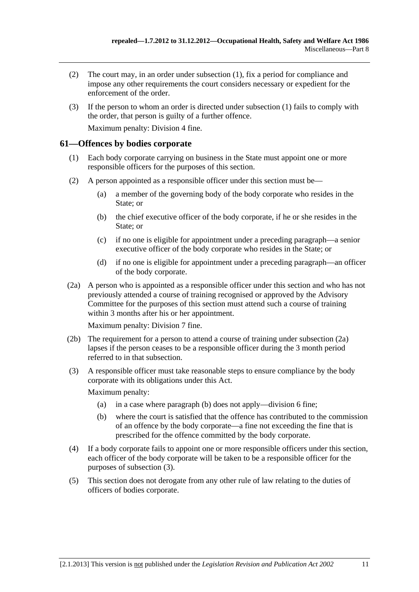- <span id="page-62-0"></span> (2) The court may, in an order under [subsection \(1\)](#page-61-0), fix a period for compliance and impose any other requirements the court considers necessary or expedient for the enforcement of the order.
- (3) If the person to whom an order is directed under [subsection \(1\)](#page-61-0) fails to comply with the order, that person is guilty of a further offence.

Maximum penalty: Division 4 fine.

### **61—Offences by bodies corporate**

- (1) Each body corporate carrying on business in the State must appoint one or more responsible officers for the purposes of this section.
- (2) A person appointed as a responsible officer under this section must be—
	- (a) a member of the governing body of the body corporate who resides in the State; or
	- (b) the chief executive officer of the body corporate, if he or she resides in the State; or
	- (c) if no one is eligible for appointment under a preceding paragraph—a senior executive officer of the body corporate who resides in the State; or
	- (d) if no one is eligible for appointment under a preceding paragraph—an officer of the body corporate.
- (2a) A person who is appointed as a responsible officer under this section and who has not previously attended a course of training recognised or approved by the Advisory Committee for the purposes of this section must attend such a course of training within 3 months after his or her appointment.

Maximum penalty: Division 7 fine.

- (2b) The requirement for a person to attend a course of training under [subsection \(2a\)](#page-62-0) lapses if the person ceases to be a responsible officer during the 3 month period referred to in that subsection.
- (3) A responsible officer must take reasonable steps to ensure compliance by the body corporate with its obligations under this Act.

Maximum penalty:

- (a) in a case where [paragraph \(b\)](#page-62-0) does not apply—division 6 fine;
- (b) where the court is satisfied that the offence has contributed to the commission of an offence by the body corporate—a fine not exceeding the fine that is prescribed for the offence committed by the body corporate.
- (4) If a body corporate fails to appoint one or more responsible officers under this section, each officer of the body corporate will be taken to be a responsible officer for the purposes of [subsection \(3\).](#page-62-0)
- (5) This section does not derogate from any other rule of law relating to the duties of officers of bodies corporate.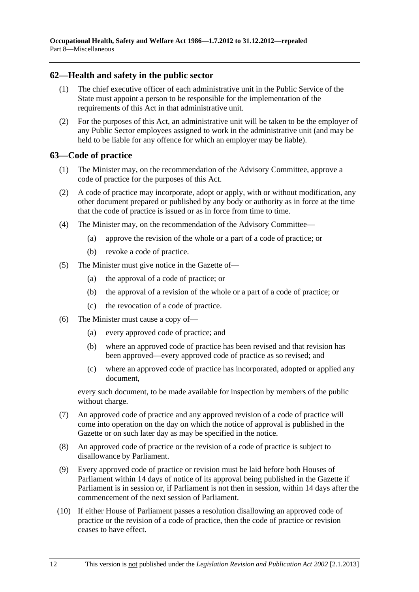# <span id="page-63-0"></span>**62—Health and safety in the public sector**

- (1) The chief executive officer of each administrative unit in the Public Service of the State must appoint a person to be responsible for the implementation of the requirements of this Act in that administrative unit.
- (2) For the purposes of this Act, an administrative unit will be taken to be the employer of any Public Sector employees assigned to work in the administrative unit (and may be held to be liable for any offence for which an employer may be liable).

#### **63—Code of practice**

- (1) The Minister may, on the recommendation of the Advisory Committee, approve a code of practice for the purposes of this Act.
- (2) A code of practice may incorporate, adopt or apply, with or without modification, any other document prepared or published by any body or authority as in force at the time that the code of practice is issued or as in force from time to time.
- (4) The Minister may, on the recommendation of the Advisory Committee—
	- (a) approve the revision of the whole or a part of a code of practice; or
	- (b) revoke a code of practice.
- (5) The Minister must give notice in the Gazette of—
	- (a) the approval of a code of practice; or
	- (b) the approval of a revision of the whole or a part of a code of practice; or
	- (c) the revocation of a code of practice.
- (6) The Minister must cause a copy of—
	- (a) every approved code of practice; and
	- (b) where an approved code of practice has been revised and that revision has been approved—every approved code of practice as so revised; and
	- (c) where an approved code of practice has incorporated, adopted or applied any document,

every such document, to be made available for inspection by members of the public without charge.

- (7) An approved code of practice and any approved revision of a code of practice will come into operation on the day on which the notice of approval is published in the Gazette or on such later day as may be specified in the notice.
- (8) An approved code of practice or the revision of a code of practice is subject to disallowance by Parliament.
- (9) Every approved code of practice or revision must be laid before both Houses of Parliament within 14 days of notice of its approval being published in the Gazette if Parliament is in session or, if Parliament is not then in session, within 14 days after the commencement of the next session of Parliament.
- (10) If either House of Parliament passes a resolution disallowing an approved code of practice or the revision of a code of practice, then the code of practice or revision ceases to have effect.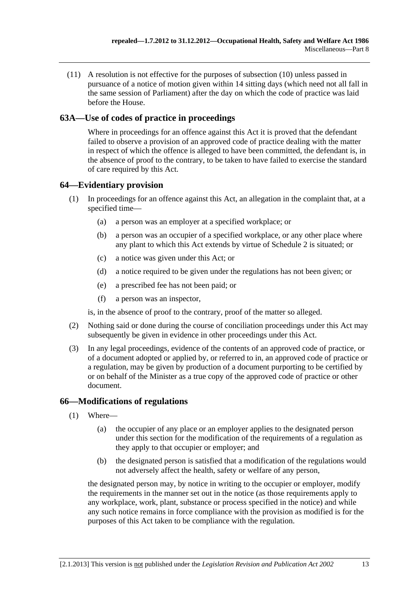(11) A resolution is not effective for the purposes of [subsection \(10\)](#page-63-0) unless passed in pursuance of a notice of motion given within 14 sitting days (which need not all fall in the same session of Parliament) after the day on which the code of practice was laid before the House.

# **63A—Use of codes of practice in proceedings**

Where in proceedings for an offence against this Act it is proved that the defendant failed to observe a provision of an approved code of practice dealing with the matter in respect of which the offence is alleged to have been committed, the defendant is, in the absence of proof to the contrary, to be taken to have failed to exercise the standard of care required by this Act.

# **64—Evidentiary provision**

- (1) In proceedings for an offence against this Act, an allegation in the complaint that, at a specified time—
	- (a) a person was an employer at a specified workplace; or
	- (b) a person was an occupier of a specified workplace, or any other place where any plant to which this Act extends by virtue of [Schedule 2](#page-73-0) is situated; or
	- (c) a notice was given under this Act; or
	- (d) a notice required to be given under the regulations has not been given; or
	- (e) a prescribed fee has not been paid; or
	- (f) a person was an inspector,

is, in the absence of proof to the contrary, proof of the matter so alleged.

- (2) Nothing said or done during the course of conciliation proceedings under this Act may subsequently be given in evidence in other proceedings under this Act.
- (3) In any legal proceedings, evidence of the contents of an approved code of practice, or of a document adopted or applied by, or referred to in, an approved code of practice or a regulation, may be given by production of a document purporting to be certified by or on behalf of the Minister as a true copy of the approved code of practice or other document.

# **66—Modifications of regulations**

- (1) Where—
	- (a) the occupier of any place or an employer applies to the designated person under this section for the modification of the requirements of a regulation as they apply to that occupier or employer; and
	- (b) the designated person is satisfied that a modification of the regulations would not adversely affect the health, safety or welfare of any person,

the designated person may, by notice in writing to the occupier or employer, modify the requirements in the manner set out in the notice (as those requirements apply to any workplace, work, plant, substance or process specified in the notice) and while any such notice remains in force compliance with the provision as modified is for the purposes of this Act taken to be compliance with the regulation.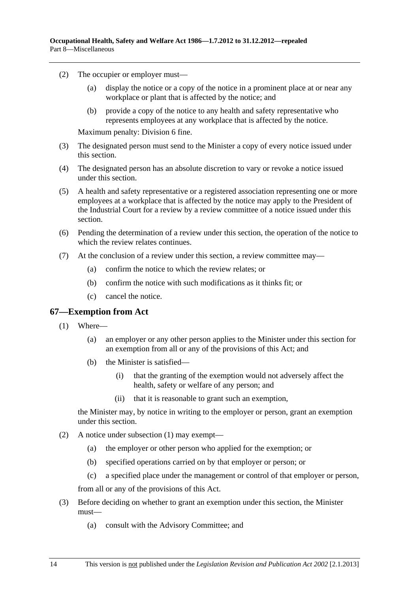- <span id="page-65-0"></span> (2) The occupier or employer must—
	- (a) display the notice or a copy of the notice in a prominent place at or near any workplace or plant that is affected by the notice; and
	- (b) provide a copy of the notice to any health and safety representative who represents employees at any workplace that is affected by the notice.

Maximum penalty: Division 6 fine.

- (3) The designated person must send to the Minister a copy of every notice issued under this section.
- (4) The designated person has an absolute discretion to vary or revoke a notice issued under this section.
- (5) A health and safety representative or a registered association representing one or more employees at a workplace that is affected by the notice may apply to the President of the Industrial Court for a review by a review committee of a notice issued under this section.
- (6) Pending the determination of a review under this section, the operation of the notice to which the review relates continues.
- (7) At the conclusion of a review under this section, a review committee may—
	- (a) confirm the notice to which the review relates; or
	- (b) confirm the notice with such modifications as it thinks fit; or
	- (c) cancel the notice.

#### **67—Exemption from Act**

- (1) Where—
	- (a) an employer or any other person applies to the Minister under this section for an exemption from all or any of the provisions of this Act; and
	- (b) the Minister is satisfied—
		- (i) that the granting of the exemption would not adversely affect the health, safety or welfare of any person; and
		- (ii) that it is reasonable to grant such an exemption,

the Minister may, by notice in writing to the employer or person, grant an exemption under this section.

- (2) A notice under [subsection \(1\)](#page-65-0) may exempt—
	- (a) the employer or other person who applied for the exemption; or
	- (b) specified operations carried on by that employer or person; or
	- (c) a specified place under the management or control of that employer or person,

from all or any of the provisions of this Act.

- (3) Before deciding on whether to grant an exemption under this section, the Minister must—
	- (a) consult with the Advisory Committee; and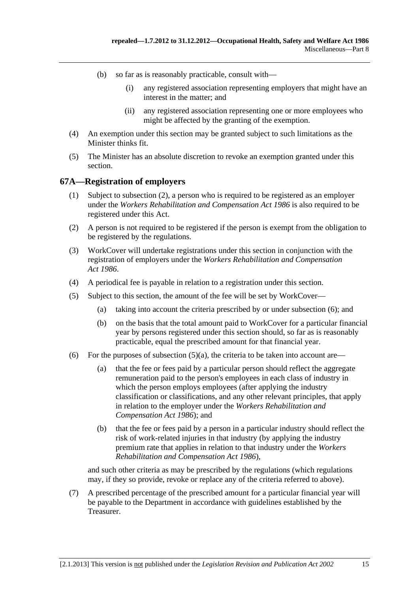- <span id="page-66-0"></span> (b) so far as is reasonably practicable, consult with—
	- (i) any registered association representing employers that might have an interest in the matter; and
	- (ii) any registered association representing one or more employees who might be affected by the granting of the exemption.
- (4) An exemption under this section may be granted subject to such limitations as the Minister thinks fit.
- (5) The Minister has an absolute discretion to revoke an exemption granted under this section.

#### **67A—Registration of employers**

- (1) Subject to [subsection \(2\),](#page-66-0) a person who is required to be registered as an employer under the *[Workers Rehabilitation and Compensation Act 1986](http://www.legislation.sa.gov.au/index.aspx?action=legref&type=act&legtitle=Workers%20Rehabilitation%20and%20Compensation%20Act%201986)* is also required to be registered under this Act.
- (2) A person is not required to be registered if the person is exempt from the obligation to be registered by the regulations.
- (3) WorkCover will undertake registrations under this section in conjunction with the registration of employers under the *[Workers Rehabilitation and Compensation](http://www.legislation.sa.gov.au/index.aspx?action=legref&type=act&legtitle=Workers%20Rehabilitation%20and%20Compensation%20Act%201986)  [Act 1986](http://www.legislation.sa.gov.au/index.aspx?action=legref&type=act&legtitle=Workers%20Rehabilitation%20and%20Compensation%20Act%201986)*.
- (4) A periodical fee is payable in relation to a registration under this section.
- (5) Subject to this section, the amount of the fee will be set by WorkCover—
	- (a) taking into account the criteria prescribed by or under [subsection \(6\)](#page-66-0); and
	- (b) on the basis that the total amount paid to WorkCover for a particular financial year by persons registered under this section should, so far as is reasonably practicable, equal the prescribed amount for that financial year.
- (6) For the purposes of subsection  $(5)(a)$ , the criteria to be taken into account are—
	- (a) that the fee or fees paid by a particular person should reflect the aggregate remuneration paid to the person's employees in each class of industry in which the person employs employees (after applying the industry classification or classifications, and any other relevant principles, that apply in relation to the employer under the *[Workers Rehabilitation and](http://www.legislation.sa.gov.au/index.aspx?action=legref&type=act&legtitle=Workers%20Rehabilitation%20and%20Compensation%20Act%201986)  [Compensation Act 1986](http://www.legislation.sa.gov.au/index.aspx?action=legref&type=act&legtitle=Workers%20Rehabilitation%20and%20Compensation%20Act%201986)*); and
	- (b) that the fee or fees paid by a person in a particular industry should reflect the risk of work-related injuries in that industry (by applying the industry premium rate that applies in relation to that industry under the *[Workers](http://www.legislation.sa.gov.au/index.aspx?action=legref&type=act&legtitle=Workers%20Rehabilitation%20and%20Compensation%20Act%201986)  [Rehabilitation and Compensation Act 1986](http://www.legislation.sa.gov.au/index.aspx?action=legref&type=act&legtitle=Workers%20Rehabilitation%20and%20Compensation%20Act%201986)*),

and such other criteria as may be prescribed by the regulations (which regulations may, if they so provide, revoke or replace any of the criteria referred to above).

 (7) A prescribed percentage of the prescribed amount for a particular financial year will be payable to the Department in accordance with guidelines established by the Treasurer.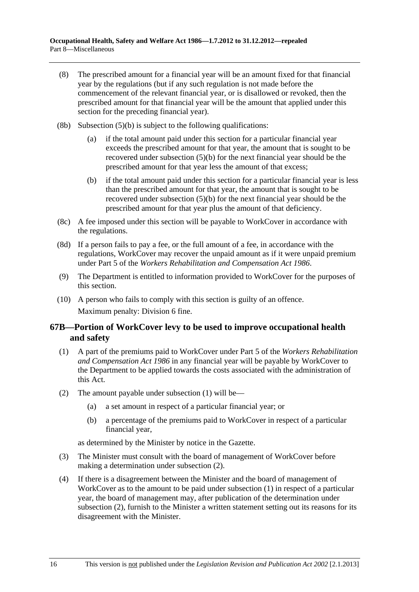- <span id="page-67-0"></span> (8) The prescribed amount for a financial year will be an amount fixed for that financial year by the regulations (but if any such regulation is not made before the commencement of the relevant financial year, or is disallowed or revoked, then the prescribed amount for that financial year will be the amount that applied under this section for the preceding financial year).
- (8b) [Subsection \(5\)\(b\)](#page-66-0) is subject to the following qualifications:
	- (a) if the total amount paid under this section for a particular financial year exceeds the prescribed amount for that year, the amount that is sought to be recovered under [subsection \(5\)\(b\)](#page-66-0) for the next financial year should be the prescribed amount for that year less the amount of that excess;
	- (b) if the total amount paid under this section for a particular financial year is less than the prescribed amount for that year, the amount that is sought to be recovered under [subsection \(5\)\(b\)](#page-66-0) for the next financial year should be the prescribed amount for that year plus the amount of that deficiency.
- (8c) A fee imposed under this section will be payable to WorkCover in accordance with the regulations.
- (8d) If a person fails to pay a fee, or the full amount of a fee, in accordance with the regulations, WorkCover may recover the unpaid amount as if it were unpaid premium under Part 5 of the *[Workers Rehabilitation and Compensation Act 1986](http://www.legislation.sa.gov.au/index.aspx?action=legref&type=act&legtitle=Workers%20Rehabilitation%20and%20Compensation%20Act%201986)*.
- (9) The Department is entitled to information provided to WorkCover for the purposes of this section.
- (10) A person who fails to comply with this section is guilty of an offence. Maximum penalty: Division 6 fine.

# **67B—Portion of WorkCover levy to be used to improve occupational health and safety**

- (1) A part of the premiums paid to WorkCover under Part 5 of the *[Workers Rehabilitation](http://www.legislation.sa.gov.au/index.aspx?action=legref&type=act&legtitle=Workers%20Rehabilitation%20and%20Compensation%20Act%201986)  [and Compensation Act 1986](http://www.legislation.sa.gov.au/index.aspx?action=legref&type=act&legtitle=Workers%20Rehabilitation%20and%20Compensation%20Act%201986)* in any financial year will be payable by WorkCover to the Department to be applied towards the costs associated with the administration of this Act.
- (2) The amount payable under [subsection \(1\)](#page-67-0) will be—
	- (a) a set amount in respect of a particular financial year; or
	- (b) a percentage of the premiums paid to WorkCover in respect of a particular financial year,

as determined by the Minister by notice in the Gazette.

- (3) The Minister must consult with the board of management of WorkCover before making a determination under [subsection \(2\).](#page-67-0)
- (4) If there is a disagreement between the Minister and the board of management of WorkCover as to the amount to be paid under [subsection \(1\)](#page-67-0) in respect of a particular year, the board of management may, after publication of the determination under [subsection \(2\),](#page-67-0) furnish to the Minister a written statement setting out its reasons for its disagreement with the Minister.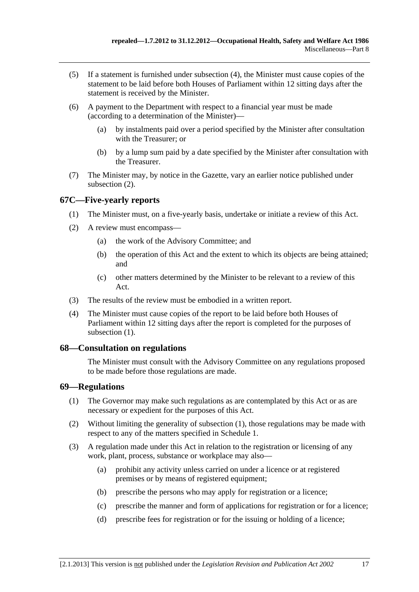- <span id="page-68-0"></span> (5) If a statement is furnished under [subsection \(4\)](#page-67-0), the Minister must cause copies of the statement to be laid before both Houses of Parliament within 12 sitting days after the statement is received by the Minister.
- (6) A payment to the Department with respect to a financial year must be made (according to a determination of the Minister)—
	- (a) by instalments paid over a period specified by the Minister after consultation with the Treasurer; or
	- (b) by a lump sum paid by a date specified by the Minister after consultation with the Treasurer.
- (7) The Minister may, by notice in the Gazette, vary an earlier notice published under [subsection \(2\).](#page-67-0)

# **67C—Five-yearly reports**

- (1) The Minister must, on a five-yearly basis, undertake or initiate a review of this Act.
- (2) A review must encompass—
	- (a) the work of the Advisory Committee; and
	- (b) the operation of this Act and the extent to which its objects are being attained; and
	- (c) other matters determined by the Minister to be relevant to a review of this Act.
- (3) The results of the review must be embodied in a written report.
- (4) The Minister must cause copies of the report to be laid before both Houses of Parliament within 12 sitting days after the report is completed for the purposes of subsection  $(1)$ .

# **68—Consultation on regulations**

The Minister must consult with the Advisory Committee on any regulations proposed to be made before those regulations are made.

#### **69—Regulations**

- (1) The Governor may make such regulations as are contemplated by this Act or as are necessary or expedient for the purposes of this Act.
- (2) Without limiting the generality of [subsection \(1\),](#page-68-0) those regulations may be made with respect to any of the matters specified in [Schedule 1.](#page-72-0)
- (3) A regulation made under this Act in relation to the registration or licensing of any work, plant, process, substance or workplace may also—
	- (a) prohibit any activity unless carried on under a licence or at registered premises or by means of registered equipment;
	- (b) prescribe the persons who may apply for registration or a licence;
	- (c) prescribe the manner and form of applications for registration or for a licence;
	- (d) prescribe fees for registration or for the issuing or holding of a licence;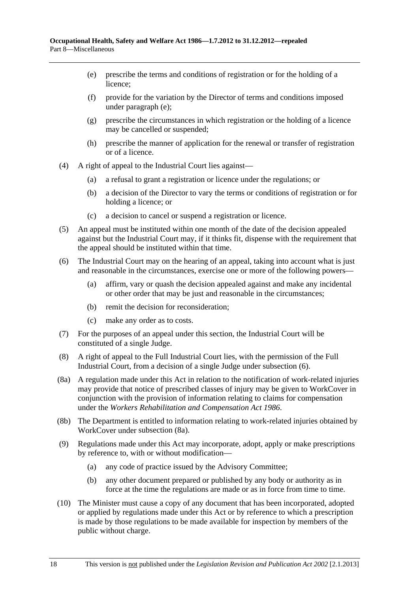- <span id="page-69-0"></span> (e) prescribe the terms and conditions of registration or for the holding of a licence;
- (f) provide for the variation by the Director of terms and conditions imposed under [paragraph \(e\)](#page-69-0);
- (g) prescribe the circumstances in which registration or the holding of a licence may be cancelled or suspended;
- (h) prescribe the manner of application for the renewal or transfer of registration or of a licence.
- (4) A right of appeal to the Industrial Court lies against—
	- (a) a refusal to grant a registration or licence under the regulations; or
	- (b) a decision of the Director to vary the terms or conditions of registration or for holding a licence; or
	- (c) a decision to cancel or suspend a registration or licence.
- (5) An appeal must be instituted within one month of the date of the decision appealed against but the Industrial Court may, if it thinks fit, dispense with the requirement that the appeal should be instituted within that time.
- (6) The Industrial Court may on the hearing of an appeal, taking into account what is just and reasonable in the circumstances, exercise one or more of the following powers—
	- (a) affirm, vary or quash the decision appealed against and make any incidental or other order that may be just and reasonable in the circumstances;
	- (b) remit the decision for reconsideration;
	- (c) make any order as to costs.
- (7) For the purposes of an appeal under this section, the Industrial Court will be constituted of a single Judge.
- (8) A right of appeal to the Full Industrial Court lies, with the permission of the Full Industrial Court, from a decision of a single Judge under [subsection \(6\)](#page-69-0).
- (8a) A regulation made under this Act in relation to the notification of work-related injuries may provide that notice of prescribed classes of injury may be given to WorkCover in conjunction with the provision of information relating to claims for compensation under the *[Workers Rehabilitation and Compensation Act 1986](http://www.legislation.sa.gov.au/index.aspx?action=legref&type=act&legtitle=Workers%20Rehabilitation%20and%20Compensation%20Act%201986)*.
- (8b) The Department is entitled to information relating to work-related injuries obtained by WorkCover under [subsection \(8a\).](#page-69-0)
- (9) Regulations made under this Act may incorporate, adopt, apply or make prescriptions by reference to, with or without modification—
	- (a) any code of practice issued by the Advisory Committee;
	- (b) any other document prepared or published by any body or authority as in force at the time the regulations are made or as in force from time to time.
- (10) The Minister must cause a copy of any document that has been incorporated, adopted or applied by regulations made under this Act or by reference to which a prescription is made by those regulations to be made available for inspection by members of the public without charge.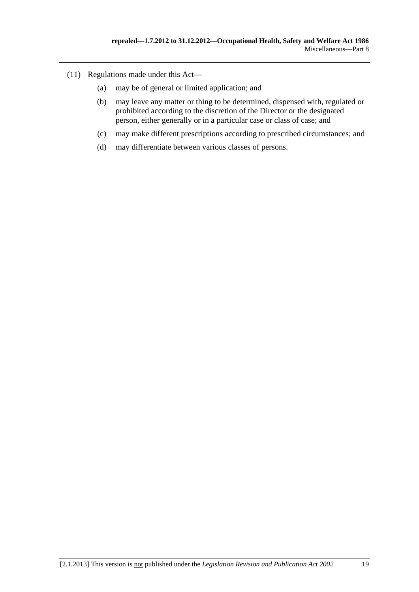- (11) Regulations made under this Act—
	- (a) may be of general or limited application; and
	- (b) may leave any matter or thing to be determined, dispensed with, regulated or prohibited according to the discretion of the Director or the designated person, either generally or in a particular case or class of case; and
	- (c) may make different prescriptions according to prescribed circumstances; and
	- (d) may differentiate between various classes of persons.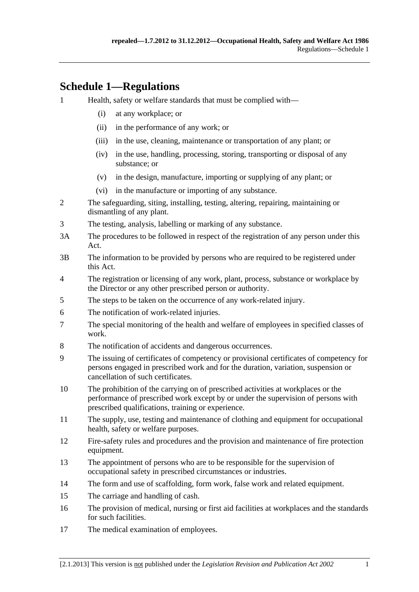# **Schedule 1—Regulations**

- 1 Health, safety or welfare standards that must be complied with—
	- (i) at any workplace; or
	- (ii) in the performance of any work; or
	- (iii) in the use, cleaning, maintenance or transportation of any plant; or
	- (iv) in the use, handling, processing, storing, transporting or disposal of any substance; or
	- (v) in the design, manufacture, importing or supplying of any plant; or
	- (vi) in the manufacture or importing of any substance.
- 2 The safeguarding, siting, installing, testing, altering, repairing, maintaining or dismantling of any plant.
- 3 The testing, analysis, labelling or marking of any substance.
- 3A The procedures to be followed in respect of the registration of any person under this Act.
- 3B The information to be provided by persons who are required to be registered under this Act.
- 4 The registration or licensing of any work, plant, process, substance or workplace by the Director or any other prescribed person or authority.
- 5 The steps to be taken on the occurrence of any work-related injury.
- 6 The notification of work-related injuries.
- 7 The special monitoring of the health and welfare of employees in specified classes of work.
- 8 The notification of accidents and dangerous occurrences.
- 9 The issuing of certificates of competency or provisional certificates of competency for persons engaged in prescribed work and for the duration, variation, suspension or cancellation of such certificates.
- 10 The prohibition of the carrying on of prescribed activities at workplaces or the performance of prescribed work except by or under the supervision of persons with prescribed qualifications, training or experience.
- 11 The supply, use, testing and maintenance of clothing and equipment for occupational health, safety or welfare purposes.
- 12 Fire-safety rules and procedures and the provision and maintenance of fire protection equipment.
- 13 The appointment of persons who are to be responsible for the supervision of occupational safety in prescribed circumstances or industries.
- 14 The form and use of scaffolding, form work, false work and related equipment.
- 15 The carriage and handling of cash.
- 16 The provision of medical, nursing or first aid facilities at workplaces and the standards for such facilities.
- 17 The medical examination of employees.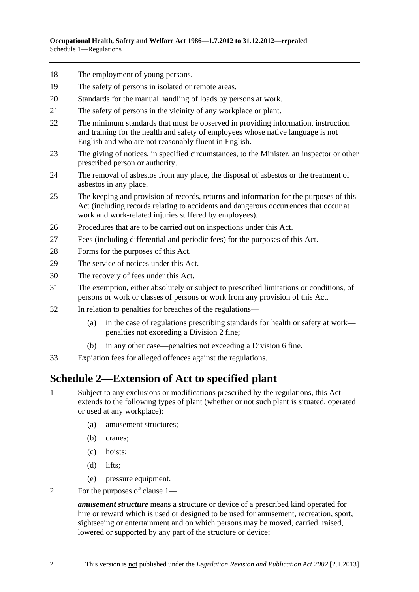- <span id="page-73-0"></span>18 The employment of young persons.
- 19 The safety of persons in isolated or remote areas.
- 20 Standards for the manual handling of loads by persons at work.
- 21 The safety of persons in the vicinity of any workplace or plant.
- 22 The minimum standards that must be observed in providing information, instruction and training for the health and safety of employees whose native language is not English and who are not reasonably fluent in English.
- 23 The giving of notices, in specified circumstances, to the Minister, an inspector or other prescribed person or authority.
- 24 The removal of asbestos from any place, the disposal of asbestos or the treatment of asbestos in any place.
- 25 The keeping and provision of records, returns and information for the purposes of this Act (including records relating to accidents and dangerous occurrences that occur at work and work-related injuries suffered by employees).
- 26 Procedures that are to be carried out on inspections under this Act.
- 27 Fees (including differential and periodic fees) for the purposes of this Act.
- 28 Forms for the purposes of this Act.
- 29 The service of notices under this Act.
- 30 The recovery of fees under this Act.
- 31 The exemption, either absolutely or subject to prescribed limitations or conditions, of persons or work or classes of persons or work from any provision of this Act.
- 32 In relation to penalties for breaches of the regulations—
	- (a) in the case of regulations prescribing standards for health or safety at work penalties not exceeding a Division 2 fine;
	- (b) in any other case—penalties not exceeding a Division 6 fine.
- 33 Expiation fees for alleged offences against the regulations.

## **Schedule 2—Extension of Act to specified plant**

- 1 Subject to any exclusions or modifications prescribed by the regulations, this Act extends to the following types of plant (whether or not such plant is situated, operated or used at any workplace):
	- (a) amusement structures;
	- (b) cranes;
	- (c) hoists;
	- (d) lifts;
	- (e) pressure equipment.
- 2 For the purposes of [clause 1](#page-73-0)—

*amusement structure* means a structure or device of a prescribed kind operated for hire or reward which is used or designed to be used for amusement, recreation, sport, sightseeing or entertainment and on which persons may be moved, carried, raised, lowered or supported by any part of the structure or device;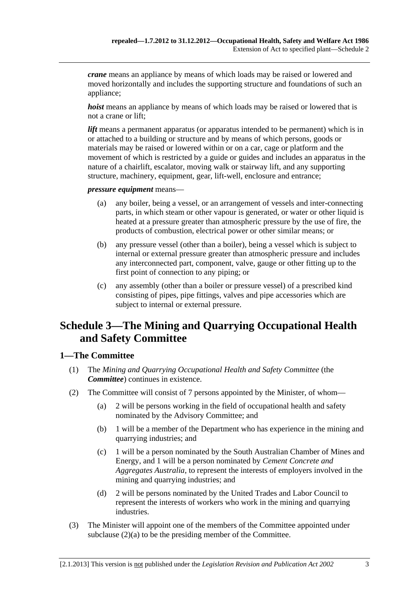<span id="page-74-0"></span>*crane* means an appliance by means of which loads may be raised or lowered and moved horizontally and includes the supporting structure and foundations of such an appliance;

*hoist* means an appliance by means of which loads may be raised or lowered that is not a crane or lift;

*lift* means a permanent apparatus (or apparatus intended to be permanent) which is in or attached to a building or structure and by means of which persons, goods or materials may be raised or lowered within or on a car, cage or platform and the movement of which is restricted by a guide or guides and includes an apparatus in the nature of a chairlift, escalator, moving walk or stairway lift, and any supporting structure, machinery, equipment, gear, lift-well, enclosure and entrance;

*pressure equipment* means—

- (a) any boiler, being a vessel, or an arrangement of vessels and inter-connecting parts, in which steam or other vapour is generated, or water or other liquid is heated at a pressure greater than atmospheric pressure by the use of fire, the products of combustion, electrical power or other similar means; or
- (b) any pressure vessel (other than a boiler), being a vessel which is subject to internal or external pressure greater than atmospheric pressure and includes any interconnected part, component, valve, gauge or other fitting up to the first point of connection to any piping; or
- (c) any assembly (other than a boiler or pressure vessel) of a prescribed kind consisting of pipes, pipe fittings, valves and pipe accessories which are subject to internal or external pressure.

# **Schedule 3—The Mining and Quarrying Occupational Health and Safety Committee**

### **1—The Committee**

- (1) The *Mining and Quarrying Occupational Health and Safety Committee* (the *Committee*) continues in existence.
- (2) The Committee will consist of 7 persons appointed by the Minister, of whom—
	- (a) 2 will be persons working in the field of occupational health and safety nominated by the Advisory Committee; and
	- (b) 1 will be a member of the Department who has experience in the mining and quarrying industries; and
	- (c) 1 will be a person nominated by the South Australian Chamber of Mines and Energy, and 1 will be a person nominated by *Cement Concrete and Aggregates Australia*, to represent the interests of employers involved in the mining and quarrying industries; and
	- (d) 2 will be persons nominated by the United Trades and Labor Council to represent the interests of workers who work in the mining and quarrying industries.
- (3) The Minister will appoint one of the members of the Committee appointed under [subclause \(2\)\(a\)](#page-74-0) to be the presiding member of the Committee.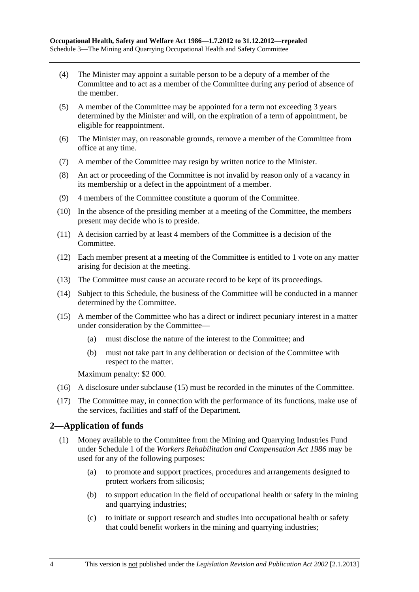- <span id="page-75-0"></span> (4) The Minister may appoint a suitable person to be a deputy of a member of the Committee and to act as a member of the Committee during any period of absence of the member.
- (5) A member of the Committee may be appointed for a term not exceeding 3 years determined by the Minister and will, on the expiration of a term of appointment, be eligible for reappointment.
- (6) The Minister may, on reasonable grounds, remove a member of the Committee from office at any time.
- (7) A member of the Committee may resign by written notice to the Minister.
- (8) An act or proceeding of the Committee is not invalid by reason only of a vacancy in its membership or a defect in the appointment of a member.
- (9) 4 members of the Committee constitute a quorum of the Committee.
- (10) In the absence of the presiding member at a meeting of the Committee, the members present may decide who is to preside.
- (11) A decision carried by at least 4 members of the Committee is a decision of the Committee.
- (12) Each member present at a meeting of the Committee is entitled to 1 vote on any matter arising for decision at the meeting.
- (13) The Committee must cause an accurate record to be kept of its proceedings.
- (14) Subject to this Schedule, the business of the Committee will be conducted in a manner determined by the Committee.
- (15) A member of the Committee who has a direct or indirect pecuniary interest in a matter under consideration by the Committee—
	- (a) must disclose the nature of the interest to the Committee; and
	- (b) must not take part in any deliberation or decision of the Committee with respect to the matter.

Maximum penalty: \$2 000.

- (16) A disclosure under [subclause \(15\)](#page-75-0) must be recorded in the minutes of the Committee.
- (17) The Committee may, in connection with the performance of its functions, make use of the services, facilities and staff of the Department.

### **2—Application of funds**

- (1) Money available to the Committee from the Mining and Quarrying Industries Fund under Schedule 1 of the *[Workers Rehabilitation and Compensation Act 1986](http://www.legislation.sa.gov.au/index.aspx?action=legref&type=act&legtitle=Workers%20Rehabilitation%20and%20Compensation%20Act%201986)* may be used for any of the following purposes:
	- (a) to promote and support practices, procedures and arrangements designed to protect workers from silicosis;
	- (b) to support education in the field of occupational health or safety in the mining and quarrying industries;
	- (c) to initiate or support research and studies into occupational health or safety that could benefit workers in the mining and quarrying industries;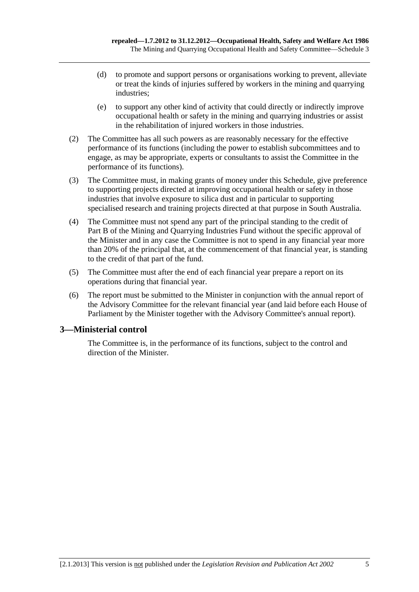- (d) to promote and support persons or organisations working to prevent, alleviate or treat the kinds of injuries suffered by workers in the mining and quarrying industries;
- (e) to support any other kind of activity that could directly or indirectly improve occupational health or safety in the mining and quarrying industries or assist in the rehabilitation of injured workers in those industries.
- (2) The Committee has all such powers as are reasonably necessary for the effective performance of its functions (including the power to establish subcommittees and to engage, as may be appropriate, experts or consultants to assist the Committee in the performance of its functions).
- (3) The Committee must, in making grants of money under this Schedule, give preference to supporting projects directed at improving occupational health or safety in those industries that involve exposure to silica dust and in particular to supporting specialised research and training projects directed at that purpose in South Australia.
- (4) The Committee must not spend any part of the principal standing to the credit of Part B of the Mining and Quarrying Industries Fund without the specific approval of the Minister and in any case the Committee is not to spend in any financial year more than 20% of the principal that, at the commencement of that financial year, is standing to the credit of that part of the fund.
- (5) The Committee must after the end of each financial year prepare a report on its operations during that financial year.
- (6) The report must be submitted to the Minister in conjunction with the annual report of the Advisory Committee for the relevant financial year (and laid before each House of Parliament by the Minister together with the Advisory Committee's annual report).

### **3—Ministerial control**

The Committee is, in the performance of its functions, subject to the control and direction of the Minister.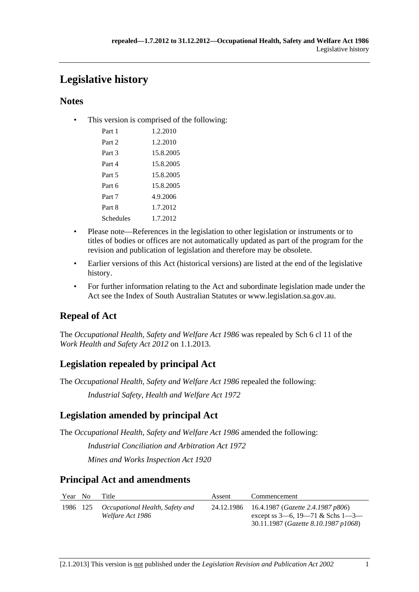# **Legislative history**

### **Notes**

• This version is comprised of the following:

| Part 1    | 1.2.2010  |
|-----------|-----------|
| Part 2    | 1.2.2010  |
| Part 3    | 15.8.2005 |
| Part 4    | 15.8.2005 |
| Part 5    | 15.8.2005 |
| Part 6    | 15.8.2005 |
| Part 7    | 4.9.2006  |
| Part 8    | 1.7.2012  |
| Schedules | 1.7.2012  |
|           |           |

- Please note—References in the legislation to other legislation or instruments or to titles of bodies or offices are not automatically updated as part of the program for the revision and publication of legislation and therefore may be obsolete.
- Earlier versions of this Act (historical versions) are listed at the end of the legislative history.
- For further information relating to the Act and subordinate legislation made under the Act see the Index of South Australian Statutes or www.legislation.sa.gov.au.

## **Repeal of Act**

The *Occupational Health, Safety and Welfare Act 1986* was repealed by Sch 6 cl 11 of the *Work Health and Safety Act 2012* on 1.1.2013.

## **Legislation repealed by principal Act**

The *Occupational Health, Safety and Welfare Act 1986* repealed the following:

*Industrial Safety, Health and Welfare Act 1972*

## **Legislation amended by principal Act**

The *Occupational Health, Safety and Welfare Act 1986* amended the following:

*Industrial Conciliation and Arbitration Act 1972*

*Mines and Works Inspection Act 1920*

## **Principal Act and amendments**

| Year No | Title                                                        | Assent | Commencement                                                                                                                    |
|---------|--------------------------------------------------------------|--------|---------------------------------------------------------------------------------------------------------------------------------|
|         | 1986 125 Occupational Health, Safety and<br>Welfare Act 1986 |        | 24.12.1986 16.4.1987 (Gazette 2.4.1987 p806)<br>except ss $3-6$ , $19-71$ & Schs $1-3-$<br>30.11.1987 (Gazette 8.10.1987 p1068) |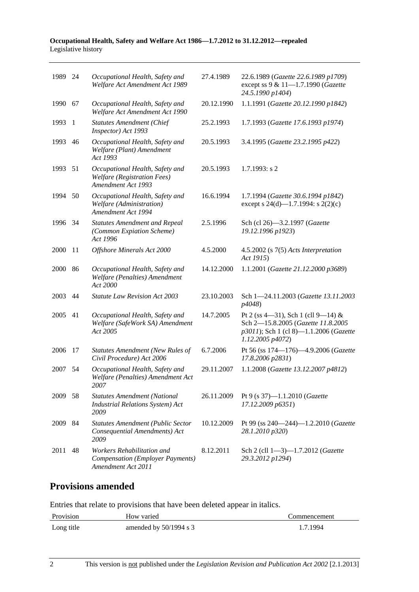#### **Occupational Health, Safety and Welfare Act 1986—1.7.2012 to 31.12.2012—repealed**  Legislative history

| 1989 24 |      | Occupational Health, Safety and<br>Welfare Act Amendment Act 1989                           | 27.4.1989  | 22.6.1989 (Gazette 22.6.1989 p1709)<br>except ss 9 & 11-1.7.1990 (Gazette<br>24.5.1990 p1404)                                          |
|---------|------|---------------------------------------------------------------------------------------------|------------|----------------------------------------------------------------------------------------------------------------------------------------|
| 1990    | 67   | Occupational Health, Safety and<br>Welfare Act Amendment Act 1990                           | 20.12.1990 | 1.1.1991 (Gazette 20.12.1990 p1842)                                                                                                    |
| 1993    | 1    | <b>Statutes Amendment (Chief</b><br>Inspector) Act 1993                                     | 25.2.1993  | 1.7.1993 (Gazette 17.6.1993 p1974)                                                                                                     |
| 1993    | 46   | Occupational Health, Safety and<br>Welfare (Plant) Amendment<br>Act 1993                    | 20.5.1993  | 3.4.1995 (Gazette 23.2.1995 p422)                                                                                                      |
| 1993    | 51   | Occupational Health, Safety and<br><b>Welfare</b> (Registration Fees)<br>Amendment Act 1993 | 20.5.1993  | $1.7.1993$ : s 2                                                                                                                       |
| 1994    | 50   | Occupational Health, Safety and<br>Welfare (Administration)<br>Amendment Act 1994           | 16.6.1994  | 1.7.1994 (Gazette 30.6.1994 p1842)<br>except s 24(d)—1.7.1994: s 2(2)(c)                                                               |
| 1996 34 |      | <b>Statutes Amendment and Repeal</b><br>(Common Expiation Scheme)<br>Act 1996               | 2.5.1996   | Sch (cl 26)-3.2.1997 (Gazette<br>19.12.1996 p1923)                                                                                     |
| 2000    | 11   | Offshore Minerals Act 2000                                                                  | 4.5.2000   | $4.5.2002$ (s $7(5)$ Acts Interpretation<br>Act 1915)                                                                                  |
| 2000    | 86   | Occupational Health, Safety and<br>Welfare (Penalties) Amendment<br>Act 2000                | 14.12.2000 | 1.1.2001 (Gazette 21.12.2000 p3689)                                                                                                    |
| 2003    | 44   | <b>Statute Law Revision Act 2003</b>                                                        | 23.10.2003 | Sch 1-24.11.2003 (Gazette 13.11.2003<br>p4048)                                                                                         |
| 2005    | 41   | Occupational Health, Safety and<br>Welfare (SafeWork SA) Amendment<br>Act 2005              | 14.7.2005  | Pt 2 (ss 4—31), Sch 1 (cll 9—14) &<br>Sch 2-15.8.2005 (Gazette 11.8.2005<br>p3011); Sch 1 (cl 8)-1.1.2006 (Gazette<br>1.12.2005 p4072) |
| 2006    | 17   | Statutes Amendment (New Rules of<br>Civil Procedure) Act 2006                               | 6.7.2006   | Pt 56 (ss 174-176)-4.9.2006 (Gazette<br>17.8.2006 p2831)                                                                               |
| 2007    | 54   | Occupational Health, Safety and<br>Welfare (Penalties) Amendment Act<br>2007                | 29.11.2007 | 1.1.2008 (Gazette 13.12.2007 p4812)                                                                                                    |
| 2009    | - 58 | <b>Statutes Amendment (National</b><br><b>Industrial Relations System) Act</b><br>2009      | 26.11.2009 | Pt 9 (s 37)-1.1.2010 (Gazette<br>17.12.2009 p6351)                                                                                     |
| 2009    | 84   | <b>Statutes Amendment (Public Sector</b><br>Consequential Amendments) Act<br>2009           | 10.12.2009 | Pt 99 (ss 240-244)-1.2.2010 (Gazette<br>28.1.2010 p320)                                                                                |
| 2011    | 48   | Workers Rehabilitation and<br><b>Compensation (Employer Payments)</b><br>Amendment Act 2011 | 8.12.2011  | Sch 2 (cll 1-3)-1.7.2012 (Gazette<br>29.3.2012 p1294)                                                                                  |

## **Provisions amended**

Entries that relate to provisions that have been deleted appear in italics.

| Provision  | How varied               | Commencement |
|------------|--------------------------|--------------|
| Long title | amended by $50/1994$ s 3 | 1.7.1994     |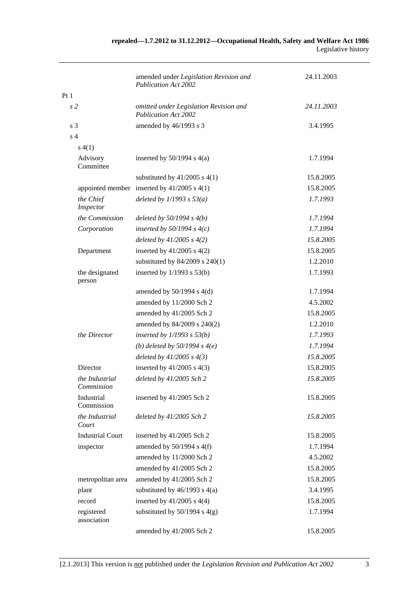|     |                                     | amended under Legislation Revision and<br><b>Publication Act 2002</b> | 24.11.2003 |
|-----|-------------------------------------|-----------------------------------------------------------------------|------------|
| Pt1 |                                     |                                                                       |            |
|     | s <sub>2</sub>                      | omitted under Legislation Revision and<br><b>Publication Act 2002</b> | 24.11.2003 |
|     | s <sub>3</sub>                      | amended by 46/1993 s 3                                                | 3.4.1995   |
|     | s <sub>4</sub>                      |                                                                       |            |
|     | s(4(1))                             |                                                                       |            |
|     | Advisory<br>Committee               | inserted by $50/1994$ s $4(a)$                                        | 1.7.1994   |
|     |                                     | substituted by $41/2005$ s $4(1)$                                     | 15.8.2005  |
|     |                                     | appointed member inserted by $41/2005$ s $4(1)$                       | 15.8.2005  |
|     | the Chief<br>Inspector              | deleted by $1/1993$ s $53(a)$                                         | 1.7.1993   |
|     | the Commission                      | deleted by $50/1994 s 4(b)$                                           | 1.7.1994   |
|     | Corporation                         | inserted by $50/1994$ s $4(c)$                                        | 1.7.1994   |
|     |                                     | deleted by $41/2005 s 4(2)$                                           | 15.8.2005  |
|     | Department                          | inserted by $41/2005$ s $4(2)$                                        | 15.8.2005  |
|     |                                     | substituted by $84/2009$ s $240(1)$                                   | 1.2.2010   |
|     | the designated<br>person            | inserted by $1/1993$ s $53(b)$                                        | 1.7.1993   |
|     |                                     | amended by $50/1994$ s $4(d)$                                         | 1.7.1994   |
|     |                                     | amended by 11/2000 Sch 2                                              | 4.5.2002   |
|     |                                     | amended by 41/2005 Sch 2                                              | 15.8.2005  |
|     |                                     | amended by 84/2009 s 240(2)                                           | 1.2.2010   |
|     | the Director                        | inserted by $1/1993$ s $53(b)$                                        | 1.7.1993   |
|     |                                     | (b) deleted by $50/1994 s 4(e)$                                       | 1.7.1994   |
|     |                                     | deleted by $41/2005$ s $4(3)$                                         | 15.8.2005  |
|     | Director                            | inserted by $41/2005$ s $4(3)$                                        | 15.8.2005  |
|     | <i>the Industrial</i><br>Commission | deleted by 41/2005 Sch 2                                              | 15.8.2005  |
|     | Industrial<br>Commission            | inserted by 41/2005 Sch 2                                             | 15.8.2005  |
|     | the Industrial<br>Court             | deleted by 41/2005 Sch 2                                              | 15.8.2005  |
|     | <b>Industrial Court</b>             | inserted by 41/2005 Sch 2                                             | 15.8.2005  |
|     | inspector                           | amended by $50/1994$ s $4(f)$                                         | 1.7.1994   |
|     |                                     | amended by 11/2000 Sch 2                                              | 4.5.2002   |
|     |                                     | amended by 41/2005 Sch 2                                              | 15.8.2005  |
|     | metropolitan area                   | amended by 41/2005 Sch 2                                              | 15.8.2005  |
|     | plant                               | substituted by $46/1993$ s $4(a)$                                     | 3.4.1995   |
|     | record                              | inserted by $41/2005$ s $4(4)$                                        | 15.8.2005  |
|     | registered<br>association           | substituted by $50/1994$ s $4(g)$                                     | 1.7.1994   |
|     |                                     | amended by 41/2005 Sch 2                                              | 15.8.2005  |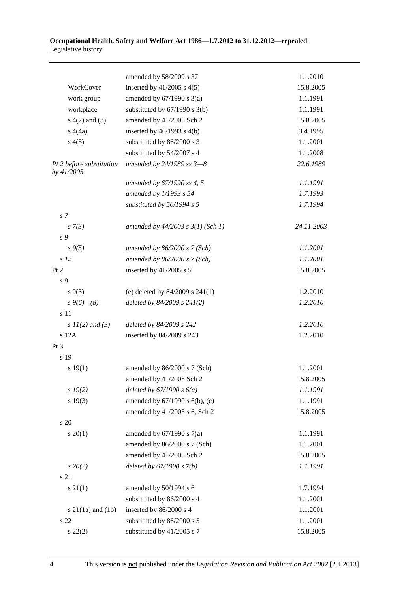#### **Occupational Health, Safety and Welfare Act 1986—1.7.2012 to 31.12.2012—repealed**  Legislative history

|                                        | amended by 58/2009 s 37               | 1.1.2010   |
|----------------------------------------|---------------------------------------|------------|
| WorkCover                              | inserted by $41/2005$ s $4(5)$        | 15.8.2005  |
| work group                             | amended by $67/1990$ s $3(a)$         | 1.1.1991   |
| workplace                              | substituted by $67/1990$ s 3(b)       | 1.1.1991   |
| $s(4(2)$ and $(3)$                     | amended by 41/2005 Sch 2              | 15.8.2005  |
| s(4a)                                  | inserted by $46/1993$ s $4(b)$        | 3.4.1995   |
| s(4(5)                                 | substituted by 86/2000 s 3            | 1.1.2001   |
|                                        | substituted by 54/2007 s 4            | 1.1.2008   |
| Pt 2 before substitution<br>by 41/2005 | amended by 24/1989 ss 3-8             | 22.6.1989  |
|                                        | amended by 67/1990 ss 4, 5            | 1.1.1991   |
|                                        | amended by 1/1993 s 54                | 1.7.1993   |
|                                        | substituted by 50/1994 s 5            | 1.7.1994   |
| s <sub>7</sub>                         |                                       |            |
| $s \, 7(3)$                            | amended by $44/2003$ s $3(1)$ (Sch 1) | 24.11.2003 |
| s 9                                    |                                       |            |
| $s \, 9(5)$                            | amended by $86/2000 s$ 7 (Sch)        | 1.1.2001   |
| s <sub>12</sub>                        | amended by $86/2000 s$ 7 (Sch)        | 1.1.2001   |
| Pt 2                                   | inserted by 41/2005 s 5               | 15.8.2005  |
| s 9                                    |                                       |            |
| $s \, 9(3)$                            | (e) deleted by $84/2009$ s $241(1)$   | 1.2.2010   |
| $s\,9(6)$ — $(8)$                      | deleted by $84/2009$ s $241(2)$       | 1.2.2010   |
| s 11                                   |                                       |            |
| s $11(2)$ and (3)                      | deleted by 84/2009 s 242              | 1.2.2010   |
| s 12A                                  | inserted by 84/2009 s 243             | 1.2.2010   |
| Pt <sub>3</sub>                        |                                       |            |
| s 19                                   |                                       |            |
| s 19(1)                                | amended by 86/2000 s 7 (Sch)          | 1.1.2001   |
|                                        | amended by 41/2005 Sch 2              | 15.8.2005  |
| s 19(2)                                | deleted by $67/1990 s 6(a)$           | 1.1.1991   |
| s 19(3)                                | amended by 67/1990 s 6(b), (c)        | 1.1.1991   |
|                                        | amended by 41/2005 s 6, Sch 2         | 15.8.2005  |
| s 20                                   |                                       |            |
| $s \ 20(1)$                            | amended by $67/1990$ s $7(a)$         | 1.1.1991   |
|                                        | amended by 86/2000 s 7 (Sch)          | 1.1.2001   |
|                                        | amended by 41/2005 Sch 2              | 15.8.2005  |
| $s\,20(2)$                             | deleted by $67/1990 s 7(b)$           | 1.1.1991   |
| s 21                                   |                                       |            |
| $s \, 21(1)$                           | amended by 50/1994 s 6                | 1.7.1994   |
|                                        | substituted by 86/2000 s 4            | 1.1.2001   |
| $s$ 21(1a) and (1b)                    | inserted by 86/2000 s 4               | 1.1.2001   |
| s 22                                   | substituted by 86/2000 s 5            | 1.1.2001   |
| $s\ 22(2)$                             | substituted by 41/2005 s 7            | 15.8.2005  |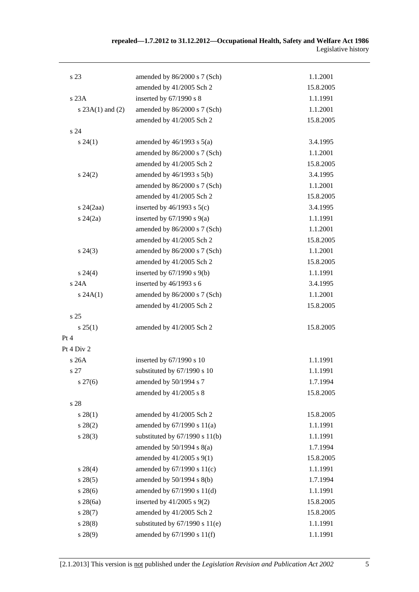| s 23                 | amended by 86/2000 s 7 (Sch)       | 1.1.2001  |
|----------------------|------------------------------------|-----------|
|                      | amended by 41/2005 Sch 2           | 15.8.2005 |
| s23A                 | inserted by 67/1990 s 8            | 1.1.1991  |
| s $23A(1)$ and $(2)$ | amended by 86/2000 s 7 (Sch)       | 1.1.2001  |
|                      | amended by 41/2005 Sch 2           | 15.8.2005 |
| s 24                 |                                    |           |
| $s\,24(1)$           | amended by $46/1993$ s $5(a)$      | 3.4.1995  |
|                      | amended by 86/2000 s 7 (Sch)       | 1.1.2001  |
|                      | amended by 41/2005 Sch 2           | 15.8.2005 |
| $s\,24(2)$           | amended by $46/1993$ s $5(b)$      | 3.4.1995  |
|                      | amended by 86/2000 s 7 (Sch)       | 1.1.2001  |
|                      | amended by 41/2005 Sch 2           | 15.8.2005 |
| $s$ 24 $(2aa)$       | inserted by $46/1993$ s $5(c)$     | 3.4.1995  |
| $s\,24(2a)$          | inserted by $67/1990$ s $9(a)$     | 1.1.1991  |
|                      | amended by 86/2000 s 7 (Sch)       | 1.1.2001  |
|                      | amended by 41/2005 Sch 2           | 15.8.2005 |
| $s\,24(3)$           | amended by 86/2000 s 7 (Sch)       | 1.1.2001  |
|                      | amended by 41/2005 Sch 2           | 15.8.2005 |
| $s\,24(4)$           | inserted by $67/1990$ s $9(b)$     | 1.1.1991  |
| s 24A                | inserted by 46/1993 s 6            | 3.4.1995  |
| s 24A(1)             | amended by 86/2000 s 7 (Sch)       | 1.1.2001  |
|                      | amended by 41/2005 Sch 2           | 15.8.2005 |
| s <sub>25</sub>      |                                    |           |
| $s \, 25(1)$         | amended by 41/2005 Sch 2           | 15.8.2005 |
| Pt 4                 |                                    |           |
| Pt 4 Div 2           |                                    |           |
| s 26A                | inserted by 67/1990 s 10           | 1.1.1991  |
| s 27                 | substituted by 67/1990 s 10        | 1.1.1991  |
| $s\,27(6)$           | amended by 50/1994 s 7             | 1.7.1994  |
|                      | amended by $41/2005$ s 8           | 15.8.2005 |
| s 28                 |                                    |           |
| $s\,28(1)$           | amended by 41/2005 Sch 2           | 15.8.2005 |
| $s\,28(2)$           | amended by $67/1990$ s $11(a)$     | 1.1.1991  |
| $s\,28(3)$           | substituted by $67/1990$ s $11(b)$ | 1.1.1991  |
|                      | amended by $50/1994$ s $8(a)$      | 1.7.1994  |
|                      | amended by 41/2005 s 9(1)          | 15.8.2005 |
| $s\ 28(4)$           | amended by $67/1990$ s $11(c)$     | 1.1.1991  |
| $s\,28(5)$           | amended by 50/1994 s 8(b)          | 1.7.1994  |
| $s\,28(6)$           | amended by 67/1990 s 11(d)         | 1.1.1991  |
| $s$ 28(6a)           | inserted by 41/2005 s 9(2)         | 15.8.2005 |
| s 28(7)              | amended by 41/2005 Sch 2           | 15.8.2005 |
| s 28(8)              | substituted by $67/1990$ s $11(e)$ | 1.1.1991  |
| s 28(9)              | amended by 67/1990 s 11(f)         | 1.1.1991  |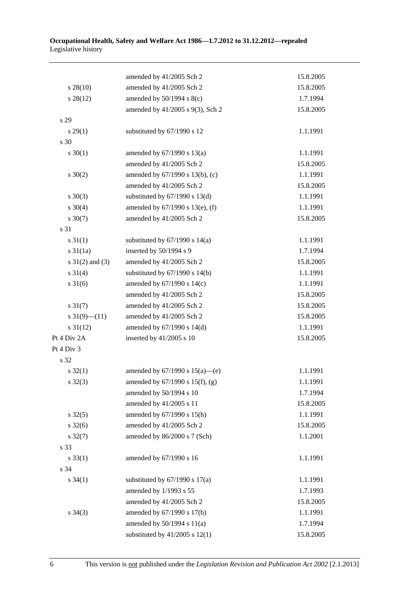|                     | amended by 41/2005 Sch 2            | 15.8.2005 |
|---------------------|-------------------------------------|-----------|
| $s\,28(10)$         | amended by 41/2005 Sch 2            | 15.8.2005 |
| $s\,28(12)$         | amended by $50/1994$ s $8(c)$       | 1.7.1994  |
|                     | amended by 41/2005 s 9(3), Sch 2    | 15.8.2005 |
| s 29                |                                     |           |
| $s\,29(1)$          | substituted by 67/1990 s 12         | 1.1.1991  |
| s 30                |                                     |           |
| $s \ 30(1)$         | amended by 67/1990 s 13(a)          | 1.1.1991  |
|                     | amended by 41/2005 Sch 2            | 15.8.2005 |
| $s \ 30(2)$         | amended by 67/1990 s 13(b), (c)     | 1.1.1991  |
|                     | amended by 41/2005 Sch 2            | 15.8.2005 |
| $s \ 30(3)$         | substituted by $67/1990$ s $13(d)$  | 1.1.1991  |
| $s \ 30(4)$         | amended by 67/1990 s 13(e), (f)     | 1.1.1991  |
| $s \ 30(7)$         | amended by 41/2005 Sch 2            | 15.8.2005 |
| s 31                |                                     |           |
| $s \, 31(1)$        | substituted by $67/1990$ s $14(a)$  | 1.1.1991  |
| $s \frac{31}{1a}$   | inserted by 50/1994 s 9             | 1.7.1994  |
| $s \ 31(2)$ and (3) | amended by 41/2005 Sch 2            | 15.8.2005 |
| $s \ 31(4)$         | substituted by $67/1990$ s $14(b)$  | 1.1.1991  |
| $s \, 31(6)$        | amended by 67/1990 s 14(c)          | 1.1.1991  |
|                     | amended by 41/2005 Sch 2            | 15.8.2005 |
| $s \, 31(7)$        | amended by 41/2005 Sch 2            | 15.8.2005 |
| s $31(9)$ (11)      | amended by 41/2005 Sch 2            | 15.8.2005 |
| $s \, 31(12)$       | amended by 67/1990 s 14(d)          | 1.1.1991  |
| Pt 4 Div 2A         | inserted by $41/2005$ s 10          | 15.8.2005 |
| Pt 4 Div 3          |                                     |           |
| s 32                |                                     |           |
| $s \, 32(1)$        | amended by $67/1990$ s $15(a)$ —(e) | 1.1.1991  |
| $s \, 32(3)$        | amended by 67/1990 s 15(f), (g)     | 1.1.1991  |
|                     | amended by 50/1994 s 10             | 1.7.1994  |
|                     | amended by 41/2005 s 11             | 15.8.2005 |
| $s \, 32(5)$        | amended by 67/1990 s 15(h)          | 1.1.1991  |
| $s \frac{32}{6}$    | amended by 41/2005 Sch 2            | 15.8.2005 |
| $s \, 32(7)$        | amended by 86/2000 s 7 (Sch)        | 1.1.2001  |
| s 33                |                                     |           |
| $s \, 33(1)$        | amended by 67/1990 s 16             | 1.1.1991  |
| s 34                |                                     |           |
| $s \, 34(1)$        | substituted by $67/1990$ s $17(a)$  | 1.1.1991  |
|                     | amended by 1/1993 s 55              | 1.7.1993  |
|                     | amended by 41/2005 Sch 2            | 15.8.2005 |
| $s \; 34(3)$        | amended by 67/1990 s 17(b)          | 1.1.1991  |
|                     | amended by $50/1994$ s $11(a)$      | 1.7.1994  |
|                     | substituted by $41/2005$ s $12(1)$  | 15.8.2005 |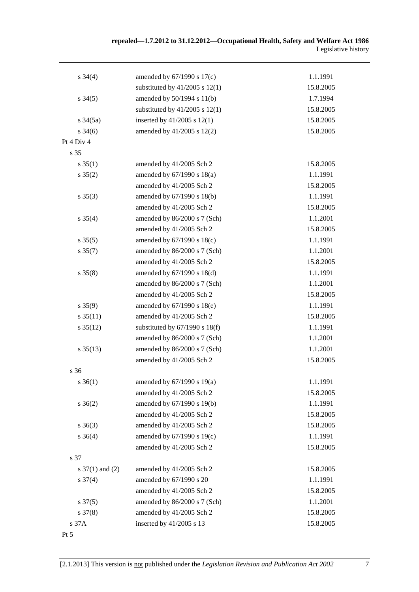| $s \; 34(4)$         | amended by 67/1990 s 17(c)         | 1.1.1991  |
|----------------------|------------------------------------|-----------|
|                      | substituted by $41/2005$ s $12(1)$ | 15.8.2005 |
| $s \, 34(5)$         | amended by 50/1994 s 11(b)         | 1.7.1994  |
|                      | substituted by $41/2005$ s $12(1)$ | 15.8.2005 |
| $s \frac{34(5a)}{2}$ | inserted by $41/2005$ s $12(1)$    | 15.8.2005 |
| $s \frac{34(6)}{2}$  | amended by 41/2005 s 12(2)         | 15.8.2005 |
| Pt 4 Div 4           |                                    |           |
| s 35                 |                                    |           |
| $s \, 35(1)$         | amended by 41/2005 Sch 2           | 15.8.2005 |
| $s \; 35(2)$         | amended by 67/1990 s 18(a)         | 1.1.1991  |
|                      | amended by 41/2005 Sch 2           | 15.8.2005 |
| $s \; 35(3)$         | amended by 67/1990 s 18(b)         | 1.1.1991  |
|                      | amended by 41/2005 Sch 2           | 15.8.2005 |
| $s \; 35(4)$         | amended by 86/2000 s 7 (Sch)       | 1.1.2001  |
|                      | amended by 41/2005 Sch 2           | 15.8.2005 |
| $s \, 35(5)$         | amended by 67/1990 s 18(c)         | 1.1.1991  |
| $s \, 35(7)$         | amended by 86/2000 s 7 (Sch)       | 1.1.2001  |
|                      | amended by 41/2005 Sch 2           | 15.8.2005 |
| $s \, 35(8)$         | amended by 67/1990 s 18(d)         | 1.1.1991  |
|                      | amended by 86/2000 s 7 (Sch)       | 1.1.2001  |
|                      | amended by 41/2005 Sch 2           | 15.8.2005 |
| $s \, 35(9)$         | amended by 67/1990 s 18(e)         | 1.1.1991  |
| $s \, 35(11)$        | amended by 41/2005 Sch 2           | 15.8.2005 |
| $s \, 35(12)$        | substituted by $67/1990$ s $18(f)$ | 1.1.1991  |
|                      | amended by 86/2000 s 7 (Sch)       | 1.1.2001  |
| $s \frac{35(13)}{2}$ | amended by 86/2000 s 7 (Sch)       | 1.1.2001  |
|                      | amended by 41/2005 Sch 2           | 15.8.2005 |
| s 36                 |                                    |           |
| $s \; 36(1)$         | amended by 67/1990 s 19(a)         | 1.1.1991  |
|                      | amended by 41/2005 Sch 2           | 15.8.2005 |
| $s \; 36(2)$         | amended by 67/1990 s 19(b)         | 1.1.1991  |
|                      | amended by 41/2005 Sch 2           | 15.8.2005 |
| $s \; 36(3)$         | amended by 41/2005 Sch 2           | 15.8.2005 |
| $s \; 36(4)$         | amended by 67/1990 s 19(c)         | 1.1.1991  |
|                      | amended by 41/2005 Sch 2           | 15.8.2005 |
| s 37                 |                                    |           |
| s $37(1)$ and (2)    | amended by 41/2005 Sch 2           | 15.8.2005 |
| $s \frac{37(4)}{4}$  | amended by 67/1990 s 20            | 1.1.1991  |
|                      | amended by 41/2005 Sch 2           | 15.8.2005 |
| $s \frac{37(5)}{2}$  | amended by 86/2000 s 7 (Sch)       | 1.1.2001  |
| $s \frac{37(8)}{8}$  | amended by 41/2005 Sch 2           | 15.8.2005 |
| s 37A                | inserted by 41/2005 s 13           | 15.8.2005 |
| Pt 5                 |                                    |           |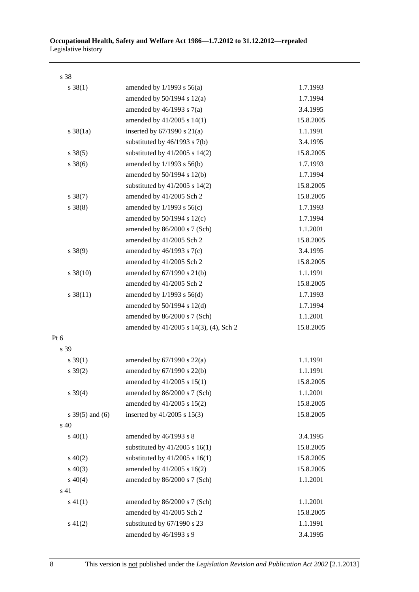| s 38              |                                        |           |
|-------------------|----------------------------------------|-----------|
| $s \, 38(1)$      | amended by $1/1993$ s $56(a)$          | 1.7.1993  |
|                   | amended by $50/1994$ s $12(a)$         | 1.7.1994  |
|                   | amended by $46/1993$ s $7(a)$          | 3.4.1995  |
|                   | amended by 41/2005 s 14(1)             | 15.8.2005 |
| $s \, 38(1a)$     | inserted by $67/1990$ s $21(a)$        | 1.1.1991  |
|                   | substituted by $46/1993$ s $7(b)$      | 3.4.1995  |
| $s \, 38(5)$      | substituted by $41/2005$ s $14(2)$     | 15.8.2005 |
| $s \, 38(6)$      | amended by 1/1993 s 56(b)              | 1.7.1993  |
|                   | amended by 50/1994 s 12(b)             | 1.7.1994  |
|                   | substituted by $41/2005$ s $14(2)$     | 15.8.2005 |
| $s \, 38(7)$      | amended by 41/2005 Sch 2               | 15.8.2005 |
| $s \ 38(8)$       | amended by $1/1993$ s $56(c)$          | 1.7.1993  |
|                   | amended by $50/1994$ s $12(c)$         | 1.7.1994  |
|                   | amended by 86/2000 s 7 (Sch)           | 1.1.2001  |
|                   | amended by 41/2005 Sch 2               | 15.8.2005 |
| $s \ 38(9)$       | amended by $46/1993$ s $7(c)$          | 3.4.1995  |
|                   | amended by 41/2005 Sch 2               | 15.8.2005 |
| $s \ 38(10)$      | amended by 67/1990 s 21(b)             | 1.1.1991  |
|                   | amended by 41/2005 Sch 2               | 15.8.2005 |
| $s \, 38(11)$     | amended by $1/1993$ s $56(d)$          | 1.7.1993  |
|                   | amended by 50/1994 s 12(d)             | 1.7.1994  |
|                   | amended by 86/2000 s 7 (Sch)           | 1.1.2001  |
|                   | amended by 41/2005 s 14(3), (4), Sch 2 | 15.8.2005 |
| Pt $6$            |                                        |           |
| s 39              |                                        |           |
| $s \, 39(1)$      | amended by $67/1990$ s $22(a)$         | 1.1.1991  |
| $s \, 39(2)$      | amended by 67/1990 s 22(b)             | 1.1.1991  |
|                   | amended by 41/2005 s 15(1)             | 15.8.2005 |
| $s \, 39(4)$      | amended by 86/2000 s 7 (Sch)           | 1.1.2001  |
|                   | amended by 41/2005 s 15(2)             | 15.8.2005 |
| s $39(5)$ and (6) | inserted by 41/2005 s 15(3)            | 15.8.2005 |
| s 40              |                                        |           |
| $s\ 40(1)$        | amended by 46/1993 s 8                 | 3.4.1995  |
|                   | substituted by $41/2005$ s $16(1)$     | 15.8.2005 |
| $s\ 40(2)$        | substituted by $41/2005$ s $16(1)$     | 15.8.2005 |
| $s\ 40(3)$        | amended by 41/2005 s 16(2)             | 15.8.2005 |
| $s\ 40(4)$        | amended by 86/2000 s 7 (Sch)           | 1.1.2001  |
| s 41              |                                        |           |
| $s\ 41(1)$        | amended by 86/2000 s 7 (Sch)           | 1.1.2001  |
|                   | amended by 41/2005 Sch 2               | 15.8.2005 |
| $s\ 41(2)$        | substituted by 67/1990 s 23            | 1.1.1991  |
|                   | amended by 46/1993 s 9                 | 3.4.1995  |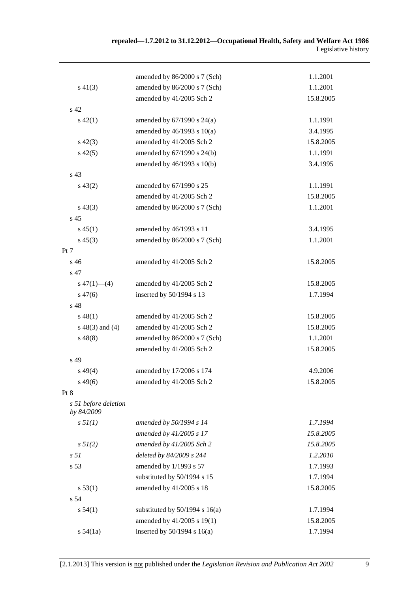|                                    | amended by 86/2000 s 7 (Sch)       | 1.1.2001  |
|------------------------------------|------------------------------------|-----------|
| $s\ 41(3)$                         | amended by 86/2000 s 7 (Sch)       | 1.1.2001  |
|                                    | amended by 41/2005 Sch 2           | 15.8.2005 |
| s 42                               |                                    |           |
| $s\ 42(1)$                         | amended by $67/1990$ s $24(a)$     | 1.1.1991  |
|                                    | amended by $46/1993$ s $10(a)$     | 3.4.1995  |
| $s\ 42(3)$                         | amended by 41/2005 Sch 2           | 15.8.2005 |
| $s\ 42(5)$                         | amended by 67/1990 s 24(b)         | 1.1.1991  |
|                                    | amended by 46/1993 s 10(b)         | 3.4.1995  |
| s 43                               |                                    |           |
| $s\,43(2)$                         | amended by 67/1990 s 25            | 1.1.1991  |
|                                    | amended by 41/2005 Sch 2           | 15.8.2005 |
| $s\,43(3)$                         | amended by 86/2000 s 7 (Sch)       | 1.1.2001  |
| s <sub>45</sub>                    |                                    |           |
| $s\,45(1)$                         | amended by 46/1993 s 11            | 3.4.1995  |
| $s\,45(3)$                         | amended by 86/2000 s 7 (Sch)       | 1.1.2001  |
| Pt 7                               |                                    |           |
| s 46                               | amended by 41/2005 Sch 2           | 15.8.2005 |
| s 47                               |                                    |           |
| $s\ 47(1)$ (4)                     | amended by 41/2005 Sch 2           | 15.8.2005 |
| $s\,47(6)$                         | inserted by 50/1994 s 13           | 1.7.1994  |
| s 48                               |                                    |           |
| $s\,48(1)$                         | amended by 41/2005 Sch 2           | 15.8.2005 |
| $s\ 48(3)$ and (4)                 | amended by 41/2005 Sch 2           | 15.8.2005 |
| $s\,48(8)$                         | amended by 86/2000 s 7 (Sch)       | 1.1.2001  |
|                                    | amended by 41/2005 Sch 2           | 15.8.2005 |
| s 49                               |                                    |           |
| $s\,49(4)$                         | amended by 17/2006 s 174           | 4.9.2006  |
| $s\,49(6)$                         | amended by 41/2005 Sch 2           | 15.8.2005 |
| Pt 8                               |                                    |           |
| s 51 before deletion<br>by 84/2009 |                                    |           |
| $s \, 5l(1)$                       | amended by 50/1994 s 14            | 1.7.1994  |
|                                    | amended by 41/2005 s 17            | 15.8.2005 |
| $s \, 5I(2)$                       | amended by 41/2005 Sch 2           | 15.8.2005 |
| s <sub>51</sub>                    | deleted by 84/2009 s 244           | 1.2.2010  |
| s 53                               | amended by 1/1993 s 57             | 1.7.1993  |
|                                    | substituted by 50/1994 s 15        | 1.7.1994  |
| s 53(1)                            | amended by 41/2005 s 18            | 15.8.2005 |
| s 54                               |                                    |           |
| s 54(1)                            | substituted by $50/1994$ s $16(a)$ | 1.7.1994  |
|                                    | amended by 41/2005 s 19(1)         | 15.8.2005 |
| s 54(1a)                           | inserted by $50/1994$ s $16(a)$    | 1.7.1994  |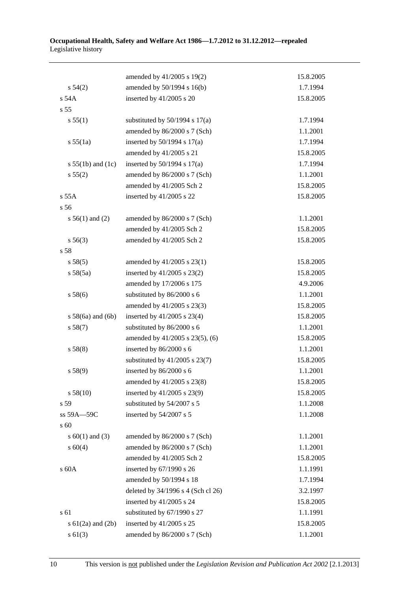#### **Occupational Health, Safety and Welfare Act 1986—1.7.2012 to 31.12.2012—repealed**  Legislative history

|                       | amended by 41/2005 s 19(2)         | 15.8.2005 |
|-----------------------|------------------------------------|-----------|
| s 54(2)               | amended by 50/1994 s 16(b)         | 1.7.1994  |
| s 54A                 | inserted by 41/2005 s 20           | 15.8.2005 |
| s 55                  |                                    |           |
| s 55(1)               | substituted by $50/1994$ s $17(a)$ | 1.7.1994  |
|                       | amended by 86/2000 s 7 (Sch)       | 1.1.2001  |
| s 55(1a)              | inserted by $50/1994$ s $17(a)$    | 1.7.1994  |
|                       | amended by 41/2005 s 21            | 15.8.2005 |
| s $55(1b)$ and $(1c)$ | inserted by $50/1994$ s $17(a)$    | 1.7.1994  |
| s 55(2)               | amended by 86/2000 s 7 (Sch)       | 1.1.2001  |
|                       | amended by 41/2005 Sch 2           | 15.8.2005 |
| s 55A                 | inserted by 41/2005 s 22           | 15.8.2005 |
| s 56                  |                                    |           |
| $s 56(1)$ and (2)     | amended by 86/2000 s 7 (Sch)       | 1.1.2001  |
|                       | amended by 41/2005 Sch 2           | 15.8.2005 |
| s 56(3)               | amended by 41/2005 Sch 2           | 15.8.2005 |
| s 58                  |                                    |           |
| s 58(5)               | amended by $41/2005$ s $23(1)$     | 15.8.2005 |
| s 58(5a)              | inserted by 41/2005 s 23(2)        | 15.8.2005 |
|                       | amended by 17/2006 s 175           | 4.9.2006  |
| s 58(6)               | substituted by 86/2000 s 6         | 1.1.2001  |
|                       | amended by 41/2005 s 23(3)         | 15.8.2005 |
| $s$ 58(6a) and (6b)   | inserted by $41/2005$ s 23(4)      | 15.8.2005 |
| s 58(7)               | substituted by 86/2000 s 6         | 1.1.2001  |
|                       | amended by 41/2005 s 23(5), (6)    | 15.8.2005 |
| s 58(8)               | inserted by 86/2000 s 6            | 1.1.2001  |
|                       | substituted by $41/2005$ s $23(7)$ | 15.8.2005 |
| s 58(9)               | inserted by 86/2000 s 6            | 1.1.2001  |
|                       | amended by $41/2005$ s $23(8)$     | 15.8.2005 |
| s 58(10)              | inserted by 41/2005 s 23(9)        | 15.8.2005 |
| s 59                  | substituted by 54/2007 s 5         | 1.1.2008  |
| ss 59A-59C            | inserted by 54/2007 s 5            | 1.1.2008  |
| s 60                  |                                    |           |
| s $60(1)$ and $(3)$   | amended by 86/2000 s 7 (Sch)       | 1.1.2001  |
| s 60(4)               | amended by 86/2000 s 7 (Sch)       | 1.1.2001  |
|                       | amended by 41/2005 Sch 2           | 15.8.2005 |
| $\sqrt{s}$ 60A        | inserted by 67/1990 s 26           | 1.1.1991  |
|                       | amended by 50/1994 s 18            | 1.7.1994  |
|                       | deleted by 34/1996 s 4 (Sch cl 26) | 3.2.1997  |
|                       | inserted by 41/2005 s 24           | 15.8.2005 |
| s 61                  | substituted by 67/1990 s 27        | 1.1.1991  |
| s $61(2a)$ and $(2b)$ | inserted by 41/2005 s 25           | 15.8.2005 |
| $s \ 61(3)$           | amended by 86/2000 s 7 (Sch)       | 1.1.2001  |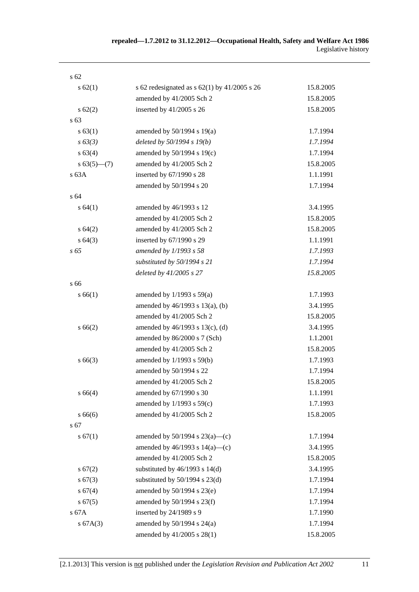| $\sqrt{62}$   |                                                  |           |
|---------------|--------------------------------------------------|-----------|
| $s \, 62(1)$  | s 62 redesignated as s $62(1)$ by $41/2005$ s 26 | 15.8.2005 |
|               | amended by 41/2005 Sch 2                         | 15.8.2005 |
| $s \, 62(2)$  | inserted by 41/2005 s 26                         | 15.8.2005 |
| $\sqrt{63}$   |                                                  |           |
| s 63(1)       | amended by $50/1994$ s $19(a)$                   | 1.7.1994  |
| $s\,63(3)$    | deleted by 50/1994 s 19(b)                       | 1.7.1994  |
| s 63(4)       | amended by 50/1994 s 19(c)                       | 1.7.1994  |
| $s 63(5)$ (7) | amended by 41/2005 Sch 2                         | 15.8.2005 |
| s63A          | inserted by 67/1990 s 28                         | 1.1.1991  |
|               | amended by 50/1994 s 20                          | 1.7.1994  |
| s 64          |                                                  |           |
| s 64(1)       | amended by 46/1993 s 12                          | 3.4.1995  |
|               | amended by 41/2005 Sch 2                         | 15.8.2005 |
| s 64(2)       | amended by 41/2005 Sch 2                         | 15.8.2005 |
| s 64(3)       | inserted by 67/1990 s 29                         | 1.1.1991  |
| $s\,65$       | amended by 1/1993 s 58                           | 1.7.1993  |
|               | substituted by 50/1994 s 21                      | 1.7.1994  |
|               | deleted by 41/2005 s 27                          | 15.8.2005 |
| s 66          |                                                  |           |
| s 66(1)       | amended by $1/1993$ s $59(a)$                    | 1.7.1993  |
|               | amended by 46/1993 s 13(a), (b)                  | 3.4.1995  |
|               | amended by 41/2005 Sch 2                         | 15.8.2005 |
| s 66(2)       | amended by 46/1993 s 13(c), (d)                  | 3.4.1995  |
|               | amended by 86/2000 s 7 (Sch)                     | 1.1.2001  |
|               | amended by 41/2005 Sch 2                         | 15.8.2005 |
| $s\,66(3)$    | amended by 1/1993 s 59(b)                        | 1.7.1993  |
|               | amended by 50/1994 s 22                          | 1.7.1994  |
|               | amended by 41/2005 Sch 2                         | 15.8.2005 |
| s 66(4)       | amended by 67/1990 s 30                          | 1.1.1991  |
|               | amended by 1/1993 s 59(c)                        | 1.7.1993  |
| s66(6)        | amended by 41/2005 Sch 2                         | 15.8.2005 |
| s 67          |                                                  |           |
| s 67(1)       | amended by $50/1994$ s $23(a)$ —(c)              | 1.7.1994  |
|               | amended by $46/1993$ s $14(a)$ —(c)              | 3.4.1995  |
|               | amended by 41/2005 Sch 2                         | 15.8.2005 |
| s 67(2)       | substituted by $46/1993$ s $14(d)$               | 3.4.1995  |
| s 67(3)       | substituted by $50/1994$ s $23(d)$               | 1.7.1994  |
| s 67(4)       | amended by 50/1994 s 23(e)                       | 1.7.1994  |
| s 67(5)       | amended by 50/1994 s 23(f)                       | 1.7.1994  |
| s 67A         | inserted by 24/1989 s 9                          | 1.7.1990  |
| s 67A(3)      | amended by $50/1994$ s $24(a)$                   | 1.7.1994  |
|               | amended by 41/2005 s 28(1)                       | 15.8.2005 |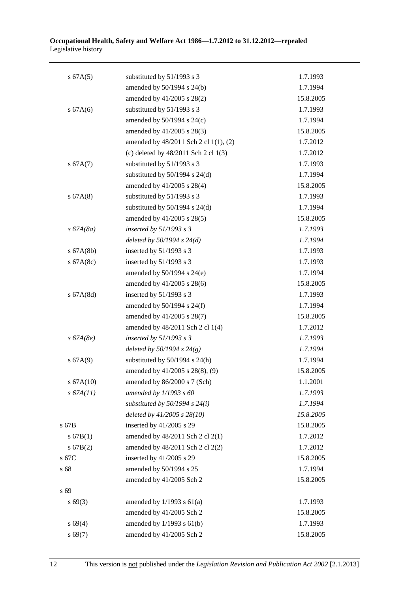| s 67A(5)     | substituted by 51/1993 s 3             | 1.7.1993  |
|--------------|----------------------------------------|-----------|
|              | amended by 50/1994 s 24(b)             | 1.7.1994  |
|              | amended by 41/2005 s 28(2)             | 15.8.2005 |
| s 67A(6)     | substituted by 51/1993 s 3             | 1.7.1993  |
|              | amended by 50/1994 s 24(c)             | 1.7.1994  |
|              | amended by 41/2005 s 28(3)             | 15.8.2005 |
|              | amended by 48/2011 Sch 2 cl 1(1), (2)  | 1.7.2012  |
|              | (c) deleted by $48/2011$ Sch 2 cl 1(3) | 1.7.2012  |
| s $67A(7)$   | substituted by 51/1993 s 3             | 1.7.1993  |
|              | substituted by $50/1994$ s $24(d)$     | 1.7.1994  |
|              | amended by 41/2005 s 28(4)             | 15.8.2005 |
| s 67A(8)     | substituted by 51/1993 s 3             | 1.7.1993  |
|              | substituted by $50/1994$ s $24(d)$     | 1.7.1994  |
|              | amended by 41/2005 s 28(5)             | 15.8.2005 |
| $s\,67A(8a)$ | inserted by $51/1993$ s 3              | 1.7.1993  |
|              | deleted by $50/1994 s 24(d)$           | 1.7.1994  |
| $s$ 67A(8b)  | inserted by 51/1993 s 3                | 1.7.1993  |
| s $67A(8c)$  | inserted by $51/1993$ s 3              | 1.7.1993  |
|              | amended by $50/1994$ s $24(e)$         | 1.7.1994  |
|              | amended by 41/2005 s 28(6)             | 15.8.2005 |
| s 67A(8d)    | inserted by 51/1993 s 3                | 1.7.1993  |
|              | amended by $50/1994$ s $24(f)$         | 1.7.1994  |
|              | amended by 41/2005 s 28(7)             | 15.8.2005 |
|              | amended by 48/2011 Sch 2 cl 1(4)       | 1.7.2012  |
| $s\,67A(8e)$ | inserted by $51/1993$ s 3              | 1.7.1993  |
|              | deleted by $50/1994 s 24(g)$           | 1.7.1994  |
| s 67A(9)     | substituted by $50/1994$ s $24(h)$     | 1.7.1994  |
|              | amended by 41/2005 s 28(8), (9)        | 15.8.2005 |
| s 67A(10)    | amended by 86/2000 s 7 (Sch)           | 1.1.2001  |
| s 67A(11)    | amended by $1/1993 s 60$               | 1.7.1993  |
|              | substituted by $50/1994$ s $24(i)$     | 1.7.1994  |
|              | deleted by 41/2005 s 28(10)            | 15.8.2005 |
| s 67B        | inserted by 41/2005 s 29               | 15.8.2005 |
| s 67B(1)     | amended by 48/2011 Sch 2 cl 2(1)       | 1.7.2012  |
| s 67B(2)     | amended by 48/2011 Sch 2 cl 2(2)       | 1.7.2012  |
| s 67C        | inserted by 41/2005 s 29               | 15.8.2005 |
| s 68         | amended by 50/1994 s 25                | 1.7.1994  |
|              | amended by 41/2005 Sch 2               | 15.8.2005 |
| s 69         |                                        |           |
| $s\,69(3)$   | amended by $1/1993$ s $61(a)$          | 1.7.1993  |
|              | amended by 41/2005 Sch 2               | 15.8.2005 |
| s 69(4)      | amended by $1/1993$ s $61(b)$          | 1.7.1993  |
| s 69(7)      | amended by 41/2005 Sch 2               | 15.8.2005 |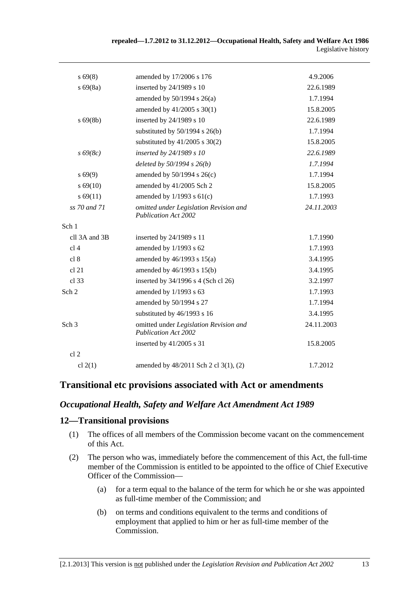| repealed—1.7.2012 to 31.12.2012—Occupational Health, Safety and Welfare Act 1986 |                     |
|----------------------------------------------------------------------------------|---------------------|
|                                                                                  | Legislative history |

| $s\,69(8)$       | amended by 17/2006 s 176                                              | 4.9.2006   |
|------------------|-----------------------------------------------------------------------|------------|
| $s\,69(8a)$      | inserted by 24/1989 s 10                                              | 22.6.1989  |
|                  | amended by $50/1994$ s $26(a)$                                        | 1.7.1994   |
|                  | amended by 41/2005 s 30(1)                                            | 15.8.2005  |
| $s\,69(8b)$      | inserted by 24/1989 s 10                                              | 22.6.1989  |
|                  | substituted by 50/1994 s 26(b)                                        | 1.7.1994   |
|                  | substituted by $41/2005$ s $30(2)$                                    | 15.8.2005  |
| $s\,69(8c)$      | inserted by 24/1989 s 10                                              | 22.6.1989  |
|                  | deleted by $50/1994 s 26(b)$                                          | 1.7.1994   |
| $s\,69(9)$       | amended by $50/1994$ s $26(c)$                                        | 1.7.1994   |
| $s\,69(10)$      | amended by 41/2005 Sch 2                                              | 15.8.2005  |
| s 69(11)         | amended by $1/1993$ s $61(c)$                                         | 1.7.1993   |
| ss 70 and 71     | omitted under Legislation Revision and<br><b>Publication Act 2002</b> | 24.11.2003 |
| Sch 1            |                                                                       |            |
| cll 3A and 3B    | inserted by 24/1989 s 11                                              | 1.7.1990   |
| cl <sub>4</sub>  | amended by 1/1993 s 62                                                | 1.7.1993   |
| cl 8             | amended by $46/1993$ s $15(a)$                                        | 3.4.1995   |
| cl 21            | amended by 46/1993 s 15(b)                                            | 3.4.1995   |
| cl 33            | inserted by 34/1996 s 4 (Sch cl 26)                                   | 3.2.1997   |
| Sch <sub>2</sub> | amended by 1/1993 s 63                                                | 1.7.1993   |
|                  | amended by 50/1994 s 27                                               | 1.7.1994   |
|                  | substituted by 46/1993 s 16                                           | 3.4.1995   |
| Sch <sub>3</sub> | omitted under Legislation Revision and<br><b>Publication Act 2002</b> | 24.11.2003 |
|                  | inserted by 41/2005 s 31                                              | 15.8.2005  |
| cl <sub>2</sub>  |                                                                       |            |
| cl $2(1)$        | amended by 48/2011 Sch 2 cl 3(1), (2)                                 | 1.7.2012   |

#### **Transitional etc provisions associated with Act or amendments**

#### *Occupational Health, Safety and Welfare Act Amendment Act 1989*

#### **12—Transitional provisions**

- (1) The offices of all members of the Commission become vacant on the commencement of this Act.
- (2) The person who was, immediately before the commencement of this Act, the full-time member of the Commission is entitled to be appointed to the office of Chief Executive Officer of the Commission—
	- (a) for a term equal to the balance of the term for which he or she was appointed as full-time member of the Commission; and
	- (b) on terms and conditions equivalent to the terms and conditions of employment that applied to him or her as full-time member of the Commission.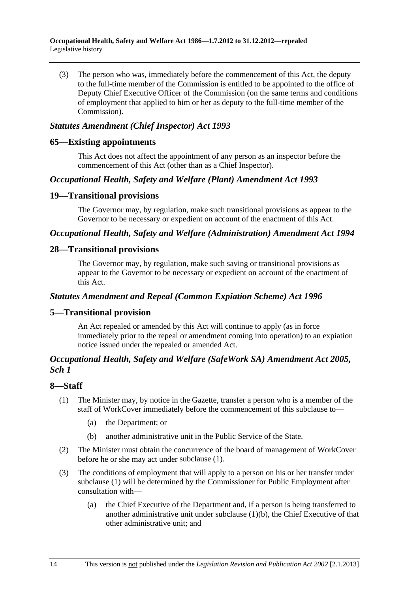<span id="page-91-0"></span> (3) The person who was, immediately before the commencement of this Act, the deputy to the full-time member of the Commission is entitled to be appointed to the office of Deputy Chief Executive Officer of the Commission (on the same terms and conditions of employment that applied to him or her as deputy to the full-time member of the Commission).

#### *Statutes Amendment (Chief Inspector) Act 1993*

#### **65—Existing appointments**

This Act does not affect the appointment of any person as an inspector before the commencement of this Act (other than as a Chief Inspector).

#### *Occupational Health, Safety and Welfare (Plant) Amendment Act 1993*

#### **19—Transitional provisions**

The Governor may, by regulation, make such transitional provisions as appear to the Governor to be necessary or expedient on account of the enactment of this Act.

#### *Occupational Health, Safety and Welfare (Administration) Amendment Act 1994*

#### **28—Transitional provisions**

The Governor may, by regulation, make such saving or transitional provisions as appear to the Governor to be necessary or expedient on account of the enactment of this Act.

#### *Statutes Amendment and Repeal (Common Expiation Scheme) Act 1996*

#### **5—Transitional provision**

An Act repealed or amended by this Act will continue to apply (as in force immediately prior to the repeal or amendment coming into operation) to an expiation notice issued under the repealed or amended Act.

#### *Occupational Health, Safety and Welfare (SafeWork SA) Amendment Act 2005, Sch 1*

#### **8—Staff**

- (1) The Minister may, by notice in the Gazette, transfer a person who is a member of the staff of WorkCover immediately before the commencement of this subclause to—
	- (a) the Department; or
	- (b) another administrative unit in the Public Service of the State.
- (2) The Minister must obtain the concurrence of the board of management of WorkCover before he or she may act under [subclause \(1\)](#page-91-0).
- (3) The conditions of employment that will apply to a person on his or her transfer under [subclause \(1\)](#page-91-0) will be determined by the Commissioner for Public Employment after consultation with—
	- (a) the Chief Executive of the Department and, if a person is being transferred to another administrative unit under subclause  $(1)(b)$ , the Chief Executive of that other administrative unit; and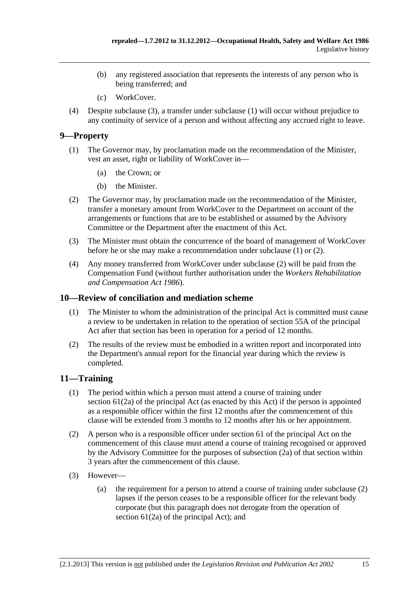- <span id="page-92-0"></span> (b) any registered association that represents the interests of any person who is being transferred; and
- (c) WorkCover.
- (4) Despite [subclause \(3\),](#page-91-0) a transfer under [subclause \(1\)](#page-91-0) will occur without prejudice to any continuity of service of a person and without affecting any accrued right to leave.

#### **9—Property**

- (1) The Governor may, by proclamation made on the recommendation of the Minister, vest an asset, right or liability of WorkCover in—
	- (a) the Crown; or
	- (b) the Minister.
- (2) The Governor may, by proclamation made on the recommendation of the Minister, transfer a monetary amount from WorkCover to the Department on account of the arrangements or functions that are to be established or assumed by the Advisory Committee or the Department after the enactment of this Act.
- (3) The Minister must obtain the concurrence of the board of management of WorkCover before he or she may make a recommendation under [subclause \(1\)](#page-92-0) or [\(2\).](#page-92-0)
- (4) Any money transferred from WorkCover under [subclause \(2\)](#page-92-0) will be paid from the Compensation Fund (without further authorisation under the *[Workers Rehabilitation](http://www.legislation.sa.gov.au/index.aspx?action=legref&type=act&legtitle=Workers%20Rehabilitation%20and%20Compensation%20Act%201986)  [and Compensation Act 1986](http://www.legislation.sa.gov.au/index.aspx?action=legref&type=act&legtitle=Workers%20Rehabilitation%20and%20Compensation%20Act%201986)*).

#### **10—Review of conciliation and mediation scheme**

- (1) The Minister to whom the administration of the principal Act is committed must cause a review to be undertaken in relation to the operation of section 55A of the principal Act after that section has been in operation for a period of 12 months.
- (2) The results of the review must be embodied in a written report and incorporated into the Department's annual report for the financial year during which the review is completed.

#### **11—Training**

- (1) The period within which a person must attend a course of training under section 61(2a) of the principal Act (as enacted by this Act) if the person is appointed as a responsible officer within the first 12 months after the commencement of this clause will be extended from 3 months to 12 months after his or her appointment.
- (2) A person who is a responsible officer under section 61 of the principal Act on the commencement of this clause must attend a course of training recognised or approved by the Advisory Committee for the purposes of subsection (2a) of that section within 3 years after the commencement of this clause.
- (3) However—
	- (a) the requirement for a person to attend a course of training under [subclause \(2\)](#page-92-0) lapses if the person ceases to be a responsible officer for the relevant body corporate (but this paragraph does not derogate from the operation of section 61(2a) of the principal Act); and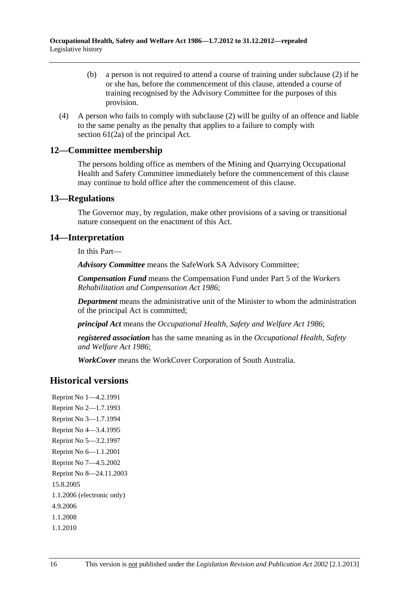- (b) a person is not required to attend a course of training under [subclause \(2\)](#page-92-0) if he or she has, before the commencement of this clause, attended a course of training recognised by the Advisory Committee for the purposes of this provision.
- (4) A person who fails to comply with [subclause \(2\)](#page-92-0) will be guilty of an offence and liable to the same penalty as the penalty that applies to a failure to comply with section  $61(2a)$  of the principal Act.

#### **12—Committee membership**

The persons holding office as members of the Mining and Quarrying Occupational Health and Safety Committee immediately before the commencement of this clause may continue to hold office after the commencement of this clause.

#### **13—Regulations**

The Governor may, by regulation, make other provisions of a saving or transitional nature consequent on the enactment of this Act.

#### **14—Interpretation**

In this Part—

*Advisory Committee* means the SafeWork SA Advisory Committee;

*Compensation Fund* means the Compensation Fund under Part 5 of the *[Workers](http://www.legislation.sa.gov.au/index.aspx?action=legref&type=act&legtitle=Workers%20Rehabilitation%20and%20Compensation%20Act%201986)  [Rehabilitation and Compensation Act 1986](http://www.legislation.sa.gov.au/index.aspx?action=legref&type=act&legtitle=Workers%20Rehabilitation%20and%20Compensation%20Act%201986)*;

*Department* means the administrative unit of the Minister to whom the administration of the principal Act is committed;

*principal Act* means the *[Occupational Health, Safety and Welfare Act 1986](http://www.legislation.sa.gov.au/index.aspx?action=legref&type=act&legtitle=Occupational%20Health%20Safety%20and%20Welfare%20Act%201986)*;

*registered association* has the same meaning as in the *[Occupational Health, Safety](http://www.legislation.sa.gov.au/index.aspx?action=legref&type=act&legtitle=Occupational%20Health%20Safety%20and%20Welfare%20Act%201986)  [and Welfare Act 1986](http://www.legislation.sa.gov.au/index.aspx?action=legref&type=act&legtitle=Occupational%20Health%20Safety%20and%20Welfare%20Act%201986)*;

*WorkCover* means the WorkCover Corporation of South Australia.

### **Historical versions**

Reprint No 1—4.2.1991 Reprint No 2—1.7.1993 Reprint No 3—1.7.1994 Reprint No 4—3.4.1995 Reprint No 5—3.2.1997 Reprint No 6—1.1.2001 Reprint No 7—4.5.2002 Reprint No 8—24.11.2003 15.8.2005 1.1.2006 (electronic only) 4.9.2006 1.1.2008 1.1.2010